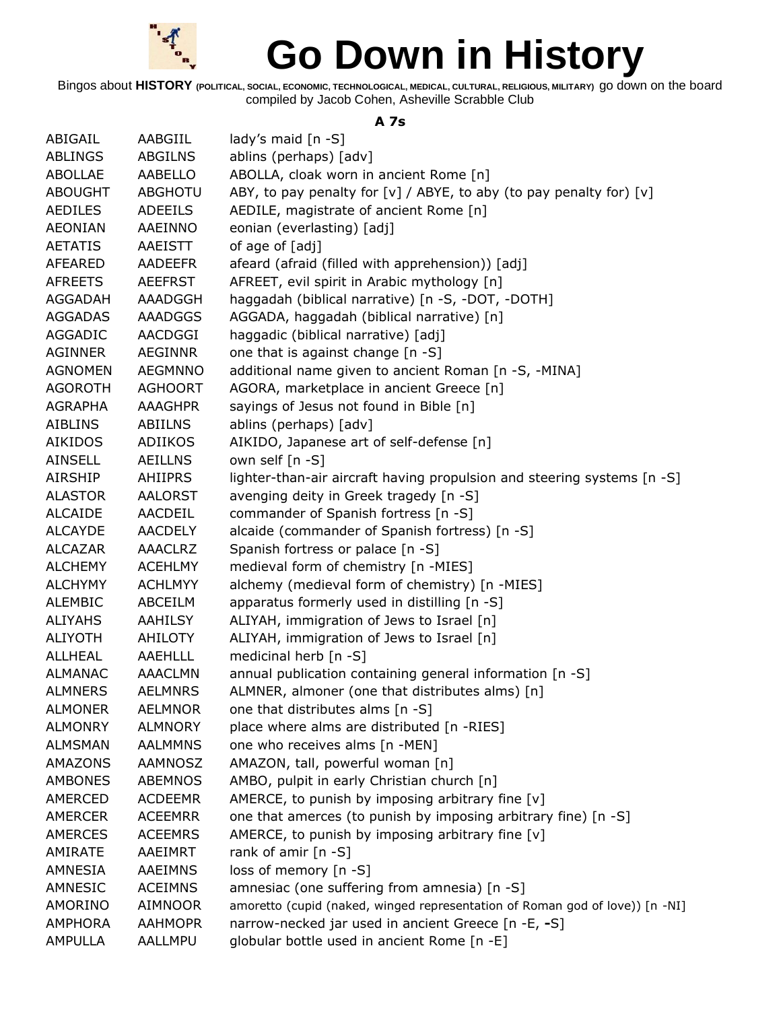

Bingos about **HISTORY (POLITICAL, SOCIAL, ECONOMIC, TECHNOLOGICAL, MEDICAL, CULTURAL, RELIGIOUS, MILITARY)** go down on the board compiled by Jacob Cohen, Asheville Scrabble Club

#### **A 7s**

| ABIGAIL        | AABGIIL        | lady's maid $[n - S]$                                                        |
|----------------|----------------|------------------------------------------------------------------------------|
| <b>ABLINGS</b> | <b>ABGILNS</b> | ablins (perhaps) [adv]                                                       |
| <b>ABOLLAE</b> | AABELLO        | ABOLLA, cloak worn in ancient Rome [n]                                       |
| <b>ABOUGHT</b> | ABGHOTU        | ABY, to pay penalty for $[v]$ / ABYE, to aby (to pay penalty for) $[v]$      |
| <b>AEDILES</b> | <b>ADEEILS</b> | AEDILE, magistrate of ancient Rome [n]                                       |
| <b>AEONIAN</b> | AAEINNO        | eonian (everlasting) [adj]                                                   |
| <b>AETATIS</b> | <b>AAEISTT</b> | of age of [adj]                                                              |
| <b>AFEARED</b> | <b>AADEEFR</b> | afeard (afraid (filled with apprehension)) [adj]                             |
| <b>AFREETS</b> | <b>AEEFRST</b> | AFREET, evil spirit in Arabic mythology [n]                                  |
| AGGADAH        | AAADGGH        | haggadah (biblical narrative) [n -S, -DOT, -DOTH]                            |
| <b>AGGADAS</b> | AAADGGS        | AGGADA, haggadah (biblical narrative) [n]                                    |
| AGGADIC        | AACDGGI        | haggadic (biblical narrative) [adj]                                          |
| <b>AGINNER</b> | AEGINNR        | one that is against change [n -S]                                            |
| <b>AGNOMEN</b> | <b>AEGMNNO</b> | additional name given to ancient Roman [n -S, -MINA]                         |
| <b>AGOROTH</b> | <b>AGHOORT</b> | AGORA, marketplace in ancient Greece [n]                                     |
| <b>AGRAPHA</b> | AAAGHPR        | sayings of Jesus not found in Bible [n]                                      |
| <b>AIBLINS</b> | <b>ABIILNS</b> | ablins (perhaps) [adv]                                                       |
| <b>AIKIDOS</b> | ADIIKOS        | AIKIDO, Japanese art of self-defense [n]                                     |
| <b>AINSELL</b> | <b>AEILLNS</b> | own self [n -S]                                                              |
| <b>AIRSHIP</b> | <b>AHIIPRS</b> | lighter-than-air aircraft having propulsion and steering systems [n -S]      |
| <b>ALASTOR</b> | AALORST        | avenging deity in Greek tragedy [n -S]                                       |
| <b>ALCAIDE</b> | AACDEIL        | commander of Spanish fortress [n -S]                                         |
| <b>ALCAYDE</b> | <b>AACDELY</b> | alcaide (commander of Spanish fortress) [n -S]                               |
| <b>ALCAZAR</b> | <b>AAACLRZ</b> | Spanish fortress or palace [n -S]                                            |
| <b>ALCHEMY</b> | <b>ACEHLMY</b> | medieval form of chemistry [n -MIES]                                         |
| <b>ALCHYMY</b> | <b>ACHLMYY</b> | alchemy (medieval form of chemistry) [n -MIES]                               |
| <b>ALEMBIC</b> | ABCEILM        | apparatus formerly used in distilling [n -S]                                 |
| <b>ALIYAHS</b> | AAHILSY        | ALIYAH, immigration of Jews to Israel [n]                                    |
| <b>ALIYOTH</b> | <b>AHILOTY</b> | ALIYAH, immigration of Jews to Israel [n]                                    |
| ALLHEAL        | AAEHLLL        | medicinal herb [n -S]                                                        |
| <b>ALMANAC</b> | <b>AAACLMN</b> | annual publication containing general information [n -S]                     |
| <b>ALMNERS</b> | <b>AELMNRS</b> | ALMNER, almoner (one that distributes alms) [n]                              |
| <b>ALMONER</b> | <b>AELMNOR</b> | one that distributes alms [n -S]                                             |
| <b>ALMONRY</b> | <b>ALMNORY</b> | place where alms are distributed [n -RIES]                                   |
| <b>ALMSMAN</b> | <b>AALMMNS</b> | one who receives alms [n -MEN]                                               |
| AMAZONS        | AAMNOSZ        | AMAZON, tall, powerful woman [n]                                             |
| <b>AMBONES</b> | <b>ABEMNOS</b> | AMBO, pulpit in early Christian church [n]                                   |
| AMERCED        | <b>ACDEEMR</b> | AMERCE, to punish by imposing arbitrary fine [v]                             |
| AMERCER        | <b>ACEEMRR</b> | one that amerces (to punish by imposing arbitrary fine) [n -S]               |
| <b>AMERCES</b> | <b>ACEEMRS</b> | AMERCE, to punish by imposing arbitrary fine $[v]$                           |
| AMIRATE        | AAEIMRT        | rank of amir $[n - S]$                                                       |
| AMNESIA        | AAEIMNS        | loss of memory [n -S]                                                        |
| AMNESIC        | <b>ACEIMNS</b> | amnesiac (one suffering from amnesia) [n -S]                                 |
| AMORINO        | AIMNOOR        | amoretto (cupid (naked, winged representation of Roman god of love)) [n -NI] |
| <b>AMPHORA</b> | <b>AAHMOPR</b> | narrow-necked jar used in ancient Greece [n -E, -S]                          |
| <b>AMPULLA</b> | AALLMPU        | globular bottle used in ancient Rome [n -E]                                  |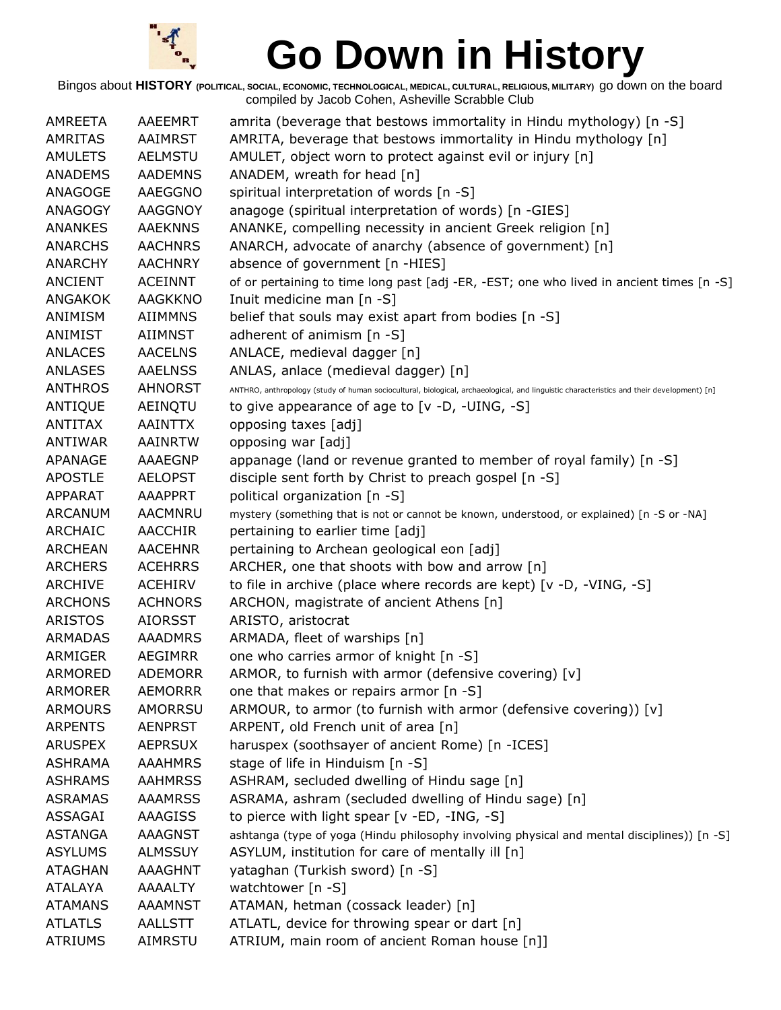

| <b>AMREETA</b> | AAEEMRT        | amrita (beverage that bestows immortality in Hindu mythology) [n -S]                                                                      |
|----------------|----------------|-------------------------------------------------------------------------------------------------------------------------------------------|
| <b>AMRITAS</b> | AAIMRST        | AMRITA, beverage that bestows immortality in Hindu mythology [n]                                                                          |
| <b>AMULETS</b> | <b>AELMSTU</b> | AMULET, object worn to protect against evil or injury [n]                                                                                 |
| <b>ANADEMS</b> | <b>AADEMNS</b> | ANADEM, wreath for head [n]                                                                                                               |
| ANAGOGE        | <b>AAEGGNO</b> | spiritual interpretation of words [n -S]                                                                                                  |
| ANAGOGY        | <b>AAGGNOY</b> | anagoge (spiritual interpretation of words) [n -GIES]                                                                                     |
| <b>ANANKES</b> | <b>AAEKNNS</b> | ANANKE, compelling necessity in ancient Greek religion [n]                                                                                |
| <b>ANARCHS</b> | <b>AACHNRS</b> | ANARCH, advocate of anarchy (absence of government) [n]                                                                                   |
| <b>ANARCHY</b> | <b>AACHNRY</b> | absence of government [n -HIES]                                                                                                           |
| <b>ANCIENT</b> | <b>ACEINNT</b> | of or pertaining to time long past [adj -ER, -EST; one who lived in ancient times [n -S]                                                  |
| ANGAKOK        | <b>AAGKKNO</b> | Inuit medicine man [n -S]                                                                                                                 |
| ANIMISM        | <b>AIIMMNS</b> | belief that souls may exist apart from bodies [n -S]                                                                                      |
| ANIMIST        | AIIMNST        | adherent of animism [n -S]                                                                                                                |
| <b>ANLACES</b> | <b>AACELNS</b> | ANLACE, medieval dagger [n]                                                                                                               |
| <b>ANLASES</b> | <b>AAELNSS</b> | ANLAS, anlace (medieval dagger) [n]                                                                                                       |
| <b>ANTHROS</b> | <b>AHNORST</b> | ANTHRO, anthropology (study of human sociocultural, biological, archaeological, and linguistic characteristics and their development) [n] |
| <b>ANTIQUE</b> | AEINQTU        | to give appearance of age to [v -D, -UING, -S]                                                                                            |
| <b>ANTITAX</b> | <b>AAINTTX</b> | opposing taxes [adj]                                                                                                                      |
| ANTIWAR        | AAINRTW        | opposing war [adj]                                                                                                                        |
| APANAGE        | AAAEGNP        | appanage (land or revenue granted to member of royal family) [n -S]                                                                       |
| <b>APOSTLE</b> | <b>AELOPST</b> | disciple sent forth by Christ to preach gospel [n -S]                                                                                     |
| APPARAT        | <b>AAAPPRT</b> | political organization [n -S]                                                                                                             |
| <b>ARCANUM</b> | <b>AACMNRU</b> | mystery (something that is not or cannot be known, understood, or explained) [n -S or -NA]                                                |
| <b>ARCHAIC</b> | AACCHIR        | pertaining to earlier time [adj]                                                                                                          |
| <b>ARCHEAN</b> | <b>AACEHNR</b> | pertaining to Archean geological eon [adj]                                                                                                |
| <b>ARCHERS</b> | <b>ACEHRRS</b> | ARCHER, one that shoots with bow and arrow [n]                                                                                            |
| <b>ARCHIVE</b> | <b>ACEHIRV</b> | to file in archive (place where records are kept) [v -D, -VING, -S]                                                                       |
| <b>ARCHONS</b> | <b>ACHNORS</b> | ARCHON, magistrate of ancient Athens [n]                                                                                                  |
| <b>ARISTOS</b> | <b>AIORSST</b> | ARISTO, aristocrat                                                                                                                        |
| <b>ARMADAS</b> | <b>AAADMRS</b> | ARMADA, fleet of warships [n]                                                                                                             |
| ARMIGER        | <b>AEGIMRR</b> | one who carries armor of knight [n -S]                                                                                                    |
| <b>ARMORED</b> | <b>ADEMORR</b> | ARMOR, to furnish with armor (defensive covering) [v]                                                                                     |
| <b>ARMORER</b> | <b>AEMORRR</b> | one that makes or repairs armor [n -S]                                                                                                    |
| <b>ARMOURS</b> | <b>AMORRSU</b> | ARMOUR, to armor (to furnish with armor (defensive covering)) [v]                                                                         |
| <b>ARPENTS</b> | <b>AENPRST</b> | ARPENT, old French unit of area [n]                                                                                                       |
| <b>ARUSPEX</b> | <b>AEPRSUX</b> | haruspex (soothsayer of ancient Rome) [n -ICES]                                                                                           |
| <b>ASHRAMA</b> | <b>AAAHMRS</b> | stage of life in Hinduism [n -S]                                                                                                          |
| <b>ASHRAMS</b> | <b>AAHMRSS</b> | ASHRAM, secluded dwelling of Hindu sage [n]                                                                                               |
| <b>ASRAMAS</b> | <b>AAAMRSS</b> | ASRAMA, ashram (secluded dwelling of Hindu sage) [n]                                                                                      |
| ASSAGAI        | AAAGISS        | to pierce with light spear [v -ED, -ING, -S]                                                                                              |
| <b>ASTANGA</b> | <b>AAAGNST</b> | ashtanga (type of yoga (Hindu philosophy involving physical and mental disciplines)) [n -S]                                               |
| <b>ASYLUMS</b> | <b>ALMSSUY</b> | ASYLUM, institution for care of mentally ill [n]                                                                                          |
| <b>ATAGHAN</b> | AAAGHNT        | yataghan (Turkish sword) [n -S]                                                                                                           |
| <b>ATALAYA</b> | <b>AAAALTY</b> | watchtower [n -S]                                                                                                                         |
| <b>ATAMANS</b> | <b>AAAMNST</b> | ATAMAN, hetman (cossack leader) [n]                                                                                                       |
| <b>ATLATLS</b> | <b>AALLSTT</b> | ATLATL, device for throwing spear or dart [n]                                                                                             |
| <b>ATRIUMS</b> | AIMRSTU        | ATRIUM, main room of ancient Roman house [n]]                                                                                             |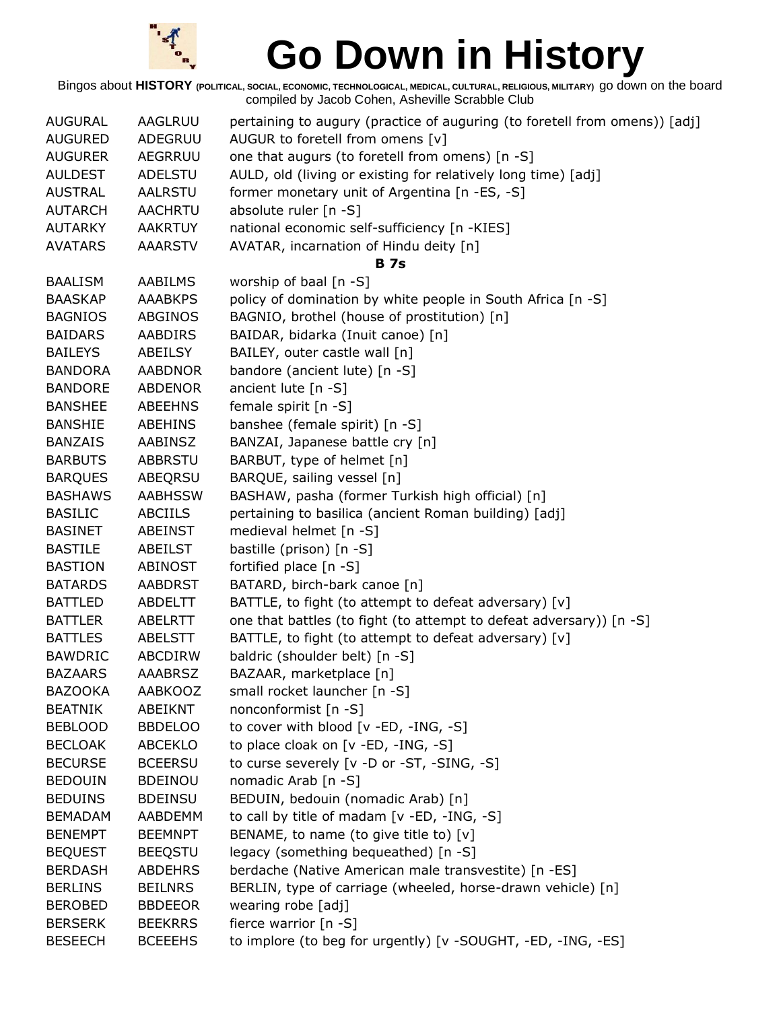

| <b>AUGURAL</b> | AAGLRUU        | pertaining to augury (practice of auguring (to foretell from omens)) [adj] |
|----------------|----------------|----------------------------------------------------------------------------|
| <b>AUGURED</b> | ADEGRUU        | AUGUR to foretell from omens [v]                                           |
| <b>AUGURER</b> | <b>AEGRRUU</b> | one that augurs (to foretell from omens) [n -S]                            |
| <b>AULDEST</b> | <b>ADELSTU</b> | AULD, old (living or existing for relatively long time) [adj]              |
| <b>AUSTRAL</b> | <b>AALRSTU</b> | former monetary unit of Argentina [n -ES, -S]                              |
| <b>AUTARCH</b> | <b>AACHRTU</b> | absolute ruler [n -S]                                                      |
| <b>AUTARKY</b> | <b>AAKRTUY</b> | national economic self-sufficiency [n -KIES]                               |
| <b>AVATARS</b> | <b>AAARSTV</b> | AVATAR, incarnation of Hindu deity [n]                                     |
|                |                | <b>B</b> 7s                                                                |
| <b>BAALISM</b> | <b>AABILMS</b> | worship of baal [n -S]                                                     |
| <b>BAASKAP</b> | <b>AAABKPS</b> | policy of domination by white people in South Africa [n -S]                |
| <b>BAGNIOS</b> | <b>ABGINOS</b> | BAGNIO, brothel (house of prostitution) [n]                                |
| <b>BAIDARS</b> | AABDIRS        | BAIDAR, bidarka (Inuit canoe) [n]                                          |
| <b>BAILEYS</b> | ABEILSY        | BAILEY, outer castle wall [n]                                              |
| <b>BANDORA</b> | <b>AABDNOR</b> | bandore (ancient lute) [n -S]                                              |
| <b>BANDORE</b> | <b>ABDENOR</b> | ancient lute [n -S]                                                        |
| <b>BANSHEE</b> | <b>ABEEHNS</b> | female spirit [n -S]                                                       |
| <b>BANSHIE</b> | <b>ABEHINS</b> | banshee (female spirit) [n -S]                                             |
| <b>BANZAIS</b> | AABINSZ        | BANZAI, Japanese battle cry [n]                                            |
| <b>BARBUTS</b> | <b>ABBRSTU</b> | BARBUT, type of helmet [n]                                                 |
| <b>BARQUES</b> | ABEQRSU        | BARQUE, sailing vessel [n]                                                 |
| <b>BASHAWS</b> | <b>AABHSSW</b> | BASHAW, pasha (former Turkish high official) [n]                           |
| <b>BASILIC</b> | <b>ABCIILS</b> | pertaining to basilica (ancient Roman building) [adj]                      |
| <b>BASINET</b> | ABEINST        | medieval helmet [n -S]                                                     |
| <b>BASTILE</b> | <b>ABEILST</b> | bastille (prison) [n -S]                                                   |
| <b>BASTION</b> | <b>ABINOST</b> | fortified place [n -S]                                                     |
| <b>BATARDS</b> | <b>AABDRST</b> | BATARD, birch-bark canoe [n]                                               |
| <b>BATTLED</b> | <b>ABDELTT</b> | BATTLE, to fight (to attempt to defeat adversary) $[v]$                    |
| <b>BATTLER</b> | <b>ABELRTT</b> | one that battles (to fight (to attempt to defeat adversary)) [n -S]        |
| <b>BATTLES</b> | <b>ABELSTT</b> | BATTLE, to fight (to attempt to defeat adversary) [v]                      |
| <b>BAWDRIC</b> | <b>ABCDIRW</b> | baldric (shoulder belt) [n -S]                                             |
| <b>BAZAARS</b> | <b>AAABRSZ</b> | BAZAAR, marketplace [n]                                                    |
| <b>BAZOOKA</b> | <b>AABKOOZ</b> | small rocket launcher [n -S]                                               |
| <b>BEATNIK</b> | ABEIKNT        | nonconformist [n -S]                                                       |
| <b>BEBLOOD</b> | <b>BBDELOO</b> | to cover with blood [v -ED, -ING, -S]                                      |
| <b>BECLOAK</b> | <b>ABCEKLO</b> | to place cloak on [v -ED, -ING, -S]                                        |
| <b>BECURSE</b> | <b>BCEERSU</b> | to curse severely [v -D or -ST, -SING, -S]                                 |
| <b>BEDOUIN</b> | <b>BDEINOU</b> | nomadic Arab [n -S]                                                        |
| <b>BEDUINS</b> | <b>BDEINSU</b> | BEDUIN, bedouin (nomadic Arab) [n]                                         |
| <b>BEMADAM</b> | AABDEMM        | to call by title of madam [v -ED, -ING, -S]                                |
| <b>BENEMPT</b> | <b>BEEMNPT</b> | BENAME, to name (to give title to) [v]                                     |
| <b>BEQUEST</b> | <b>BEEQSTU</b> | legacy (something bequeathed) [n -S]                                       |
| <b>BERDASH</b> | <b>ABDEHRS</b> | berdache (Native American male transvestite) [n -ES]                       |
| <b>BERLINS</b> | <b>BEILNRS</b> | BERLIN, type of carriage (wheeled, horse-drawn vehicle) [n]                |
| <b>BEROBED</b> | <b>BBDEEOR</b> | wearing robe [adj]                                                         |
| <b>BERSERK</b> | <b>BEEKRRS</b> | fierce warrior $[n -S]$                                                    |
| <b>BESEECH</b> | <b>BCEEEHS</b> | to implore (to beg for urgently) [v -SOUGHT, -ED, -ING, -ES]               |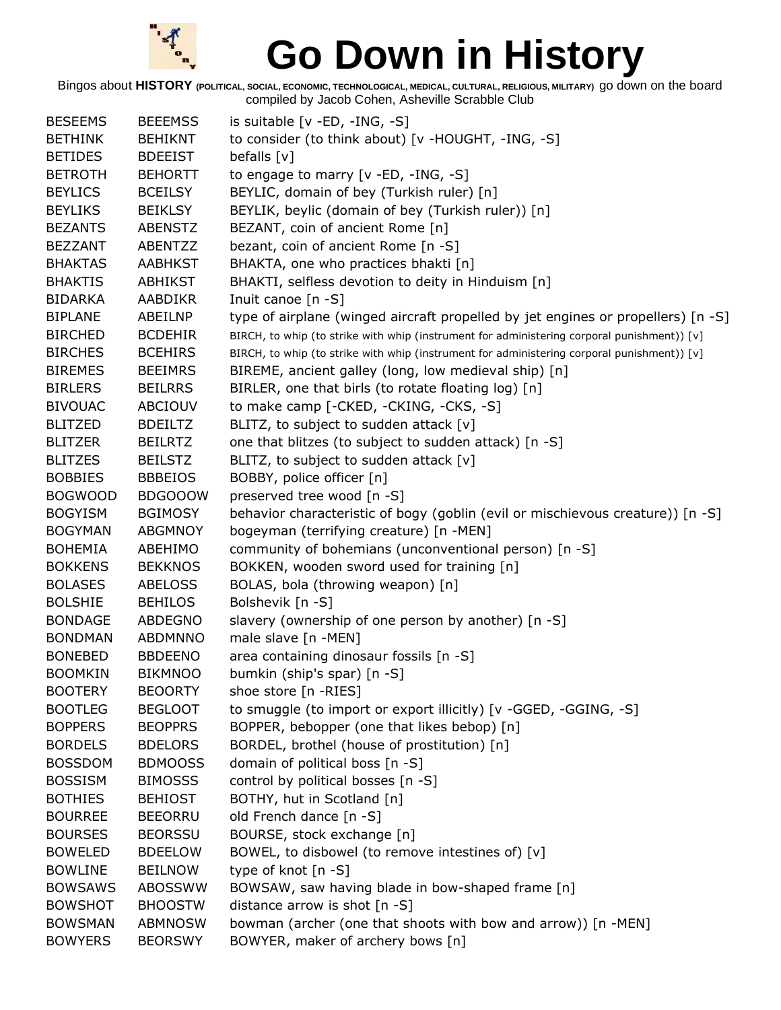

| <b>BESEEMS</b> | <b>BEEEMSS</b> | is suitable [v -ED, -ING, -S]                                                               |
|----------------|----------------|---------------------------------------------------------------------------------------------|
| <b>BETHINK</b> | <b>BEHIKNT</b> | to consider (to think about) [v -HOUGHT, -ING, -S]                                          |
| <b>BETIDES</b> | <b>BDEEIST</b> | befalls $[v]$                                                                               |
| <b>BETROTH</b> | <b>BEHORTT</b> | to engage to marry [v -ED, -ING, -S]                                                        |
| <b>BEYLICS</b> | <b>BCEILSY</b> | BEYLIC, domain of bey (Turkish ruler) [n]                                                   |
| <b>BEYLIKS</b> | <b>BEIKLSY</b> | BEYLIK, beylic (domain of bey (Turkish ruler)) [n]                                          |
| <b>BEZANTS</b> | <b>ABENSTZ</b> | BEZANT, coin of ancient Rome [n]                                                            |
| <b>BEZZANT</b> | ABENTZZ        | bezant, coin of ancient Rome [n -S]                                                         |
| <b>BHAKTAS</b> | <b>AABHKST</b> | BHAKTA, one who practices bhakti [n]                                                        |
| <b>BHAKTIS</b> | <b>ABHIKST</b> | BHAKTI, selfless devotion to deity in Hinduism [n]                                          |
| <b>BIDARKA</b> | AABDIKR        | Inuit canoe [n -S]                                                                          |
| <b>BIPLANE</b> | ABEILNP        | type of airplane (winged aircraft propelled by jet engines or propellers) [n -S]            |
| <b>BIRCHED</b> | <b>BCDEHIR</b> | BIRCH, to whip (to strike with whip (instrument for administering corporal punishment)) [v] |
| <b>BIRCHES</b> | <b>BCEHIRS</b> | BIRCH, to whip (to strike with whip (instrument for administering corporal punishment)) [v] |
| <b>BIREMES</b> | <b>BEEIMRS</b> | BIREME, ancient galley (long, low medieval ship) [n]                                        |
| <b>BIRLERS</b> | <b>BEILRRS</b> | BIRLER, one that birls (to rotate floating log) [n]                                         |
| <b>BIVOUAC</b> | ABCIOUV        | to make camp [-CKED, -CKING, -CKS, -S]                                                      |
| <b>BLITZED</b> | <b>BDEILTZ</b> | BLITZ, to subject to sudden attack [v]                                                      |
| <b>BLITZER</b> | <b>BEILRTZ</b> | one that blitzes (to subject to sudden attack) [n -S]                                       |
| <b>BLITZES</b> | <b>BEILSTZ</b> | BLITZ, to subject to sudden attack [v]                                                      |
| <b>BOBBIES</b> | <b>BBBEIOS</b> | BOBBY, police officer [n]                                                                   |
| <b>BOGWOOD</b> | <b>BDGOOOW</b> | preserved tree wood [n -S]                                                                  |
| <b>BOGYISM</b> | <b>BGIMOSY</b> | behavior characteristic of bogy (goblin (evil or mischievous creature)) [n -S]              |
| <b>BOGYMAN</b> | <b>ABGMNOY</b> | bogeyman (terrifying creature) [n -MEN]                                                     |
| <b>BOHEMIA</b> | ABEHIMO        | community of bohemians (unconventional person) [n -S]                                       |
| <b>BOKKENS</b> | <b>BEKKNOS</b> | BOKKEN, wooden sword used for training [n]                                                  |
| <b>BOLASES</b> | <b>ABELOSS</b> | BOLAS, bola (throwing weapon) [n]                                                           |
| <b>BOLSHIE</b> | <b>BEHILOS</b> | Bolshevik [n -S]                                                                            |
| <b>BONDAGE</b> | <b>ABDEGNO</b> | slavery (ownership of one person by another) [n -S]                                         |
| <b>BONDMAN</b> | <b>ABDMNNO</b> | male slave [n -MEN]                                                                         |
| <b>BONEBED</b> | <b>BBDEENO</b> | area containing dinosaur fossils [n -S]                                                     |
| <b>BOOMKIN</b> | <b>BIKMNOO</b> | bumkin (ship's spar) [n -S]                                                                 |
| <b>BOOTERY</b> | <b>BEOORTY</b> | shoe store [n -RIES]                                                                        |
| <b>BOOTLEG</b> | <b>BEGLOOT</b> | to smuggle (to import or export illicitly) [v -GGED, -GGING, -S]                            |
| <b>BOPPERS</b> | <b>BEOPPRS</b> | BOPPER, bebopper (one that likes bebop) [n]                                                 |
| <b>BORDELS</b> | <b>BDELORS</b> | BORDEL, brothel (house of prostitution) [n]                                                 |
| <b>BOSSDOM</b> | <b>BDMOOSS</b> | domain of political boss [n -S]                                                             |
| <b>BOSSISM</b> | <b>BIMOSSS</b> | control by political bosses [n -S]                                                          |
| <b>BOTHIES</b> | <b>BEHIOST</b> | BOTHY, hut in Scotland [n]                                                                  |
| <b>BOURREE</b> | <b>BEEORRU</b> | old French dance [n -S]                                                                     |
| <b>BOURSES</b> | <b>BEORSSU</b> | BOURSE, stock exchange [n]                                                                  |
| <b>BOWELED</b> | <b>BDEELOW</b> | BOWEL, to disbowel (to remove intestines of) [v]                                            |
| <b>BOWLINE</b> | <b>BEILNOW</b> | type of knot [n -S]                                                                         |
| <b>BOWSAWS</b> | <b>ABOSSWW</b> | BOWSAW, saw having blade in bow-shaped frame [n]                                            |
| <b>BOWSHOT</b> | <b>BHOOSTW</b> | distance arrow is shot $[n - S]$                                                            |
| <b>BOWSMAN</b> | <b>ABMNOSW</b> | bowman (archer (one that shoots with bow and arrow)) [n -MEN]                               |
| <b>BOWYERS</b> | <b>BEORSWY</b> | BOWYER, maker of archery bows [n]                                                           |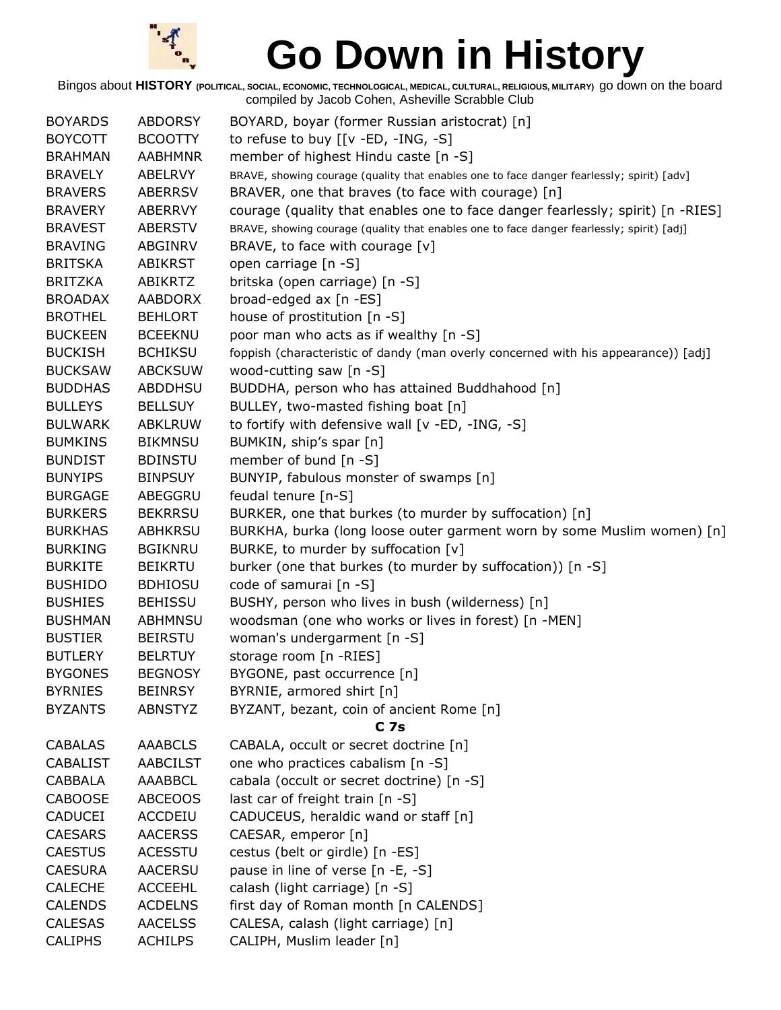

| <b>BOYARDS</b>  | <b>ABDORSY</b>  | BOYARD, boyar (former Russian aristocrat) [n]                                             |
|-----------------|-----------------|-------------------------------------------------------------------------------------------|
| <b>BOYCOTT</b>  | <b>BCOOTTY</b>  | to refuse to buy $[[v - ED, -ING, -S]]$                                                   |
| <b>BRAHMAN</b>  | <b>AABHMNR</b>  | member of highest Hindu caste [n -S]                                                      |
| <b>BRAVELY</b>  | <b>ABELRVY</b>  | BRAVE, showing courage (quality that enables one to face danger fearlessly; spirit) [adv] |
| <b>BRAVERS</b>  | <b>ABERRSV</b>  | BRAVER, one that braves (to face with courage) [n]                                        |
| <b>BRAVERY</b>  | ABERRVY         | courage (quality that enables one to face danger fearlessly; spirit) [n -RIES]            |
| <b>BRAVEST</b>  | <b>ABERSTV</b>  | BRAVE, showing courage (quality that enables one to face danger fearlessly; spirit) [adj] |
| <b>BRAVING</b>  | ABGINRV         | BRAVE, to face with courage [v]                                                           |
| <b>BRITSKA</b>  | <b>ABIKRST</b>  | open carriage [n -S]                                                                      |
| <b>BRITZKA</b>  | <b>ABIKRTZ</b>  | britska (open carriage) [n -S]                                                            |
| <b>BROADAX</b>  | <b>AABDORX</b>  | broad-edged ax [n -ES]                                                                    |
| <b>BROTHEL</b>  | <b>BEHLORT</b>  | house of prostitution [n -S]                                                              |
| <b>BUCKEEN</b>  | <b>BCEEKNU</b>  | poor man who acts as if wealthy [n -S]                                                    |
| <b>BUCKISH</b>  | <b>BCHIKSU</b>  | foppish (characteristic of dandy (man overly concerned with his appearance)) [adj]        |
| <b>BUCKSAW</b>  | <b>ABCKSUW</b>  | wood-cutting saw [n -S]                                                                   |
| <b>BUDDHAS</b>  | <b>ABDDHSU</b>  | BUDDHA, person who has attained Buddhahood [n]                                            |
| <b>BULLEYS</b>  | <b>BELLSUY</b>  | BULLEY, two-masted fishing boat [n]                                                       |
| <b>BULWARK</b>  | <b>ABKLRUW</b>  | to fortify with defensive wall [v -ED, -ING, -S]                                          |
| <b>BUMKINS</b>  | <b>BIKMNSU</b>  | BUMKIN, ship's spar [n]                                                                   |
| <b>BUNDIST</b>  | <b>BDINSTU</b>  | member of bund [n -S]                                                                     |
| <b>BUNYIPS</b>  | <b>BINPSUY</b>  | BUNYIP, fabulous monster of swamps [n]                                                    |
| <b>BURGAGE</b>  | ABEGGRU         | feudal tenure [n-S]                                                                       |
| <b>BURKERS</b>  | <b>BEKRRSU</b>  | BURKER, one that burkes (to murder by suffocation) [n]                                    |
| <b>BURKHAS</b>  | <b>ABHKRSU</b>  | BURKHA, burka (long loose outer garment worn by some Muslim women) [n]                    |
| <b>BURKING</b>  | <b>BGIKNRU</b>  | BURKE, to murder by suffocation [v]                                                       |
| <b>BURKITE</b>  | <b>BEIKRTU</b>  | burker (one that burkes (to murder by suffocation)) [n -S]                                |
| <b>BUSHIDO</b>  | <b>BDHIOSU</b>  | code of samurai [n -S]                                                                    |
| <b>BUSHIES</b>  | <b>BEHISSU</b>  | BUSHY, person who lives in bush (wilderness) [n]                                          |
| <b>BUSHMAN</b>  | <b>ABHMNSU</b>  | woodsman (one who works or lives in forest) [n -MEN]                                      |
| <b>BUSTIER</b>  | <b>BEIRSTU</b>  | woman's undergarment [n -S]                                                               |
| <b>BUTLERY</b>  | <b>BELRTUY</b>  | storage room [n -RIES]                                                                    |
| <b>BYGONES</b>  | <b>BEGNOSY</b>  | BYGONE, past occurrence [n]                                                               |
| <b>BYRNIES</b>  | <b>BEINRSY</b>  | BYRNIE, armored shirt [n]                                                                 |
| <b>BYZANTS</b>  | <b>ABNSTYZ</b>  | BYZANT, bezant, coin of ancient Rome [n]                                                  |
|                 |                 | <b>C</b> 7s                                                                               |
| <b>CABALAS</b>  | <b>AAABCLS</b>  | CABALA, occult or secret doctrine [n]                                                     |
| <b>CABALIST</b> | <b>AABCILST</b> | one who practices cabalism [n -S]                                                         |
| <b>CABBALA</b>  | <b>AAABBCL</b>  | cabala (occult or secret doctrine) [n -S]                                                 |
| <b>CABOOSE</b>  | <b>ABCEOOS</b>  | last car of freight train [n -S]                                                          |
| <b>CADUCEI</b>  | <b>ACCDEIU</b>  | CADUCEUS, heraldic wand or staff [n]                                                      |
| <b>CAESARS</b>  | <b>AACERSS</b>  | CAESAR, emperor [n]                                                                       |
| <b>CAESTUS</b>  | <b>ACESSTU</b>  | cestus (belt or girdle) [n -ES]                                                           |
| <b>CAESURA</b>  | <b>AACERSU</b>  | pause in line of verse [n -E, -S]                                                         |
| <b>CALECHE</b>  | <b>ACCEEHL</b>  | calash (light carriage) [n -S]                                                            |
| <b>CALENDS</b>  | <b>ACDELNS</b>  | first day of Roman month [n CALENDS]                                                      |
| <b>CALESAS</b>  | <b>AACELSS</b>  | CALESA, calash (light carriage) [n]                                                       |
| <b>CALIPHS</b>  | <b>ACHILPS</b>  | CALIPH, Muslim leader [n]                                                                 |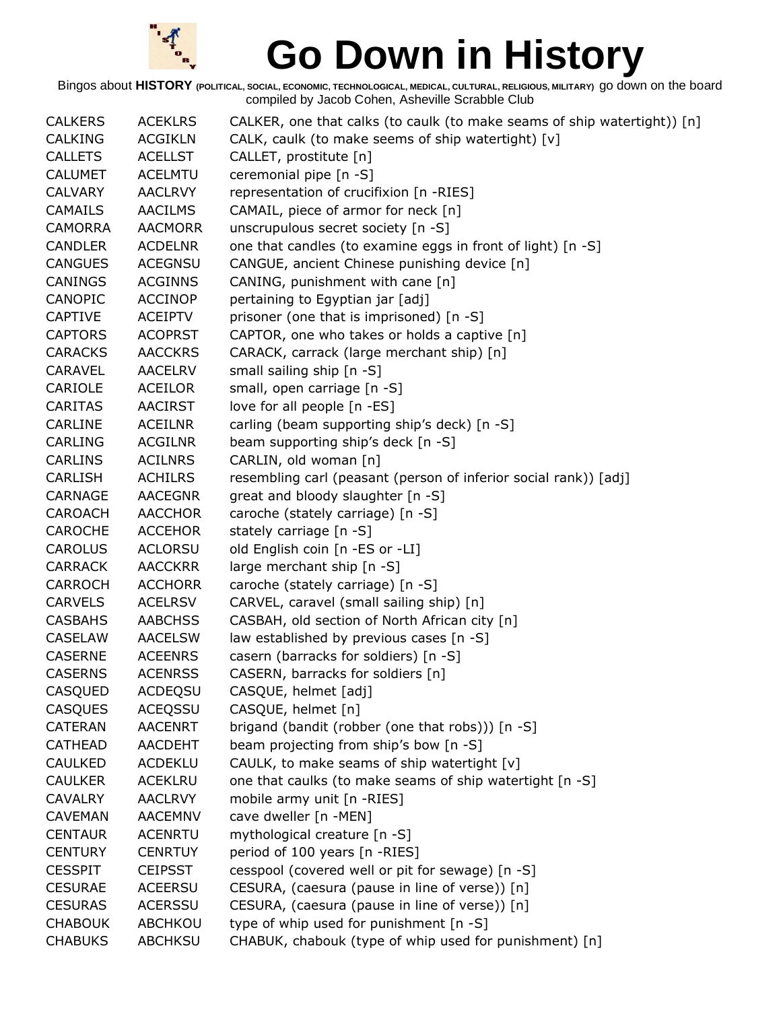

| <b>CALKERS</b> | <b>ACEKLRS</b> | CALKER, one that calks (to caulk (to make seams of ship watertight)) [n] |
|----------------|----------------|--------------------------------------------------------------------------|
| <b>CALKING</b> | <b>ACGIKLN</b> | CALK, caulk (to make seems of ship watertight) [v]                       |
| <b>CALLETS</b> | <b>ACELLST</b> | CALLET, prostitute [n]                                                   |
| <b>CALUMET</b> | <b>ACELMTU</b> | ceremonial pipe [n -S]                                                   |
| <b>CALVARY</b> | <b>AACLRVY</b> | representation of crucifixion [n -RIES]                                  |
| <b>CAMAILS</b> | <b>AACILMS</b> | CAMAIL, piece of armor for neck [n]                                      |
| <b>CAMORRA</b> | <b>AACMORR</b> | unscrupulous secret society [n -S]                                       |
| <b>CANDLER</b> | <b>ACDELNR</b> | one that candles (to examine eggs in front of light) [n -S]              |
| <b>CANGUES</b> | <b>ACEGNSU</b> | CANGUE, ancient Chinese punishing device [n]                             |
| <b>CANINGS</b> | <b>ACGINNS</b> | CANING, punishment with cane [n]                                         |
| <b>CANOPIC</b> | <b>ACCINOP</b> | pertaining to Egyptian jar [adj]                                         |
| <b>CAPTIVE</b> | <b>ACEIPTV</b> | prisoner (one that is imprisoned) [n -S]                                 |
| <b>CAPTORS</b> | <b>ACOPRST</b> | CAPTOR, one who takes or holds a captive [n]                             |
| <b>CARACKS</b> | <b>AACCKRS</b> | CARACK, carrack (large merchant ship) [n]                                |
| <b>CARAVEL</b> | <b>AACELRV</b> | small sailing ship [n -S]                                                |
| CARIOLE        | <b>ACEILOR</b> | small, open carriage [n -S]                                              |
| <b>CARITAS</b> | <b>AACIRST</b> | love for all people [n -ES]                                              |
| CARLINE        | <b>ACEILNR</b> | carling (beam supporting ship's deck) [n -S]                             |
| <b>CARLING</b> | <b>ACGILNR</b> | beam supporting ship's deck [n -S]                                       |
| <b>CARLINS</b> | <b>ACILNRS</b> | CARLIN, old woman [n]                                                    |
| <b>CARLISH</b> | <b>ACHILRS</b> | resembling carl (peasant (person of inferior social rank)) [adj]         |
| <b>CARNAGE</b> | <b>AACEGNR</b> | great and bloody slaughter [n -S]                                        |
| <b>CAROACH</b> | <b>AACCHOR</b> | caroche (stately carriage) [n -S]                                        |
| <b>CAROCHE</b> | <b>ACCEHOR</b> | stately carriage [n -S]                                                  |
| <b>CAROLUS</b> | <b>ACLORSU</b> | old English coin [n -ES or -LI]                                          |
| <b>CARRACK</b> | <b>AACCKRR</b> | large merchant ship [n -S]                                               |
| <b>CARROCH</b> | <b>ACCHORR</b> | caroche (stately carriage) [n -S]                                        |
| <b>CARVELS</b> | <b>ACELRSV</b> | CARVEL, caravel (small sailing ship) [n]                                 |
| <b>CASBAHS</b> | <b>AABCHSS</b> | CASBAH, old section of North African city [n]                            |
| <b>CASELAW</b> | <b>AACELSW</b> | law established by previous cases [n -S]                                 |
| <b>CASERNE</b> | <b>ACEENRS</b> | casern (barracks for soldiers) [n -S]                                    |
| <b>CASERNS</b> | <b>ACENRSS</b> | CASERN, barracks for soldiers [n]                                        |
| CASQUED        | <b>ACDEQSU</b> | CASQUE, helmet [adj]                                                     |
| <b>CASQUES</b> | <b>ACEQSSU</b> | CASQUE, helmet [n]                                                       |
| CATERAN        | <b>AACENRT</b> | brigand (bandit (robber (one that robs))) [n -S]                         |
| <b>CATHEAD</b> | <b>AACDEHT</b> | beam projecting from ship's bow [n -S]                                   |
| <b>CAULKED</b> | <b>ACDEKLU</b> | CAULK, to make seams of ship watertight [v]                              |
| <b>CAULKER</b> | <b>ACEKLRU</b> | one that caulks (to make seams of ship watertight [n -S]                 |
| <b>CAVALRY</b> | <b>AACLRVY</b> | mobile army unit [n -RIES]                                               |
| <b>CAVEMAN</b> | <b>AACEMNV</b> | cave dweller [n -MEN]                                                    |
| <b>CENTAUR</b> | <b>ACENRTU</b> | mythological creature [n -S]                                             |
| <b>CENTURY</b> | <b>CENRTUY</b> | period of 100 years [n -RIES]                                            |
| <b>CESSPIT</b> | <b>CEIPSST</b> | cesspool (covered well or pit for sewage) [n -S]                         |
| <b>CESURAE</b> | <b>ACEERSU</b> | CESURA, (caesura (pause in line of verse)) [n]                           |
| <b>CESURAS</b> | <b>ACERSSU</b> | CESURA, (caesura (pause in line of verse)) [n]                           |
| <b>CHABOUK</b> | ABCHKOU        | type of whip used for punishment [n -S]                                  |
| <b>CHABUKS</b> | <b>ABCHKSU</b> | CHABUK, chabouk (type of whip used for punishment) [n]                   |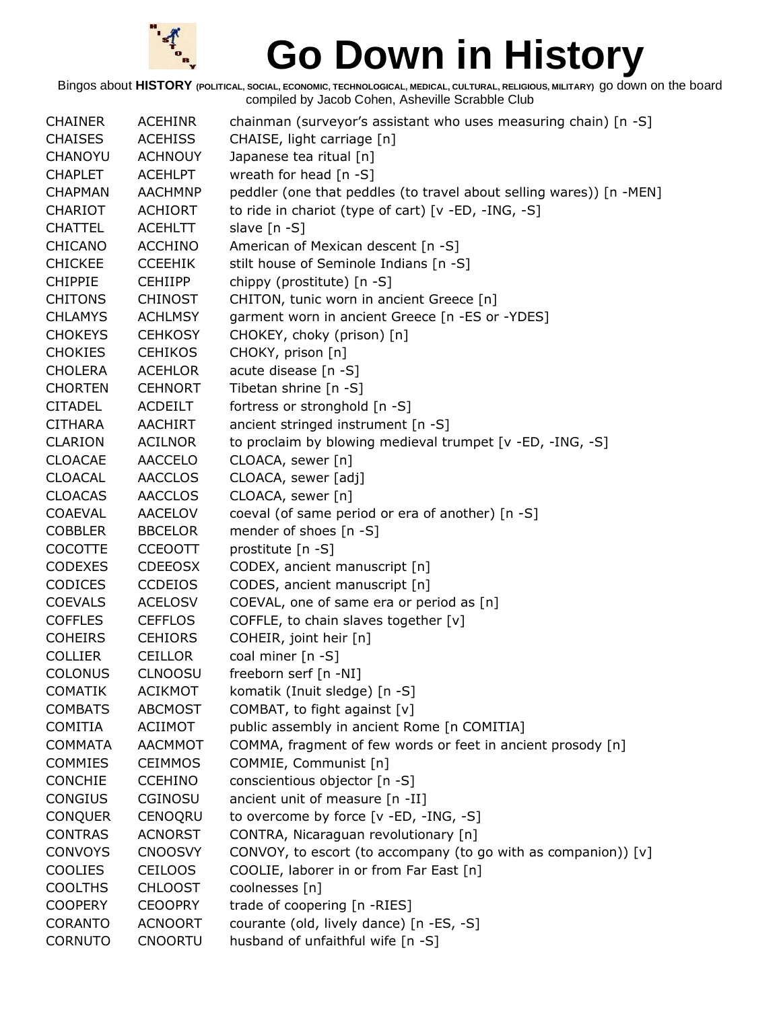

| <b>CHAINER</b> | <b>ACEHINR</b> | chainman (surveyor's assistant who uses measuring chain) [n -S]     |
|----------------|----------------|---------------------------------------------------------------------|
| <b>CHAISES</b> | <b>ACEHISS</b> | CHAISE, light carriage [n]                                          |
| CHANOYU        | <b>ACHNOUY</b> | Japanese tea ritual [n]                                             |
| <b>CHAPLET</b> | <b>ACEHLPT</b> | wreath for head $[n - S]$                                           |
| <b>CHAPMAN</b> | <b>AACHMNP</b> | peddler (one that peddles (to travel about selling wares)) [n -MEN] |
| CHARIOT        | <b>ACHIORT</b> | to ride in chariot (type of cart) [v -ED, -ING, -S]                 |
| <b>CHATTEL</b> | <b>ACEHLTT</b> | slave [n -S]                                                        |
| CHICANO        | <b>ACCHINO</b> | American of Mexican descent [n -S]                                  |
| <b>CHICKEE</b> | <b>CCEEHIK</b> | stilt house of Seminole Indians [n -S]                              |
| <b>CHIPPIE</b> | <b>CEHIIPP</b> | chippy (prostitute) [n -S]                                          |
| <b>CHITONS</b> | <b>CHINOST</b> | CHITON, tunic worn in ancient Greece [n]                            |
| <b>CHLAMYS</b> | <b>ACHLMSY</b> | garment worn in ancient Greece [n -ES or -YDES]                     |
| <b>CHOKEYS</b> | <b>CEHKOSY</b> | CHOKEY, choky (prison) [n]                                          |
| <b>CHOKIES</b> | <b>CEHIKOS</b> | CHOKY, prison [n]                                                   |
| <b>CHOLERA</b> | <b>ACEHLOR</b> | acute disease [n -S]                                                |
| <b>CHORTEN</b> | <b>CEHNORT</b> | Tibetan shrine [n -S]                                               |
| <b>CITADEL</b> | <b>ACDEILT</b> | fortress or stronghold [n -S]                                       |
| <b>CITHARA</b> | AACHIRT        | ancient stringed instrument [n -S]                                  |
| <b>CLARION</b> | <b>ACILNOR</b> | to proclaim by blowing medieval trumpet [v -ED, -ING, -S]           |
| <b>CLOACAE</b> | <b>AACCELO</b> | CLOACA, sewer [n]                                                   |
| <b>CLOACAL</b> | <b>AACCLOS</b> | CLOACA, sewer [adj]                                                 |
| <b>CLOACAS</b> | <b>AACCLOS</b> | CLOACA, sewer [n]                                                   |
| <b>COAEVAL</b> | <b>AACELOV</b> | coeval (of same period or era of another) [n -S]                    |
| <b>COBBLER</b> | <b>BBCELOR</b> | mender of shoes [n -S]                                              |
| <b>COCOTTE</b> | <b>CCEOOTT</b> | prostitute [n -S]                                                   |
| <b>CODEXES</b> | <b>CDEEOSX</b> | CODEX, ancient manuscript [n]                                       |
| <b>CODICES</b> | <b>CCDEIOS</b> | CODES, ancient manuscript [n]                                       |
| <b>COEVALS</b> | <b>ACELOSV</b> | COEVAL, one of same era or period as [n]                            |
| <b>COFFLES</b> | <b>CEFFLOS</b> | COFFLE, to chain slaves together [v]                                |
| <b>COHEIRS</b> | <b>CEHIORS</b> | COHEIR, joint heir [n]                                              |
| <b>COLLIER</b> | <b>CEILLOR</b> | coal miner [n -S]                                                   |
| <b>COLONUS</b> | <b>CLNOOSU</b> | freeborn serf [n -NI]                                               |
| <b>COMATIK</b> | <b>ACIKMOT</b> | komatik (Inuit sledge) [n -S]                                       |
| <b>COMBATS</b> | <b>ABCMOST</b> | COMBAT, to fight against [v]                                        |
| <b>COMITIA</b> | <b>ACIIMOT</b> | public assembly in ancient Rome [n COMITIA]                         |
| <b>COMMATA</b> | <b>AACMMOT</b> | COMMA, fragment of few words or feet in ancient prosody [n]         |
| <b>COMMIES</b> | <b>CEIMMOS</b> | COMMIE, Communist [n]                                               |
| <b>CONCHIE</b> | <b>CCEHINO</b> | conscientious objector [n -S]                                       |
| <b>CONGIUS</b> | CGINOSU        | ancient unit of measure [n -II]                                     |
| <b>CONQUER</b> | CENOQRU        | to overcome by force [v -ED, -ING, -S]                              |
| <b>CONTRAS</b> | <b>ACNORST</b> | CONTRA, Nicaraguan revolutionary [n]                                |
| <b>CONVOYS</b> | <b>CNOOSVY</b> | CONVOY, to escort (to accompany (to go with as companion)) [v]      |
| <b>COOLIES</b> | <b>CEILOOS</b> | COOLIE, laborer in or from Far East [n]                             |
| <b>COOLTHS</b> | <b>CHLOOST</b> | coolnesses [n]                                                      |
| <b>COOPERY</b> | <b>CEOOPRY</b> | trade of coopering [n -RIES]                                        |
| <b>CORANTO</b> | <b>ACNOORT</b> | courante (old, lively dance) [n -ES, -S]                            |
| <b>CORNUTO</b> | <b>CNOORTU</b> | husband of unfaithful wife [n -S]                                   |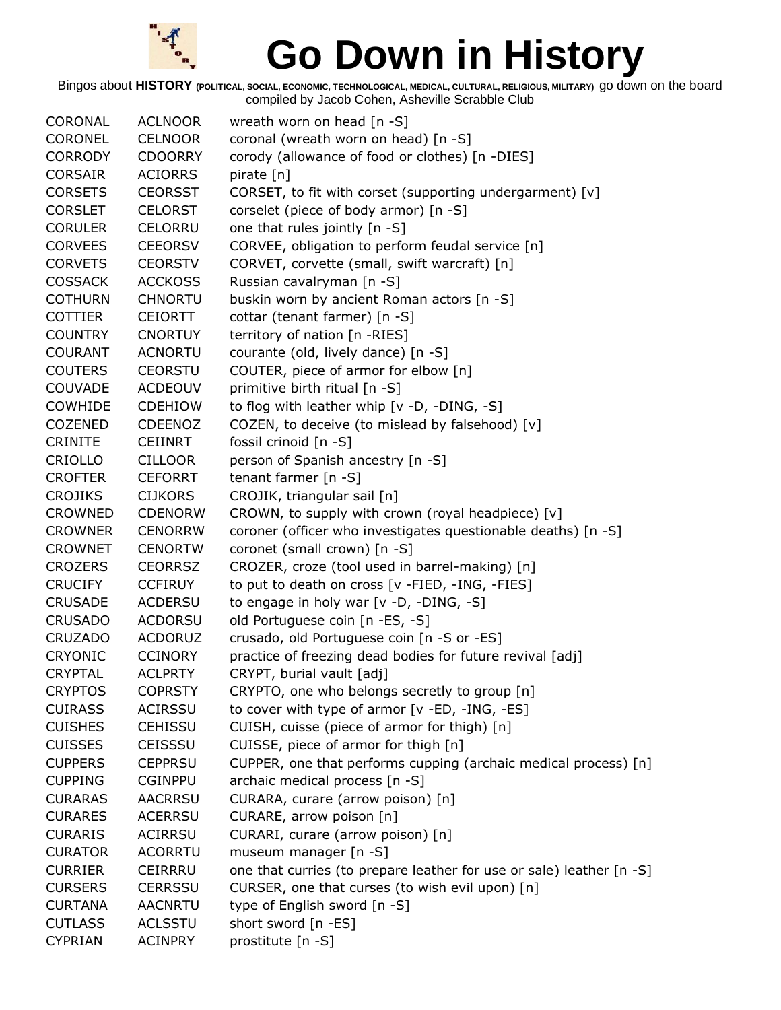

| <b>CORONAL</b> | <b>ACLNOOR</b> | wreath worn on head $[n -S]$                                         |
|----------------|----------------|----------------------------------------------------------------------|
| CORONEL        | <b>CELNOOR</b> | coronal (wreath worn on head) [n -S]                                 |
| <b>CORRODY</b> | <b>CDOORRY</b> | corody (allowance of food or clothes) [n -DIES]                      |
| <b>CORSAIR</b> | <b>ACIORRS</b> | pirate [n]                                                           |
| <b>CORSETS</b> | <b>CEORSST</b> | CORSET, to fit with corset (supporting undergarment) [v]             |
| <b>CORSLET</b> | <b>CELORST</b> | corselet (piece of body armor) [n -S]                                |
| <b>CORULER</b> | <b>CELORRU</b> | one that rules jointly [n -S]                                        |
| <b>CORVEES</b> | <b>CEEORSV</b> | CORVEE, obligation to perform feudal service [n]                     |
| <b>CORVETS</b> | <b>CEORSTV</b> | CORVET, corvette (small, swift warcraft) [n]                         |
| <b>COSSACK</b> | <b>ACCKOSS</b> | Russian cavalryman [n -S]                                            |
| <b>COTHURN</b> | <b>CHNORTU</b> | buskin worn by ancient Roman actors [n -S]                           |
| <b>COTTIER</b> | <b>CEIORTT</b> | cottar (tenant farmer) [n -S]                                        |
| <b>COUNTRY</b> | <b>CNORTUY</b> | territory of nation [n -RIES]                                        |
| <b>COURANT</b> | <b>ACNORTU</b> | courante (old, lively dance) [n -S]                                  |
| <b>COUTERS</b> | <b>CEORSTU</b> | COUTER, piece of armor for elbow [n]                                 |
| <b>COUVADE</b> | <b>ACDEOUV</b> | primitive birth ritual [n -S]                                        |
| <b>COWHIDE</b> | <b>CDEHIOW</b> | to flog with leather whip [v -D, -DING, -S]                          |
| <b>COZENED</b> | <b>CDEENOZ</b> | COZEN, to deceive (to mislead by falsehood) [v]                      |
| <b>CRINITE</b> | <b>CEIINRT</b> | fossil crinoid [n -S]                                                |
| CRIOLLO        | <b>CILLOOR</b> | person of Spanish ancestry [n -S]                                    |
| <b>CROFTER</b> | <b>CEFORRT</b> | tenant farmer $[n - S]$                                              |
| <b>CROJIKS</b> | <b>CIJKORS</b> | CROJIK, triangular sail [n]                                          |
| CROWNED        | <b>CDENORW</b> | CROWN, to supply with crown (royal headpiece) [v]                    |
| <b>CROWNER</b> | <b>CENORRW</b> | coroner (officer who investigates questionable deaths) [n -S]        |
| <b>CROWNET</b> | <b>CENORTW</b> | coronet (small crown) [n -S]                                         |
| <b>CROZERS</b> | <b>CEORRSZ</b> | CROZER, croze (tool used in barrel-making) [n]                       |
| <b>CRUCIFY</b> | <b>CCFIRUY</b> | to put to death on cross [v -FIED, -ING, -FIES]                      |
| <b>CRUSADE</b> | <b>ACDERSU</b> | to engage in holy war [v -D, -DING, -S]                              |
| <b>CRUSADO</b> | <b>ACDORSU</b> | old Portuguese coin [n -ES, -S]                                      |
| <b>CRUZADO</b> | <b>ACDORUZ</b> | crusado, old Portuguese coin [n -S or -ES]                           |
| <b>CRYONIC</b> | <b>CCINORY</b> | practice of freezing dead bodies for future revival [adj]            |
| <b>CRYPTAL</b> | <b>ACLPRTY</b> | CRYPT, burial vault [adj]                                            |
| <b>CRYPTOS</b> | <b>COPRSTY</b> | CRYPTO, one who belongs secretly to group [n]                        |
| <b>CUIRASS</b> | <b>ACIRSSU</b> | to cover with type of armor [v -ED, -ING, -ES]                       |
| <b>CUISHES</b> | <b>CEHISSU</b> | CUISH, cuisse (piece of armor for thigh) [n]                         |
| <b>CUISSES</b> | <b>CEISSSU</b> | CUISSE, piece of armor for thigh [n]                                 |
| <b>CUPPERS</b> | <b>CEPPRSU</b> | CUPPER, one that performs cupping (archaic medical process) [n]      |
| <b>CUPPING</b> | <b>CGINPPU</b> | archaic medical process [n -S]                                       |
| <b>CURARAS</b> | <b>AACRRSU</b> | CURARA, curare (arrow poison) [n]                                    |
| <b>CURARES</b> | <b>ACERRSU</b> | CURARE, arrow poison [n]                                             |
| <b>CURARIS</b> | <b>ACIRRSU</b> | CURARI, curare (arrow poison) [n]                                    |
| <b>CURATOR</b> | <b>ACORRTU</b> | museum manager [n -S]                                                |
| <b>CURRIER</b> | <b>CEIRRRU</b> | one that curries (to prepare leather for use or sale) leather [n -S] |
| <b>CURSERS</b> | <b>CERRSSU</b> | CURSER, one that curses (to wish evil upon) [n]                      |
| <b>CURTANA</b> | <b>AACNRTU</b> | type of English sword [n -S]                                         |
| <b>CUTLASS</b> | <b>ACLSSTU</b> | short sword [n -ES]                                                  |
| <b>CYPRIAN</b> | <b>ACINPRY</b> | prostitute [n -S]                                                    |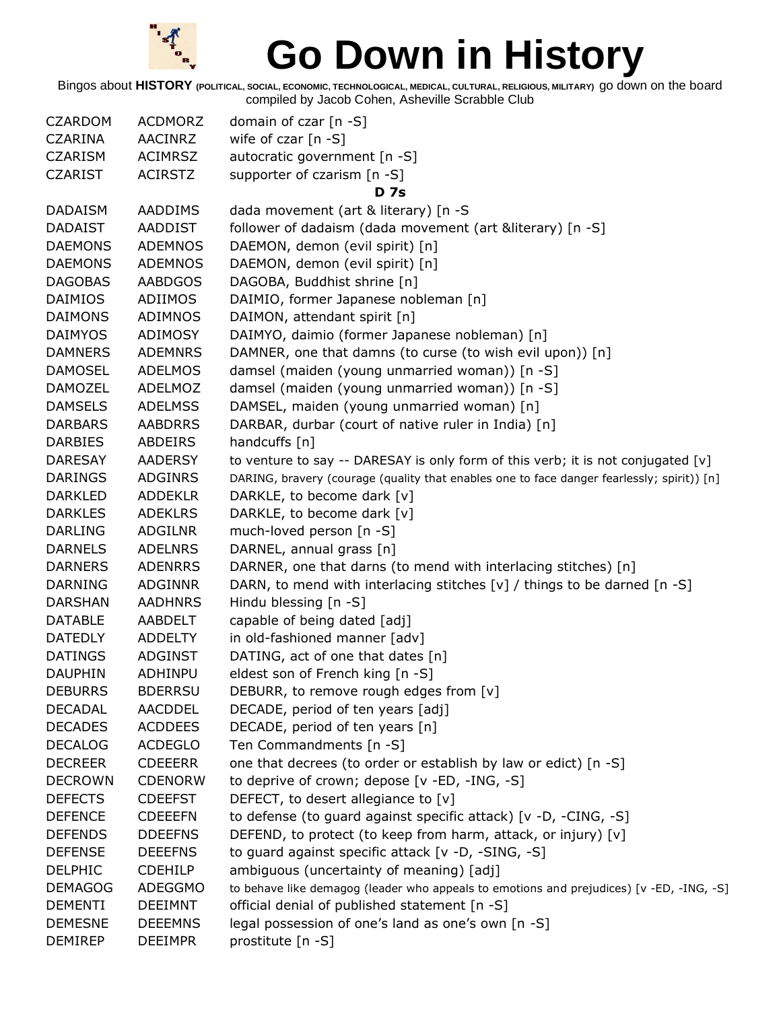

| <b>CZARDOM</b> | <b>ACDMORZ</b> | domain of czar [n -S]                                                                      |
|----------------|----------------|--------------------------------------------------------------------------------------------|
| <b>CZARINA</b> | AACINRZ        | wife of czar $[n - S]$                                                                     |
| <b>CZARISM</b> | <b>ACIMRSZ</b> | autocratic government [n -S]                                                               |
| <b>CZARIST</b> | <b>ACIRSTZ</b> | supporter of czarism [n -S]                                                                |
|                |                | <b>D</b> 7s                                                                                |
| <b>DADAISM</b> | AADDIMS        | dada movement (art & literary) [n -S                                                       |
| <b>DADAIST</b> | AADDIST        | follower of dadaism (dada movement (art &literary) [n -S]                                  |
| <b>DAEMONS</b> | <b>ADEMNOS</b> | DAEMON, demon (evil spirit) [n]                                                            |
| <b>DAEMONS</b> | <b>ADEMNOS</b> | DAEMON, demon (evil spirit) [n]                                                            |
| <b>DAGOBAS</b> | <b>AABDGOS</b> | DAGOBA, Buddhist shrine [n]                                                                |
| <b>DAIMIOS</b> | ADIIMOS        | DAIMIO, former Japanese nobleman [n]                                                       |
| DAIMONS        | ADIMNOS        | DAIMON, attendant spirit [n]                                                               |
| DAIMYOS        | ADIMOSY        | DAIMYO, daimio (former Japanese nobleman) [n]                                              |
| <b>DAMNERS</b> | <b>ADEMNRS</b> | DAMNER, one that damns (to curse (to wish evil upon)) [n]                                  |
| <b>DAMOSEL</b> | <b>ADELMOS</b> | damsel (maiden (young unmarried woman)) [n -S]                                             |
| <b>DAMOZEL</b> | <b>ADELMOZ</b> | damsel (maiden (young unmarried woman)) [n -S]                                             |
| <b>DAMSELS</b> | <b>ADELMSS</b> | DAMSEL, maiden (young unmarried woman) [n]                                                 |
| <b>DARBARS</b> | <b>AABDRRS</b> | DARBAR, durbar (court of native ruler in India) [n]                                        |
| <b>DARBIES</b> | ABDEIRS        | handcuffs [n]                                                                              |
| <b>DARESAY</b> | <b>AADERSY</b> | to venture to say -- DARESAY is only form of this verb; it is not conjugated $[v]$         |
| <b>DARINGS</b> | <b>ADGINRS</b> | DARING, bravery (courage (quality that enables one to face danger fearlessly; spirit)) [n] |
| <b>DARKLED</b> | <b>ADDEKLR</b> | DARKLE, to become dark [v]                                                                 |
| <b>DARKLES</b> | <b>ADEKLRS</b> | DARKLE, to become dark [v]                                                                 |
| <b>DARLING</b> | ADGILNR        | much-loved person [n -S]                                                                   |
| <b>DARNELS</b> | <b>ADELNRS</b> | DARNEL, annual grass [n]                                                                   |
| <b>DARNERS</b> | <b>ADENRRS</b> | DARNER, one that darns (to mend with interlacing stitches) [n]                             |
| DARNING        | <b>ADGINNR</b> | DARN, to mend with interlacing stitches [v] / things to be darned [n -S]                   |
| <b>DARSHAN</b> | <b>AADHNRS</b> | Hindu blessing [n -S]                                                                      |
| <b>DATABLE</b> | AABDELT        | capable of being dated [adj]                                                               |
| <b>DATEDLY</b> | ADDELTY        | in old-fashioned manner [adv]                                                              |
| <b>DATINGS</b> | <b>ADGINST</b> | DATING, act of one that dates [n]                                                          |
| <b>DAUPHIN</b> | ADHINPU        | eldest son of French king [n -S]                                                           |
| <b>DEBURRS</b> | <b>BDERRSU</b> | DEBURR, to remove rough edges from [v]                                                     |
| <b>DECADAL</b> | <b>AACDDEL</b> | DECADE, period of ten years [adj]                                                          |
| <b>DECADES</b> | <b>ACDDEES</b> | DECADE, period of ten years [n]                                                            |
| <b>DECALOG</b> | <b>ACDEGLO</b> | Ten Commandments [n -S]                                                                    |
| <b>DECREER</b> | <b>CDEEERR</b> | one that decrees (to order or establish by law or edict) [n -S]                            |
| <b>DECROWN</b> | <b>CDENORW</b> | to deprive of crown; depose [v -ED, -ING, -S]                                              |
| <b>DEFECTS</b> | <b>CDEEFST</b> | DEFECT, to desert allegiance to [v]                                                        |
| <b>DEFENCE</b> | <b>CDEEEFN</b> | to defense (to guard against specific attack) [v -D, -CING, -S]                            |
| <b>DEFENDS</b> | <b>DDEEFNS</b> | DEFEND, to protect (to keep from harm, attack, or injury) [v]                              |
| <b>DEFENSE</b> | <b>DEEEFNS</b> | to guard against specific attack [v -D, -SING, -S]                                         |
| <b>DELPHIC</b> | <b>CDEHILP</b> | ambiguous (uncertainty of meaning) [adj]                                                   |
| <b>DEMAGOG</b> | ADEGGMO        | to behave like demagog (leader who appeals to emotions and prejudices) [v -ED, -ING, -S]   |
| <b>DEMENTI</b> | <b>DEEIMNT</b> | official denial of published statement [n -S]                                              |
| <b>DEMESNE</b> | <b>DEEEMNS</b> | legal possession of one's land as one's own [n -S]                                         |
| <b>DEMIREP</b> | <b>DEEIMPR</b> | prostitute [n -S]                                                                          |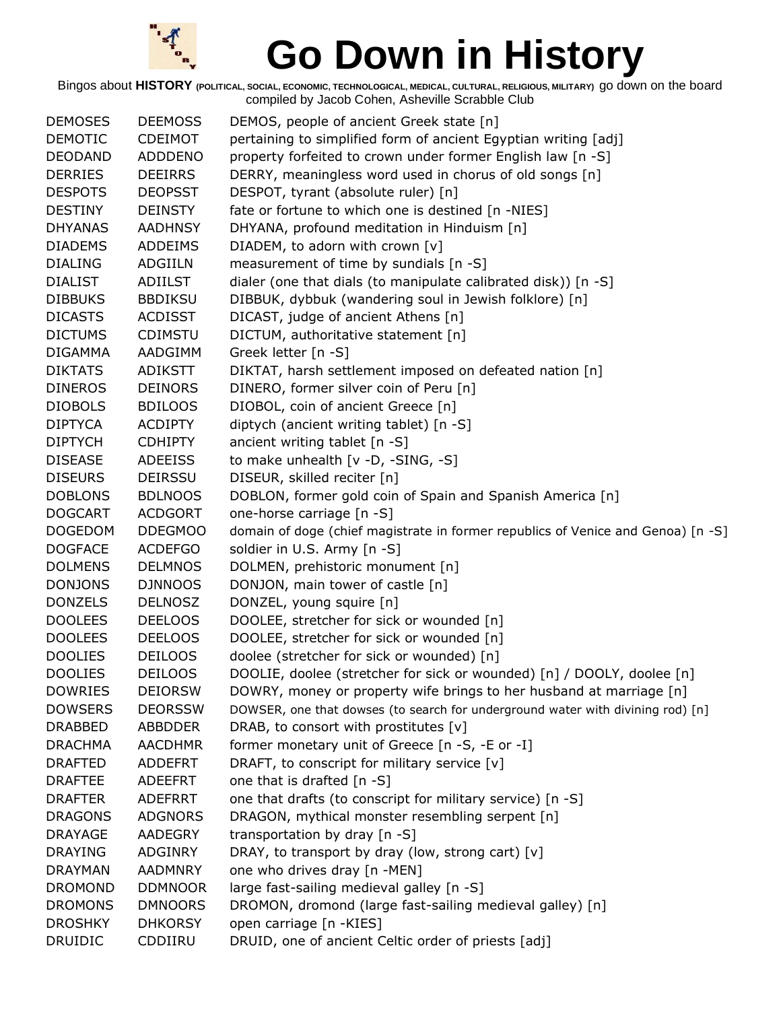

| <b>DEMOSES</b> | <b>DEEMOSS</b> | DEMOS, people of ancient Greek state [n]                                         |
|----------------|----------------|----------------------------------------------------------------------------------|
| <b>DEMOTIC</b> | <b>CDEIMOT</b> | pertaining to simplified form of ancient Egyptian writing [adj]                  |
| <b>DEODAND</b> | <b>ADDDENO</b> | property forfeited to crown under former English law [n -S]                      |
| <b>DERRIES</b> | <b>DEEIRRS</b> | DERRY, meaningless word used in chorus of old songs [n]                          |
| <b>DESPOTS</b> | <b>DEOPSST</b> | DESPOT, tyrant (absolute ruler) [n]                                              |
| <b>DESTINY</b> | <b>DEINSTY</b> | fate or fortune to which one is destined [n -NIES]                               |
| <b>DHYANAS</b> | <b>AADHNSY</b> | DHYANA, profound meditation in Hinduism [n]                                      |
| <b>DIADEMS</b> | ADDEIMS        | DIADEM, to adorn with crown [v]                                                  |
| <b>DIALING</b> | <b>ADGIILN</b> | measurement of time by sundials [n -S]                                           |
| <b>DIALIST</b> | <b>ADIILST</b> | dialer (one that dials (to manipulate calibrated disk)) [n -S]                   |
| <b>DIBBUKS</b> | <b>BBDIKSU</b> | DIBBUK, dybbuk (wandering soul in Jewish folklore) [n]                           |
| <b>DICASTS</b> | <b>ACDISST</b> | DICAST, judge of ancient Athens [n]                                              |
| <b>DICTUMS</b> | <b>CDIMSTU</b> | DICTUM, authoritative statement [n]                                              |
| <b>DIGAMMA</b> | AADGIMM        | Greek letter [n -S]                                                              |
| <b>DIKTATS</b> | <b>ADIKSTT</b> | DIKTAT, harsh settlement imposed on defeated nation [n]                          |
| <b>DINEROS</b> | <b>DEINORS</b> | DINERO, former silver coin of Peru [n]                                           |
| <b>DIOBOLS</b> | <b>BDILOOS</b> | DIOBOL, coin of ancient Greece [n]                                               |
| <b>DIPTYCA</b> | <b>ACDIPTY</b> | diptych (ancient writing tablet) [n -S]                                          |
| <b>DIPTYCH</b> | <b>CDHIPTY</b> | ancient writing tablet [n -S]                                                    |
| <b>DISEASE</b> | <b>ADEEISS</b> | to make unhealth [v -D, -SING, -S]                                               |
| <b>DISEURS</b> | <b>DEIRSSU</b> | DISEUR, skilled reciter [n]                                                      |
| <b>DOBLONS</b> | <b>BDLNOOS</b> | DOBLON, former gold coin of Spain and Spanish America [n]                        |
| <b>DOGCART</b> | <b>ACDGORT</b> | one-horse carriage [n -S]                                                        |
| <b>DOGEDOM</b> | <b>DDEGMOO</b> | domain of doge (chief magistrate in former republics of Venice and Genoa) [n -S] |
| <b>DOGFACE</b> | <b>ACDEFGO</b> | soldier in U.S. Army [n -S]                                                      |
| <b>DOLMENS</b> | <b>DELMNOS</b> | DOLMEN, prehistoric monument [n]                                                 |
| <b>DONJONS</b> | <b>DJNNOOS</b> | DONJON, main tower of castle [n]                                                 |
| <b>DONZELS</b> | <b>DELNOSZ</b> | DONZEL, young squire [n]                                                         |
| <b>DOOLEES</b> | <b>DEELOOS</b> | DOOLEE, stretcher for sick or wounded [n]                                        |
| <b>DOOLEES</b> | <b>DEELOOS</b> | DOOLEE, stretcher for sick or wounded [n]                                        |
| <b>DOOLIES</b> | <b>DEILOOS</b> | doolee (stretcher for sick or wounded) [n]                                       |
| <b>DOOLIES</b> | <b>DEILOOS</b> | DOOLIE, doolee (stretcher for sick or wounded) [n] / DOOLY, doolee [n]           |
| <b>DOWRIES</b> | <b>DEIORSW</b> | DOWRY, money or property wife brings to her husband at marriage [n]              |
| <b>DOWSERS</b> | <b>DEORSSW</b> | DOWSER, one that dowses (to search for underground water with divining rod) [n]  |
| <b>DRABBED</b> | ABBDDER        | DRAB, to consort with prostitutes [v]                                            |
| <b>DRACHMA</b> | <b>AACDHMR</b> | former monetary unit of Greece [n -S, -E or -I]                                  |
| <b>DRAFTED</b> | <b>ADDEFRT</b> | DRAFT, to conscript for military service [v]                                     |
| <b>DRAFTEE</b> | <b>ADEEFRT</b> | one that is drafted $[n - S]$                                                    |
| <b>DRAFTER</b> | <b>ADEFRRT</b> | one that drafts (to conscript for military service) [n -S]                       |
| <b>DRAGONS</b> | <b>ADGNORS</b> | DRAGON, mythical monster resembling serpent [n]                                  |
| <b>DRAYAGE</b> | AADEGRY        | transportation by dray [n -S]                                                    |
| <b>DRAYING</b> | ADGINRY        | DRAY, to transport by dray (low, strong cart) [v]                                |
| <b>DRAYMAN</b> | <b>AADMNRY</b> | one who drives dray [n -MEN]                                                     |
| <b>DROMOND</b> | <b>DDMNOOR</b> | large fast-sailing medieval galley [n -S]                                        |
| <b>DROMONS</b> | <b>DMNOORS</b> | DROMON, dromond (large fast-sailing medieval galley) [n]                         |
| <b>DROSHKY</b> | <b>DHKORSY</b> | open carriage [n -KIES]                                                          |
| <b>DRUIDIC</b> | CDDIIRU        | DRUID, one of ancient Celtic order of priests [adj]                              |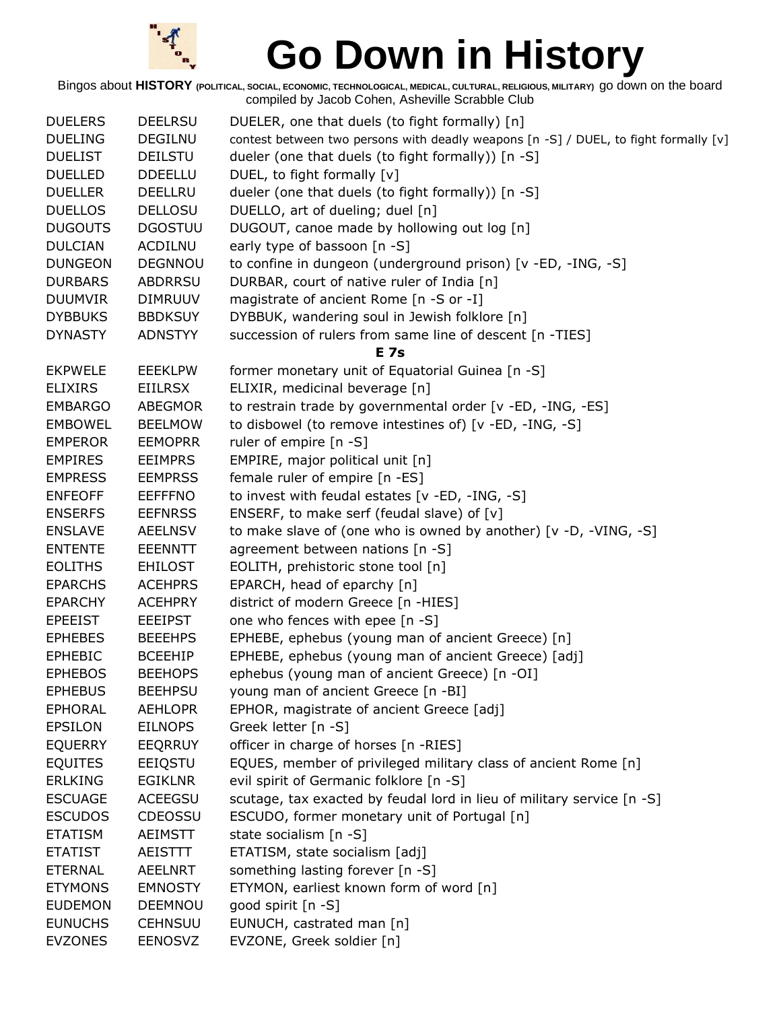

| <b>DUELERS</b> | <b>DEELRSU</b> | DUELER, one that duels (to fight formally) [n]                                       |
|----------------|----------------|--------------------------------------------------------------------------------------|
| <b>DUELING</b> | <b>DEGILNU</b> | contest between two persons with deadly weapons [n -S] / DUEL, to fight formally [v] |
| <b>DUELIST</b> | <b>DEILSTU</b> | dueler (one that duels (to fight formally)) [n -S]                                   |
| <b>DUELLED</b> | <b>DDEELLU</b> | DUEL, to fight formally [v]                                                          |
| <b>DUELLER</b> | <b>DEELLRU</b> | dueler (one that duels (to fight formally)) [n -S]                                   |
| <b>DUELLOS</b> | <b>DELLOSU</b> | DUELLO, art of dueling; duel [n]                                                     |
| <b>DUGOUTS</b> | <b>DGOSTUU</b> | DUGOUT, canoe made by hollowing out log [n]                                          |
| <b>DULCIAN</b> | <b>ACDILNU</b> | early type of bassoon [n -S]                                                         |
| <b>DUNGEON</b> | <b>DEGNNOU</b> | to confine in dungeon (underground prison) [v -ED, -ING, -S]                         |
| <b>DURBARS</b> | <b>ABDRRSU</b> | DURBAR, court of native ruler of India [n]                                           |
| <b>DUUMVIR</b> | <b>DIMRUUV</b> | magistrate of ancient Rome [n -S or -I]                                              |
| <b>DYBBUKS</b> | <b>BBDKSUY</b> | DYBBUK, wandering soul in Jewish folklore [n]                                        |
| <b>DYNASTY</b> | <b>ADNSTYY</b> | succession of rulers from same line of descent [n -TIES]                             |
|                |                | <b>E</b> 7s                                                                          |
| <b>EKPWELE</b> | <b>EEEKLPW</b> | former monetary unit of Equatorial Guinea [n -S]                                     |
| <b>ELIXIRS</b> | <b>EIILRSX</b> | ELIXIR, medicinal beverage [n]                                                       |
| <b>EMBARGO</b> | ABEGMOR        | to restrain trade by governmental order [v -ED, -ING, -ES]                           |
| <b>EMBOWEL</b> | <b>BEELMOW</b> | to disbowel (to remove intestines of) [v -ED, -ING, -S]                              |
| <b>EMPEROR</b> | <b>EEMOPRR</b> | ruler of empire [n -S]                                                               |
| <b>EMPIRES</b> | <b>EEIMPRS</b> | EMPIRE, major political unit [n]                                                     |
| <b>EMPRESS</b> | <b>EEMPRSS</b> | female ruler of empire [n -ES]                                                       |
| <b>ENFEOFF</b> | <b>EEFFFNO</b> | to invest with feudal estates [v -ED, -ING, -S]                                      |
| <b>ENSERFS</b> | <b>EEFNRSS</b> | ENSERF, to make serf (feudal slave) of [v]                                           |
| <b>ENSLAVE</b> | <b>AEELNSV</b> | to make slave of (one who is owned by another) [v -D, -VING, -S]                     |
| <b>ENTENTE</b> | <b>EEENNTT</b> | agreement between nations [n -S]                                                     |
| <b>EOLITHS</b> | <b>EHILOST</b> | EOLITH, prehistoric stone tool [n]                                                   |
| <b>EPARCHS</b> | <b>ACEHPRS</b> | EPARCH, head of eparchy [n]                                                          |
| <b>EPARCHY</b> | <b>ACEHPRY</b> | district of modern Greece [n -HIES]                                                  |
| <b>EPEEIST</b> | <b>EEEIPST</b> | one who fences with epee [n -S]                                                      |
| <b>EPHEBES</b> | <b>BEEEHPS</b> | EPHEBE, ephebus (young man of ancient Greece) [n]                                    |
| <b>EPHEBIC</b> | <b>BCEEHIP</b> | EPHEBE, ephebus (young man of ancient Greece) [adj]                                  |
| <b>EPHEBOS</b> | <b>BEEHOPS</b> | ephebus (young man of ancient Greece) [n -OI]                                        |
| <b>EPHEBUS</b> | <b>BEEHPSU</b> | young man of ancient Greece [n -BI]                                                  |
| <b>EPHORAL</b> | <b>AEHLOPR</b> | EPHOR, magistrate of ancient Greece [adj]                                            |
| <b>EPSILON</b> | <b>EILNOPS</b> | Greek letter [n -S]                                                                  |
| <b>EQUERRY</b> | <b>EEQRRUY</b> | officer in charge of horses [n -RIES]                                                |
| <b>EQUITES</b> | EEIQSTU        | EQUES, member of privileged military class of ancient Rome [n]                       |
| <b>ERLKING</b> | <b>EGIKLNR</b> | evil spirit of Germanic folklore [n -S]                                              |
| <b>ESCUAGE</b> | <b>ACEEGSU</b> | scutage, tax exacted by feudal lord in lieu of military service [n -S]               |
| <b>ESCUDOS</b> | <b>CDEOSSU</b> | ESCUDO, former monetary unit of Portugal [n]                                         |
| <b>ETATISM</b> | <b>AEIMSTT</b> | state socialism [n -S]                                                               |
| <b>ETATIST</b> | AEISTTT        | ETATISM, state socialism [adj]                                                       |
| ETERNAL        | AEELNRT        | something lasting forever [n -S]                                                     |
| <b>ETYMONS</b> | <b>EMNOSTY</b> | ETYMON, earliest known form of word [n]                                              |
| <b>EUDEMON</b> | <b>DEEMNOU</b> | good spirit [n -S]                                                                   |
| <b>EUNUCHS</b> | <b>CEHNSUU</b> | EUNUCH, castrated man [n]                                                            |
| <b>EVZONES</b> | <b>EENOSVZ</b> | EVZONE, Greek soldier [n]                                                            |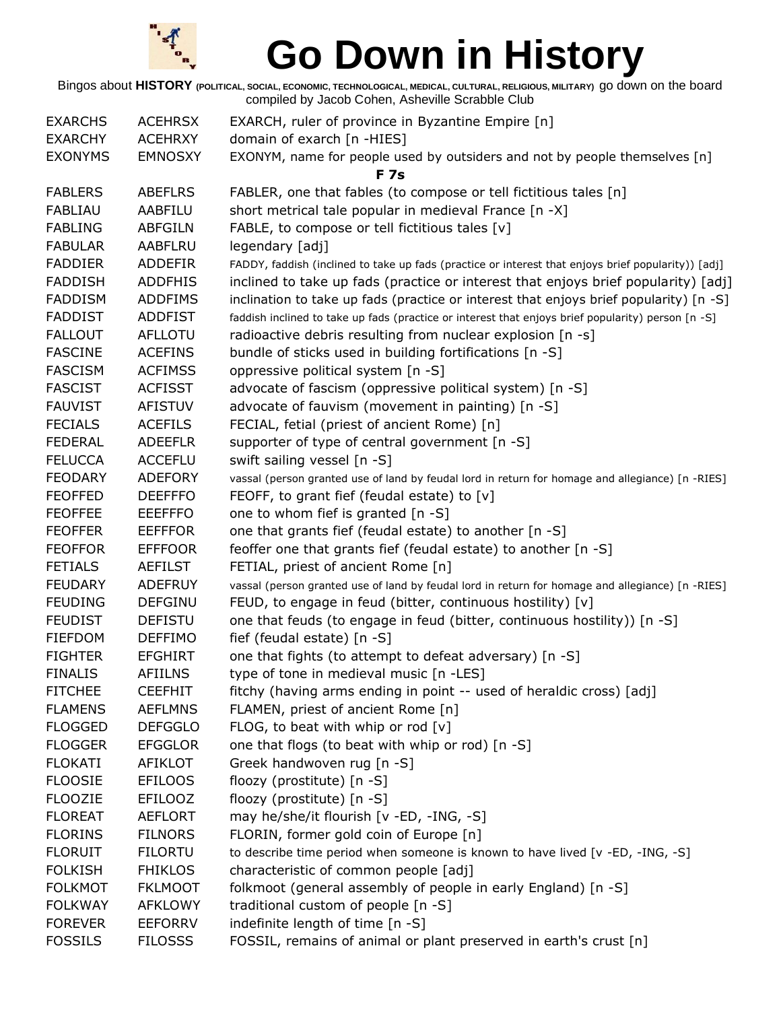

| <b>EXARCHS</b> | <b>ACEHRSX</b> | EXARCH, ruler of province in Byzantine Empire [n]                                                   |
|----------------|----------------|-----------------------------------------------------------------------------------------------------|
| <b>EXARCHY</b> | <b>ACEHRXY</b> | domain of exarch [n -HIES]                                                                          |
| <b>EXONYMS</b> | <b>EMNOSXY</b> | EXONYM, name for people used by outsiders and not by people themselves [n]                          |
|                |                | <b>F7s</b>                                                                                          |
| <b>FABLERS</b> | <b>ABEFLRS</b> | FABLER, one that fables (to compose or tell fictitious tales [n]                                    |
| <b>FABLIAU</b> | AABFILU        | short metrical tale popular in medieval France [n -X]                                               |
| <b>FABLING</b> | <b>ABFGILN</b> | FABLE, to compose or tell fictitious tales [v]                                                      |
| <b>FABULAR</b> | AABFLRU        | legendary [adj]                                                                                     |
| <b>FADDIER</b> | <b>ADDEFIR</b> | FADDY, faddish (inclined to take up fads (practice or interest that enjoys brief popularity)) [adj] |
| <b>FADDISH</b> | <b>ADDFHIS</b> | inclined to take up fads (practice or interest that enjoys brief popularity) [adj]                  |
| <b>FADDISM</b> | <b>ADDFIMS</b> | inclination to take up fads (practice or interest that enjoys brief popularity) [n -S]              |
| <b>FADDIST</b> | <b>ADDFIST</b> | faddish inclined to take up fads (practice or interest that enjoys brief popularity) person [n -S]  |
| <b>FALLOUT</b> | <b>AFLLOTU</b> | radioactive debris resulting from nuclear explosion [n -s]                                          |
| <b>FASCINE</b> | <b>ACEFINS</b> | bundle of sticks used in building fortifications [n -S]                                             |
| <b>FASCISM</b> | <b>ACFIMSS</b> | oppressive political system [n -S]                                                                  |
| <b>FASCIST</b> | <b>ACFISST</b> | advocate of fascism (oppressive political system) [n -S]                                            |
| <b>FAUVIST</b> | <b>AFISTUV</b> | advocate of fauvism (movement in painting) [n -S]                                                   |
| <b>FECIALS</b> | <b>ACEFILS</b> | FECIAL, fetial (priest of ancient Rome) [n]                                                         |
| <b>FEDERAL</b> | <b>ADEEFLR</b> | supporter of type of central government [n -S]                                                      |
| <b>FELUCCA</b> | <b>ACCEFLU</b> | swift sailing vessel [n -S]                                                                         |
| <b>FEODARY</b> | <b>ADEFORY</b> | vassal (person granted use of land by feudal lord in return for homage and allegiance) [n -RIES]    |
| <b>FEOFFED</b> | <b>DEEFFFO</b> | FEOFF, to grant fief (feudal estate) to $[v]$                                                       |
| <b>FEOFFEE</b> | <b>EEEFFFO</b> | one to whom fief is granted [n -S]                                                                  |
| <b>FEOFFER</b> | <b>EEFFFOR</b> | one that grants fief (feudal estate) to another [n -S]                                              |
| <b>FEOFFOR</b> | <b>EFFFOOR</b> | feoffer one that grants fief (feudal estate) to another [n -S]                                      |
| <b>FETIALS</b> | <b>AEFILST</b> | FETIAL, priest of ancient Rome [n]                                                                  |
| <b>FEUDARY</b> | <b>ADEFRUY</b> | vassal (person granted use of land by feudal lord in return for homage and allegiance) [n -RIES]    |
| <b>FEUDING</b> | <b>DEFGINU</b> | FEUD, to engage in feud (bitter, continuous hostility) [v]                                          |
| <b>FEUDIST</b> | <b>DEFISTU</b> | one that feuds (to engage in feud (bitter, continuous hostility)) [n -S]                            |
| <b>FIEFDOM</b> | <b>DEFFIMO</b> | fief (feudal estate) [n -S]                                                                         |
| <b>FIGHTER</b> | <b>EFGHIRT</b> | one that fights (to attempt to defeat adversary) [n -S]                                             |
| <b>FINALIS</b> | <b>AFIILNS</b> | type of tone in medieval music [n -LES]                                                             |
| <b>FITCHEE</b> | <b>CEEFHIT</b> | fitchy (having arms ending in point -- used of heraldic cross) [adj]                                |
| <b>FLAMENS</b> | <b>AEFLMNS</b> | FLAMEN, priest of ancient Rome [n]                                                                  |
| <b>FLOGGED</b> | <b>DEFGGLO</b> | FLOG, to beat with whip or rod $[v]$                                                                |
| <b>FLOGGER</b> | <b>EFGGLOR</b> | one that flogs (to beat with whip or rod) [n -S]                                                    |
| <b>FLOKATI</b> | AFIKLOT        | Greek handwoven rug [n -S]                                                                          |
| <b>FLOOSIE</b> | <b>EFILOOS</b> | floozy (prostitute) [n -S]                                                                          |
| <b>FLOOZIE</b> | <b>EFILOOZ</b> | floozy (prostitute) [n -S]                                                                          |
| <b>FLOREAT</b> | <b>AEFLORT</b> | may he/she/it flourish [v -ED, -ING, -S]                                                            |
| <b>FLORINS</b> | <b>FILNORS</b> | FLORIN, former gold coin of Europe [n]                                                              |
| <b>FLORUIT</b> | <b>FILORTU</b> | to describe time period when someone is known to have lived [v -ED, -ING, -S]                       |
| <b>FOLKISH</b> | <b>FHIKLOS</b> | characteristic of common people [adj]                                                               |
| <b>FOLKMOT</b> | <b>FKLMOOT</b> | folkmoot (general assembly of people in early England) [n -S]                                       |
| <b>FOLKWAY</b> | <b>AFKLOWY</b> | traditional custom of people [n -S]                                                                 |
| <b>FOREVER</b> | <b>EEFORRV</b> | indefinite length of time [n -S]                                                                    |
| <b>FOSSILS</b> | <b>FILOSSS</b> | FOSSIL, remains of animal or plant preserved in earth's crust [n]                                   |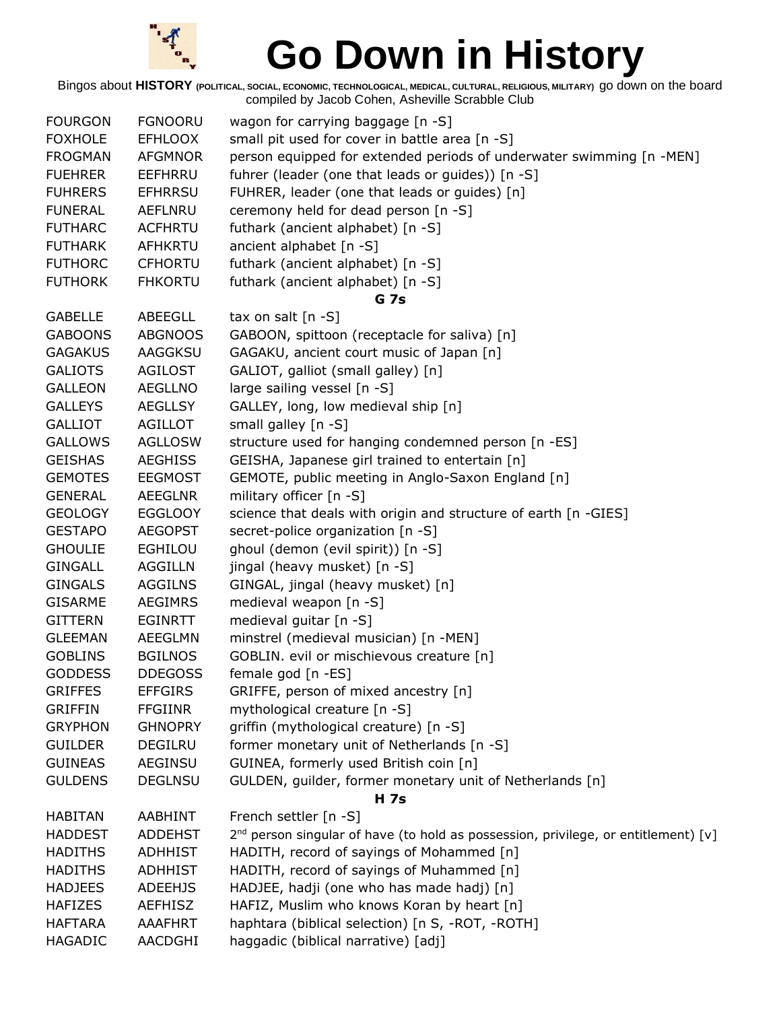

| <b>FOURGON</b> | <b>FGNOORU</b> | wagon for carrying baggage [n -S]                                                              |
|----------------|----------------|------------------------------------------------------------------------------------------------|
| <b>FOXHOLE</b> | <b>EFHLOOX</b> | small pit used for cover in battle area [n -S]                                                 |
| <b>FROGMAN</b> | <b>AFGMNOR</b> | person equipped for extended periods of underwater swimming [n -MEN]                           |
| <b>FUEHRER</b> | EEFHRRU        | fuhrer (leader (one that leads or guides)) [n -S]                                              |
| <b>FUHRERS</b> | <b>EFHRRSU</b> | FUHRER, leader (one that leads or guides) [n]                                                  |
| <b>FUNERAL</b> | AEFLNRU        | ceremony held for dead person [n -S]                                                           |
| <b>FUTHARC</b> | <b>ACFHRTU</b> | futhark (ancient alphabet) [n -S]                                                              |
| <b>FUTHARK</b> | AFHKRTU        | ancient alphabet [n -S]                                                                        |
| <b>FUTHORC</b> | <b>CFHORTU</b> | futhark (ancient alphabet) [n -S]                                                              |
| <b>FUTHORK</b> | <b>FHKORTU</b> | futhark (ancient alphabet) [n -S]                                                              |
|                |                | <b>G</b> 7s                                                                                    |
| <b>GABELLE</b> | <b>ABEEGLL</b> | tax on salt $[n -S]$                                                                           |
| <b>GABOONS</b> | <b>ABGNOOS</b> | GABOON, spittoon (receptacle for saliva) [n]                                                   |
| <b>GAGAKUS</b> | AAGGKSU        | GAGAKU, ancient court music of Japan [n]                                                       |
| <b>GALIOTS</b> | AGILOST        | GALIOT, galliot (small galley) [n]                                                             |
| <b>GALLEON</b> | <b>AEGLLNO</b> | large sailing vessel [n -S]                                                                    |
| <b>GALLEYS</b> | <b>AEGLLSY</b> | GALLEY, long, low medieval ship [n]                                                            |
| <b>GALLIOT</b> | <b>AGILLOT</b> | small galley $[n -S]$                                                                          |
| <b>GALLOWS</b> | <b>AGLLOSW</b> | structure used for hanging condemned person [n -ES]                                            |
| <b>GEISHAS</b> | <b>AEGHISS</b> | GEISHA, Japanese girl trained to entertain [n]                                                 |
| <b>GEMOTES</b> | <b>EEGMOST</b> | GEMOTE, public meeting in Anglo-Saxon England [n]                                              |
| <b>GENERAL</b> | <b>AEEGLNR</b> | military officer [n -S]                                                                        |
| <b>GEOLOGY</b> | <b>EGGLOOY</b> | science that deals with origin and structure of earth [n -GIES]                                |
| <b>GESTAPO</b> | <b>AEGOPST</b> | secret-police organization [n -S]                                                              |
| <b>GHOULIE</b> | <b>EGHILOU</b> | ghoul (demon (evil spirit)) [n -S]                                                             |
| <b>GINGALL</b> | <b>AGGILLN</b> | jingal (heavy musket) [n -S]                                                                   |
| <b>GINGALS</b> | <b>AGGILNS</b> | GINGAL, jingal (heavy musket) [n]                                                              |
| <b>GISARME</b> | <b>AEGIMRS</b> | medieval weapon [n -S]                                                                         |
| <b>GITTERN</b> | EGINRTT        | medieval guitar [n -S]                                                                         |
| <b>GLEEMAN</b> | AEEGLMN        | minstrel (medieval musician) [n -MEN]                                                          |
| <b>GOBLINS</b> | <b>BGILNOS</b> | GOBLIN. evil or mischievous creature [n]                                                       |
| <b>GODDESS</b> | <b>DDEGOSS</b> | female god [n -ES]                                                                             |
| <b>GRIFFES</b> | <b>EFFGIRS</b> | GRIFFE, person of mixed ancestry [n]                                                           |
| <b>GRIFFIN</b> | <b>FFGIINR</b> | mythological creature [n -S]                                                                   |
| <b>GRYPHON</b> | <b>GHNOPRY</b> | griffin (mythological creature) [n -S]                                                         |
| <b>GUILDER</b> | <b>DEGILRU</b> | former monetary unit of Netherlands [n -S]                                                     |
| <b>GUINEAS</b> | <b>AEGINSU</b> | GUINEA, formerly used British coin [n]                                                         |
| <b>GULDENS</b> | <b>DEGLNSU</b> | GULDEN, guilder, former monetary unit of Netherlands [n]                                       |
|                |                | <b>H</b> 7s                                                                                    |
| <b>HABITAN</b> | AABHINT        | French settler [n -S]                                                                          |
| <b>HADDEST</b> | <b>ADDEHST</b> | 2 <sup>nd</sup> person singular of have (to hold as possession, privilege, or entitlement) [v] |
| <b>HADITHS</b> | <b>ADHHIST</b> | HADITH, record of sayings of Mohammed [n]                                                      |
| <b>HADITHS</b> | <b>ADHHIST</b> | HADITH, record of sayings of Muhammed [n]                                                      |
| <b>HADJEES</b> | <b>ADEEHJS</b> | HADJEE, hadji (one who has made hadj) [n]                                                      |
| <b>HAFIZES</b> | <b>AEFHISZ</b> | HAFIZ, Muslim who knows Koran by heart [n]                                                     |
| <b>HAFTARA</b> | AAAFHRT        | haphtara (biblical selection) [n S, -ROT, -ROTH]                                               |
| <b>HAGADIC</b> | AACDGHI        | haggadic (biblical narrative) [adj]                                                            |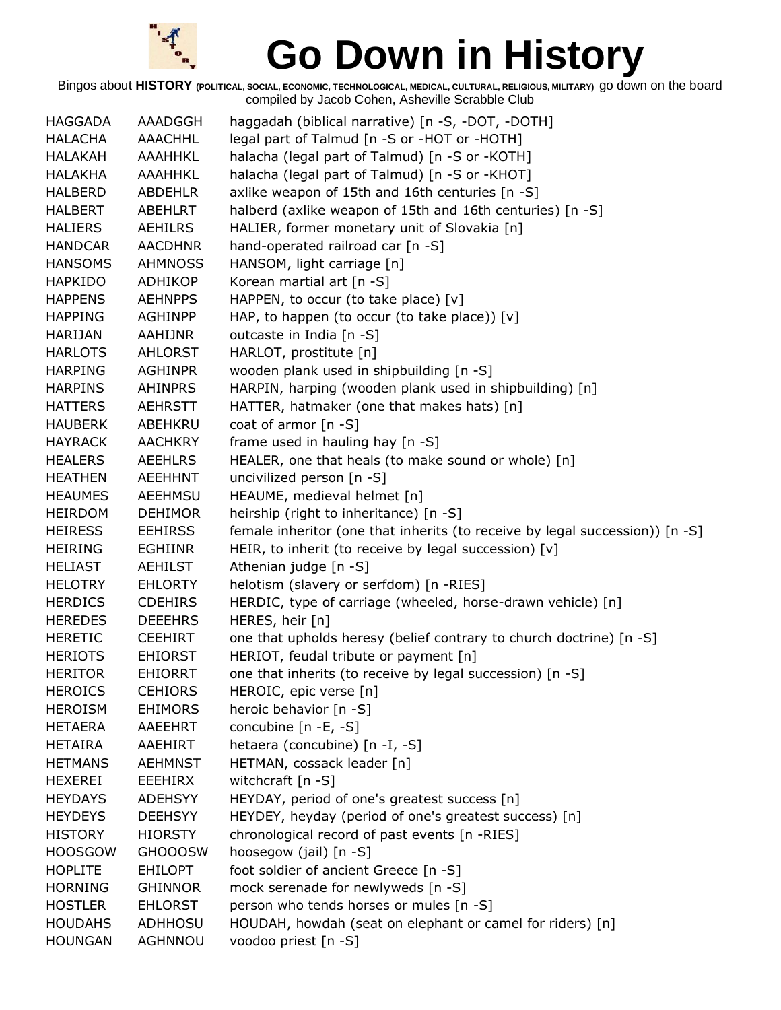

| <b>HAGGADA</b> | AAADGGH        | haggadah (biblical narrative) [n -S, -DOT, -DOTH]                            |
|----------------|----------------|------------------------------------------------------------------------------|
| <b>HALACHA</b> | <b>AAACHHL</b> | legal part of Talmud [n -S or -HOT or -HOTH]                                 |
| <b>HALAKAH</b> | AAAHHKL        | halacha (legal part of Talmud) [n -S or -KOTH]                               |
| <b>HALAKHA</b> | <b>AAAHHKL</b> | halacha (legal part of Talmud) [n -S or -KHOT]                               |
| <b>HALBERD</b> | <b>ABDEHLR</b> | axlike weapon of 15th and 16th centuries [n -S]                              |
| <b>HALBERT</b> | <b>ABEHLRT</b> | halberd (axlike weapon of 15th and 16th centuries) [n -S]                    |
| <b>HALIERS</b> | <b>AEHILRS</b> | HALIER, former monetary unit of Slovakia [n]                                 |
| <b>HANDCAR</b> | <b>AACDHNR</b> | hand-operated railroad car [n -S]                                            |
| <b>HANSOMS</b> | <b>AHMNOSS</b> | HANSOM, light carriage [n]                                                   |
| <b>HAPKIDO</b> | ADHIKOP        | Korean martial art [n -S]                                                    |
| <b>HAPPENS</b> | <b>AEHNPPS</b> | HAPPEN, to occur (to take place) $[v]$                                       |
| <b>HAPPING</b> | <b>AGHINPP</b> | HAP, to happen (to occur (to take place)) [v]                                |
| HARIJAN        | AAHIJNR        | outcaste in India [n -S]                                                     |
| <b>HARLOTS</b> | <b>AHLORST</b> | HARLOT, prostitute [n]                                                       |
| <b>HARPING</b> | <b>AGHINPR</b> | wooden plank used in shipbuilding [n -S]                                     |
| <b>HARPINS</b> | <b>AHINPRS</b> | HARPIN, harping (wooden plank used in shipbuilding) [n]                      |
| <b>HATTERS</b> | <b>AEHRSTT</b> | HATTER, hatmaker (one that makes hats) [n]                                   |
| <b>HAUBERK</b> | ABEHKRU        | coat of armor [n -S]                                                         |
| <b>HAYRACK</b> | <b>AACHKRY</b> | frame used in hauling hay [n -S]                                             |
| <b>HEALERS</b> | <b>AEEHLRS</b> | HEALER, one that heals (to make sound or whole) [n]                          |
| <b>HEATHEN</b> | AEEHHNT        | uncivilized person [n -S]                                                    |
| <b>HEAUMES</b> | AEEHMSU        | HEAUME, medieval helmet [n]                                                  |
| <b>HEIRDOM</b> | <b>DEHIMOR</b> | heirship (right to inheritance) [n -S]                                       |
| <b>HEIRESS</b> | <b>EEHIRSS</b> | female inheritor (one that inherits (to receive by legal succession)) [n -S] |
| <b>HEIRING</b> | <b>EGHIINR</b> | HEIR, to inherit (to receive by legal succession) [v]                        |
| <b>HELIAST</b> | <b>AEHILST</b> | Athenian judge [n -S]                                                        |
| <b>HELOTRY</b> | <b>EHLORTY</b> | helotism (slavery or serfdom) [n -RIES]                                      |
| <b>HERDICS</b> | <b>CDEHIRS</b> | HERDIC, type of carriage (wheeled, horse-drawn vehicle) [n]                  |
| <b>HEREDES</b> | <b>DEEEHRS</b> | HERES, heir [n]                                                              |
| <b>HERETIC</b> | <b>CEEHIRT</b> | one that upholds heresy (belief contrary to church doctrine) [n -S]          |
| <b>HERIOTS</b> | <b>EHIORST</b> | HERIOT, feudal tribute or payment [n]                                        |
| <b>HERITOR</b> | <b>EHIORRT</b> | one that inherits (to receive by legal succession) [n -S]                    |
| <b>HEROICS</b> | <b>CEHIORS</b> | HEROIC, epic verse [n]                                                       |
| <b>HEROISM</b> | <b>EHIMORS</b> | heroic behavior [n -S]                                                       |
| <b>HETAERA</b> | AAEEHRT        | concubine $[n -E, -S]$                                                       |
| <b>HETAIRA</b> | AAEHIRT        | hetaera (concubine) [n -I, -S]                                               |
| <b>HETMANS</b> | <b>AEHMNST</b> | HETMAN, cossack leader [n]                                                   |
| <b>HEXEREI</b> | EEEHIRX        | witchcraft $[n -S]$                                                          |
| <b>HEYDAYS</b> | <b>ADEHSYY</b> | HEYDAY, period of one's greatest success [n]                                 |
| <b>HEYDEYS</b> | <b>DEEHSYY</b> | HEYDEY, heyday (period of one's greatest success) [n]                        |
| <b>HISTORY</b> | <b>HIORSTY</b> | chronological record of past events [n -RIES]                                |
| <b>HOOSGOW</b> | <b>GHOOOSW</b> | hoosegow (jail) [n -S]                                                       |
| <b>HOPLITE</b> | <b>EHILOPT</b> | foot soldier of ancient Greece [n -S]                                        |
| <b>HORNING</b> | <b>GHINNOR</b> | mock serenade for newlyweds [n -S]                                           |
| <b>HOSTLER</b> | <b>EHLORST</b> | person who tends horses or mules [n -S]                                      |
| <b>HOUDAHS</b> | <b>ADHHOSU</b> | HOUDAH, howdah (seat on elephant or camel for riders) [n]                    |
| <b>HOUNGAN</b> | AGHNNOU        | voodoo priest [n -S]                                                         |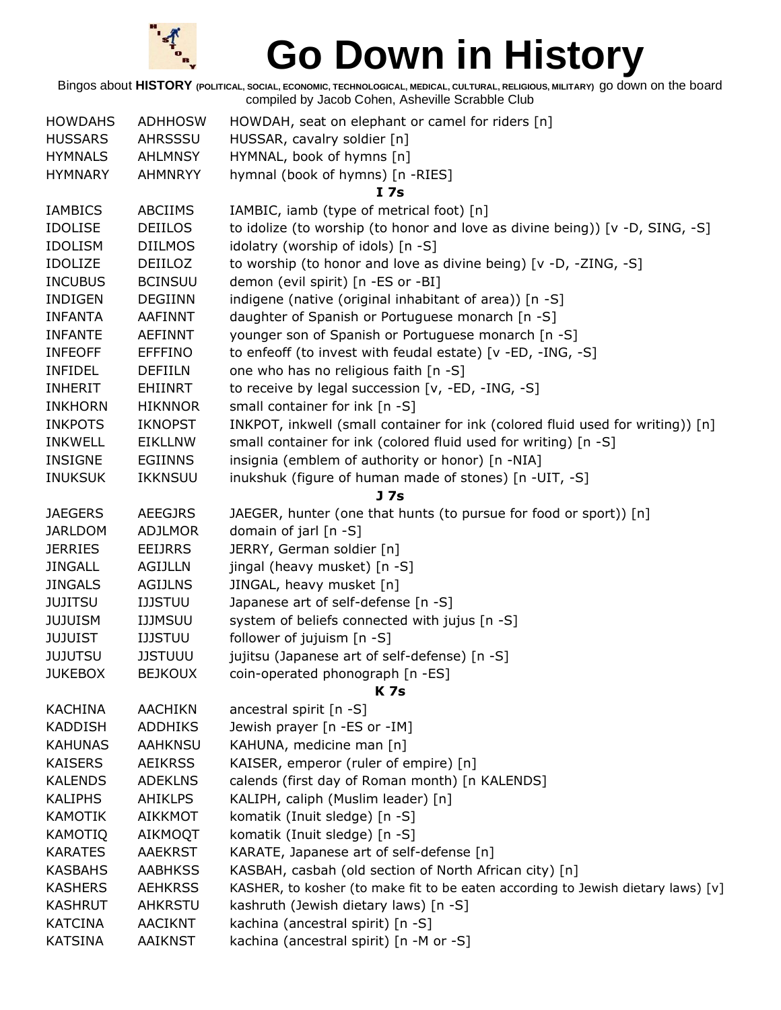

| <b>HOWDAHS</b>                   | <b>ADHHOSW</b> | HOWDAH, seat on elephant or camel for riders [n]                                 |
|----------------------------------|----------------|----------------------------------------------------------------------------------|
| <b>HUSSARS</b>                   | AHRSSSU        | HUSSAR, cavalry soldier [n]                                                      |
| <b>HYMNALS</b>                   | <b>AHLMNSY</b> | HYMNAL, book of hymns [n]                                                        |
| <b>HYMNARY</b>                   | <b>AHMNRYY</b> | hymnal (book of hymns) [n -RIES]                                                 |
|                                  |                | I 7s                                                                             |
| <b>IAMBICS</b>                   | <b>ABCIIMS</b> | IAMBIC, iamb (type of metrical foot) [n]                                         |
| <b>IDOLISE</b>                   | <b>DEIILOS</b> | to idolize (to worship (to honor and love as divine being)) $[v -D, SIMG, -S]$   |
| <b>IDOLISM</b>                   | <b>DIILMOS</b> | idolatry (worship of idols) [n -S]                                               |
| <b>IDOLIZE</b>                   | DEIILOZ        | to worship (to honor and love as divine being) [v -D, -ZING, -S]                 |
| <b>INCUBUS</b>                   | <b>BCINSUU</b> | demon (evil spirit) [n -ES or -BI]                                               |
| <b>INDIGEN</b>                   | <b>DEGIINN</b> | indigene (native (original inhabitant of area)) [n -S]                           |
| <b>INFANTA</b>                   | <b>AAFINNT</b> | daughter of Spanish or Portuguese monarch [n -S]                                 |
| <b>INFANTE</b>                   | <b>AEFINNT</b> | younger son of Spanish or Portuguese monarch [n -S]                              |
| <b>INFEOFF</b>                   | <b>EFFFINO</b> | to enfeoff (to invest with feudal estate) [v -ED, -ING, -S]                      |
| <b>INFIDEL</b>                   | <b>DEFIILN</b> | one who has no religious faith [n -S]                                            |
| <b>INHERIT</b>                   | <b>EHIINRT</b> | to receive by legal succession [v, -ED, -ING, -S]                                |
| <b>INKHORN</b>                   | <b>HIKNNOR</b> | small container for ink [n -S]                                                   |
| <b>INKPOTS</b>                   | <b>IKNOPST</b> | INKPOT, inkwell (small container for ink (colored fluid used for writing)) [n]   |
| <b>INKWELL</b>                   | <b>EIKLLNW</b> | small container for ink (colored fluid used for writing) [n -S]                  |
| <b>INSIGNE</b>                   | <b>EGIINNS</b> | insignia (emblem of authority or honor) [n -NIA]                                 |
| <b>INUKSUK</b>                   | <b>IKKNSUU</b> | inukshuk (figure of human made of stones) [n -UIT, -S]                           |
|                                  |                | J <sub>7s</sub>                                                                  |
| <b>JAEGERS</b>                   | <b>AEEGJRS</b> | JAEGER, hunter (one that hunts (to pursue for food or sport)) [n]                |
| <b>JARLDOM</b>                   | <b>ADJLMOR</b> | domain of jarl [n -S]                                                            |
| <b>JERRIES</b>                   | <b>EEIJRRS</b> | JERRY, German soldier [n]                                                        |
| <b>JINGALL</b>                   | <b>AGIJLLN</b> | jingal (heavy musket) [n -S]                                                     |
| <b>JINGALS</b>                   | <b>AGIJLNS</b> | JINGAL, heavy musket [n]                                                         |
| <b>JUJITSU</b>                   | <b>IJJSTUU</b> | Japanese art of self-defense [n -S]                                              |
| <b>JUJUISM</b>                   | <b>IJJMSUU</b> | system of beliefs connected with jujus [n -S]                                    |
| <b>JUJUIST</b>                   | <b>IJJSTUU</b> | follower of jujuism [n -S]                                                       |
| <b>JUJUTSU</b>                   | <b>JJSTUUU</b> | jujitsu (Japanese art of self-defense) [n -S]                                    |
| <b>JUKEBOX</b>                   | <b>BEJKOUX</b> | coin-operated phonograph [n -ES]                                                 |
|                                  | <b>AACHIKN</b> | <b>K7s</b>                                                                       |
| <b>KACHINA</b><br><b>KADDISH</b> | <b>ADDHIKS</b> | ancestral spirit [n -S]<br>Jewish prayer [n -ES or -IM]                          |
| <b>KAHUNAS</b>                   | <b>AAHKNSU</b> | KAHUNA, medicine man [n]                                                         |
| <b>KAISERS</b>                   | <b>AEIKRSS</b> | KAISER, emperor (ruler of empire) [n]                                            |
| <b>KALENDS</b>                   | <b>ADEKLNS</b> | calends (first day of Roman month) [n KALENDS]                                   |
| <b>KALIPHS</b>                   | <b>AHIKLPS</b> | KALIPH, caliph (Muslim leader) [n]                                               |
| <b>KAMOTIK</b>                   | AIKKMOT        | komatik (Inuit sledge) [n -S]                                                    |
| <b>KAMOTIQ</b>                   | <b>AIKMOQT</b> | komatik (Inuit sledge) [n -S]                                                    |
| <b>KARATES</b>                   | <b>AAEKRST</b> | KARATE, Japanese art of self-defense [n]                                         |
| <b>KASBAHS</b>                   | <b>AABHKSS</b> | KASBAH, casbah (old section of North African city) [n]                           |
| <b>KASHERS</b>                   | <b>AEHKRSS</b> | KASHER, to kosher (to make fit to be eaten according to Jewish dietary laws) [v] |
| <b>KASHRUT</b>                   | AHKRSTU        | kashruth (Jewish dietary laws) [n -S]                                            |
| <b>KATCINA</b>                   | <b>AACIKNT</b> | kachina (ancestral spirit) [n -S]                                                |
| <b>KATSINA</b>                   | <b>AAIKNST</b> | kachina (ancestral spirit) [n -M or -S]                                          |
|                                  |                |                                                                                  |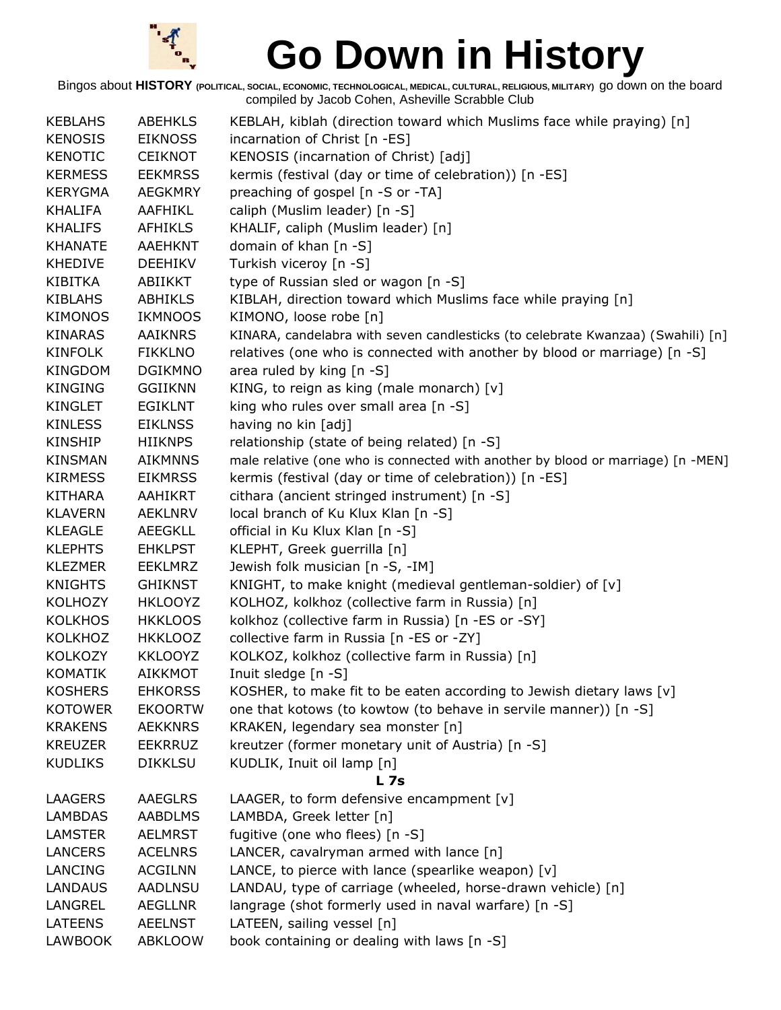

| <b>KEBLAHS</b> | <b>ABEHKLS</b> | KEBLAH, kiblah (direction toward which Muslims face while praying) [n]          |
|----------------|----------------|---------------------------------------------------------------------------------|
| <b>KENOSIS</b> | <b>EIKNOSS</b> | incarnation of Christ [n -ES]                                                   |
| <b>KENOTIC</b> | <b>CEIKNOT</b> | KENOSIS (incarnation of Christ) [adj]                                           |
| <b>KERMESS</b> | <b>EEKMRSS</b> | kermis (festival (day or time of celebration)) [n -ES]                          |
| <b>KERYGMA</b> | <b>AEGKMRY</b> | preaching of gospel [n -S or -TA]                                               |
| <b>KHALIFA</b> | AAFHIKL        | caliph (Muslim leader) [n -S]                                                   |
| <b>KHALIFS</b> | AFHIKLS        | KHALIF, caliph (Muslim leader) [n]                                              |
| <b>KHANATE</b> | AAEHKNT        | domain of khan [n -S]                                                           |
| <b>KHEDIVE</b> | <b>DEEHIKV</b> | Turkish viceroy [n -S]                                                          |
| <b>KIBITKA</b> | ABIIKKT        | type of Russian sled or wagon [n -S]                                            |
| <b>KIBLAHS</b> | <b>ABHIKLS</b> | KIBLAH, direction toward which Muslims face while praying [n]                   |
| <b>KIMONOS</b> | <b>IKMNOOS</b> | KIMONO, loose robe [n]                                                          |
| <b>KINARAS</b> | AAIKNRS        | KINARA, candelabra with seven candlesticks (to celebrate Kwanzaa) (Swahili) [n] |
| <b>KINFOLK</b> | <b>FIKKLNO</b> | relatives (one who is connected with another by blood or marriage) [n -S]       |
| KINGDOM        | <b>DGIKMNO</b> | area ruled by king $[n - S]$                                                    |
| <b>KINGING</b> | <b>GGIIKNN</b> | KING, to reign as king (male monarch) $[v]$                                     |
| <b>KINGLET</b> | <b>EGIKLNT</b> | king who rules over small area [n -S]                                           |
| <b>KINLESS</b> | <b>EIKLNSS</b> | having no kin [adj]                                                             |
| KINSHIP        | <b>HIIKNPS</b> | relationship (state of being related) [n -S]                                    |
| <b>KINSMAN</b> | <b>AIKMNNS</b> | male relative (one who is connected with another by blood or marriage) [n -MEN] |
| <b>KIRMESS</b> | <b>EIKMRSS</b> | kermis (festival (day or time of celebration)) [n -ES]                          |
| <b>KITHARA</b> | AAHIKRT        | cithara (ancient stringed instrument) [n -S]                                    |
| <b>KLAVERN</b> | <b>AEKLNRV</b> | local branch of Ku Klux Klan [n -S]                                             |
| <b>KLEAGLE</b> | AEEGKLL        | official in Ku Klux Klan [n -S]                                                 |
| <b>KLEPHTS</b> | <b>EHKLPST</b> | KLEPHT, Greek guerrilla [n]                                                     |
| <b>KLEZMER</b> | <b>EEKLMRZ</b> | Jewish folk musician [n -S, -IM]                                                |
| <b>KNIGHTS</b> | <b>GHIKNST</b> | KNIGHT, to make knight (medieval gentleman-soldier) of [v]                      |
| <b>KOLHOZY</b> | <b>HKLOOYZ</b> | KOLHOZ, kolkhoz (collective farm in Russia) [n]                                 |
| <b>KOLKHOS</b> | <b>HKKLOOS</b> | kolkhoz (collective farm in Russia) [n -ES or -SY]                              |
| <b>KOLKHOZ</b> | <b>HKKLOOZ</b> | collective farm in Russia [n -ES or -ZY]                                        |
| <b>KOLKOZY</b> | <b>KKLOOYZ</b> | KOLKOZ, kolkhoz (collective farm in Russia) [n]                                 |
| <b>KOMATIK</b> | <b>AIKKMOT</b> | Inuit sledge [n -S]                                                             |
| <b>KOSHERS</b> | <b>EHKORSS</b> | KOSHER, to make fit to be eaten according to Jewish dietary laws [v]            |
| <b>KOTOWER</b> | <b>EKOORTW</b> | one that kotows (to kowtow (to behave in servile manner)) [n -S]                |
| <b>KRAKENS</b> | <b>AEKKNRS</b> | KRAKEN, legendary sea monster [n]                                               |
| <b>KREUZER</b> | <b>EEKRRUZ</b> | kreutzer (former monetary unit of Austria) [n -S]                               |
| <b>KUDLIKS</b> | <b>DIKKLSU</b> | KUDLIK, Inuit oil lamp [n]                                                      |
|                |                | <b>L</b> 7s                                                                     |
| LAAGERS        | AAEGLRS        | LAAGER, to form defensive encampment [v]                                        |
| <b>LAMBDAS</b> | <b>AABDLMS</b> | LAMBDA, Greek letter [n]                                                        |
| <b>LAMSTER</b> | <b>AELMRST</b> | fugitive (one who flees) [n -S]                                                 |
| <b>LANCERS</b> | <b>ACELNRS</b> | LANCER, cavalryman armed with lance [n]                                         |
| LANCING        | <b>ACGILNN</b> | LANCE, to pierce with lance (spearlike weapon) [v]                              |
| <b>LANDAUS</b> | AADLNSU        | LANDAU, type of carriage (wheeled, horse-drawn vehicle) [n]                     |
| LANGREL        | <b>AEGLLNR</b> | langrage (shot formerly used in naval warfare) [n -S]                           |
| <b>LATEENS</b> | <b>AEELNST</b> | LATEEN, sailing vessel [n]                                                      |
| <b>LAWBOOK</b> | <b>ABKLOOW</b> | book containing or dealing with laws [n -S]                                     |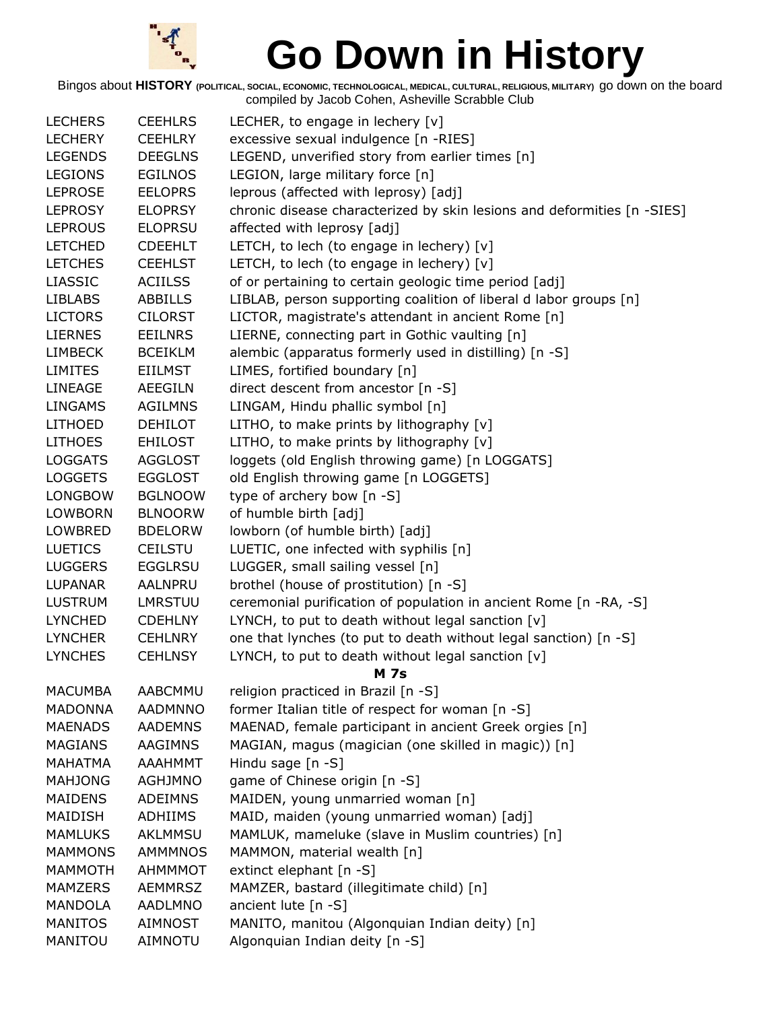

| <b>LECHERS</b> | <b>CEEHLRS</b> | LECHER, to engage in lechery $[v]$                                      |
|----------------|----------------|-------------------------------------------------------------------------|
| <b>LECHERY</b> | <b>CEEHLRY</b> | excessive sexual indulgence [n -RIES]                                   |
| <b>LEGENDS</b> | <b>DEEGLNS</b> | LEGEND, unverified story from earlier times [n]                         |
| <b>LEGIONS</b> | <b>EGILNOS</b> | LEGION, large military force [n]                                        |
| <b>LEPROSE</b> | <b>EELOPRS</b> | leprous (affected with leprosy) [adj]                                   |
| <b>LEPROSY</b> | <b>ELOPRSY</b> | chronic disease characterized by skin lesions and deformities [n -SIES] |
| <b>LEPROUS</b> | <b>ELOPRSU</b> | affected with leprosy [adj]                                             |
| <b>LETCHED</b> | <b>CDEEHLT</b> | LETCH, to lech (to engage in lechery) [v]                               |
| <b>LETCHES</b> | <b>CEEHLST</b> | LETCH, to lech (to engage in lechery) [v]                               |
| <b>LIASSIC</b> | <b>ACIILSS</b> | of or pertaining to certain geologic time period [adj]                  |
| <b>LIBLABS</b> | <b>ABBILLS</b> | LIBLAB, person supporting coalition of liberal d labor groups [n]       |
| <b>LICTORS</b> | <b>CILORST</b> | LICTOR, magistrate's attendant in ancient Rome [n]                      |
| <b>LIERNES</b> | <b>EEILNRS</b> | LIERNE, connecting part in Gothic vaulting [n]                          |
| <b>LIMBECK</b> | <b>BCEIKLM</b> | alembic (apparatus formerly used in distilling) [n -S]                  |
| <b>LIMITES</b> | EIILMST        | LIMES, fortified boundary [n]                                           |
| LINEAGE        | <b>AEEGILN</b> | direct descent from ancestor [n -S]                                     |
| <b>LINGAMS</b> | <b>AGILMNS</b> | LINGAM, Hindu phallic symbol [n]                                        |
| <b>LITHOED</b> | <b>DEHILOT</b> | LITHO, to make prints by lithography [v]                                |
| <b>LITHOES</b> | <b>EHILOST</b> | LITHO, to make prints by lithography [v]                                |
| <b>LOGGATS</b> | <b>AGGLOST</b> | loggets (old English throwing game) [n LOGGATS]                         |
| <b>LOGGETS</b> | <b>EGGLOST</b> | old English throwing game [n LOGGETS]                                   |
| <b>LONGBOW</b> | <b>BGLNOOW</b> | type of archery bow [n -S]                                              |
| <b>LOWBORN</b> | <b>BLNOORW</b> | of humble birth [adj]                                                   |
| LOWBRED        | <b>BDELORW</b> | lowborn (of humble birth) [adj]                                         |
| <b>LUETICS</b> | <b>CEILSTU</b> | LUETIC, one infected with syphilis [n]                                  |
| <b>LUGGERS</b> | <b>EGGLRSU</b> | LUGGER, small sailing vessel [n]                                        |
| LUPANAR        | AALNPRU        | brothel (house of prostitution) [n -S]                                  |
| <b>LUSTRUM</b> | <b>LMRSTUU</b> | ceremonial purification of population in ancient Rome [n -RA, -S]       |
| <b>LYNCHED</b> | <b>CDEHLNY</b> | LYNCH, to put to death without legal sanction $[v]$                     |
| <b>LYNCHER</b> | <b>CEHLNRY</b> | one that lynches (to put to death without legal sanction) [n -S]        |
| <b>LYNCHES</b> | <b>CEHLNSY</b> | LYNCH, to put to death without legal sanction [v]                       |
|                |                | <b>M</b> 7s                                                             |
| <b>MACUMBA</b> | <b>AABCMMU</b> | religion practiced in Brazil [n -S]                                     |
| <b>MADONNA</b> | <b>AADMNNO</b> | former Italian title of respect for woman [n -S]                        |
| <b>MAENADS</b> | <b>AADEMNS</b> | MAENAD, female participant in ancient Greek orgies [n]                  |
| <b>MAGIANS</b> | AAGIMNS        | MAGIAN, magus (magician (one skilled in magic)) [n]                     |
| <b>MAHATMA</b> | <b>AAAHMMT</b> | Hindu sage $[n -S]$                                                     |
| <b>MAHJONG</b> | <b>AGHJMNO</b> | game of Chinese origin [n -S]                                           |
| <b>MAIDENS</b> | <b>ADEIMNS</b> | MAIDEN, young unmarried woman [n]                                       |
| MAIDISH        | ADHIIMS        | MAID, maiden (young unmarried woman) [adj]                              |
| <b>MAMLUKS</b> | <b>AKLMMSU</b> | MAMLUK, mameluke (slave in Muslim countries) [n]                        |
| <b>MAMMONS</b> | <b>AMMMNOS</b> | MAMMON, material wealth [n]                                             |
| <b>MAMMOTH</b> | <b>AHMMMOT</b> | extinct elephant [n -S]                                                 |
| <b>MAMZERS</b> | <b>AEMMRSZ</b> | MAMZER, bastard (illegitimate child) [n]                                |
| <b>MANDOLA</b> | AADLMNO        | ancient lute [n -S]                                                     |
| <b>MANITOS</b> | AIMNOST        | MANITO, manitou (Algonquian Indian deity) [n]                           |
| MANITOU        | AIMNOTU        | Algonquian Indian deity [n -S]                                          |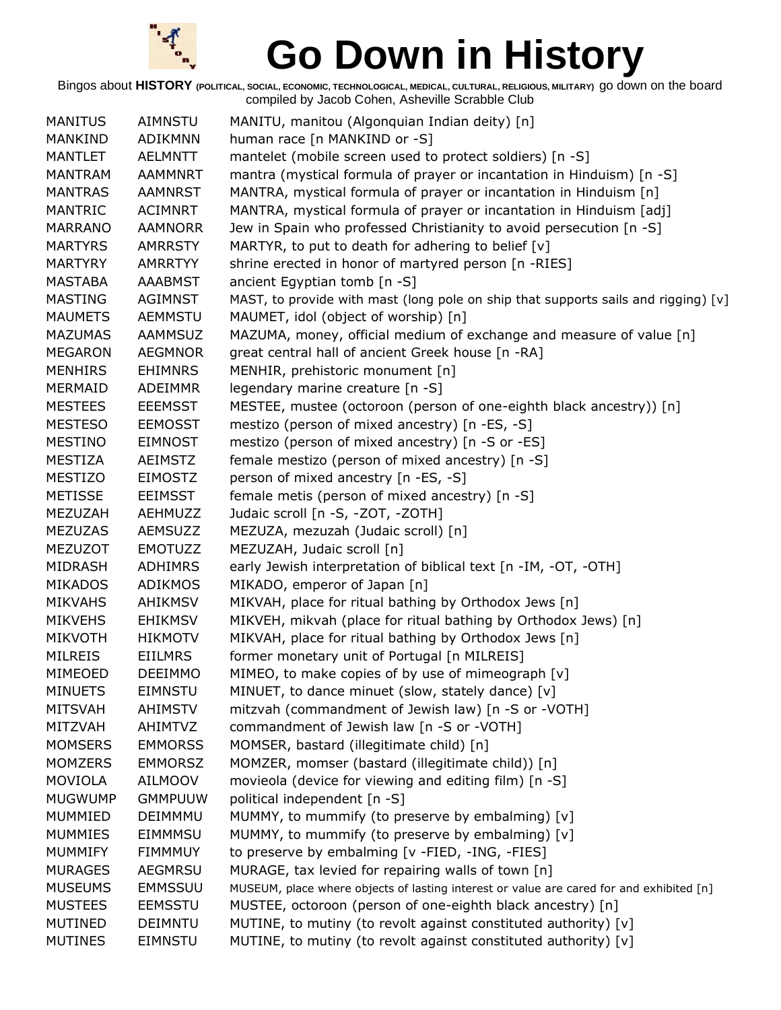

| <b>MANITUS</b> | <b>AIMNSTU</b> | MANITU, manitou (Algonquian Indian deity) [n]                                            |
|----------------|----------------|------------------------------------------------------------------------------------------|
| <b>MANKIND</b> | ADIKMNN        | human race [n MANKIND or -S]                                                             |
| <b>MANTLET</b> | <b>AELMNTT</b> | mantelet (mobile screen used to protect soldiers) [n -S]                                 |
| <b>MANTRAM</b> | <b>AAMMNRT</b> | mantra (mystical formula of prayer or incantation in Hinduism) [n -S]                    |
| <b>MANTRAS</b> | <b>AAMNRST</b> | MANTRA, mystical formula of prayer or incantation in Hinduism [n]                        |
| <b>MANTRIC</b> | <b>ACIMNRT</b> | MANTRA, mystical formula of prayer or incantation in Hinduism [adj]                      |
| <b>MARRANO</b> | <b>AAMNORR</b> | Jew in Spain who professed Christianity to avoid persecution [n -S]                      |
| <b>MARTYRS</b> | <b>AMRRSTY</b> | MARTYR, to put to death for adhering to belief [v]                                       |
| <b>MARTYRY</b> | <b>AMRRTYY</b> | shrine erected in honor of martyred person [n -RIES]                                     |
| <b>MASTABA</b> | <b>AAABMST</b> | ancient Egyptian tomb [n -S]                                                             |
| <b>MASTING</b> | <b>AGIMNST</b> | MAST, to provide with mast (long pole on ship that supports sails and rigging) [v]       |
| <b>MAUMETS</b> | <b>AEMMSTU</b> | MAUMET, idol (object of worship) [n]                                                     |
| <b>MAZUMAS</b> | <b>AAMMSUZ</b> | MAZUMA, money, official medium of exchange and measure of value [n]                      |
| <b>MEGARON</b> | <b>AEGMNOR</b> | great central hall of ancient Greek house [n -RA]                                        |
| <b>MENHIRS</b> | <b>EHIMNRS</b> | MENHIR, prehistoric monument [n]                                                         |
| <b>MERMAID</b> | <b>ADEIMMR</b> | legendary marine creature [n -S]                                                         |
| <b>MESTEES</b> | <b>EEEMSST</b> | MESTEE, mustee (octoroon (person of one-eighth black ancestry)) [n]                      |
| <b>MESTESO</b> | <b>EEMOSST</b> | mestizo (person of mixed ancestry) [n -ES, -S]                                           |
| <b>MESTINO</b> | <b>EIMNOST</b> | mestizo (person of mixed ancestry) [n -S or -ES]                                         |
| <b>MESTIZA</b> | <b>AEIMSTZ</b> | female mestizo (person of mixed ancestry) [n -S]                                         |
| <b>MESTIZO</b> | <b>EIMOSTZ</b> | person of mixed ancestry [n -ES, -S]                                                     |
| <b>METISSE</b> | <b>EEIMSST</b> | female metis (person of mixed ancestry) [n -S]                                           |
| MEZUZAH        | AEHMUZZ        | Judaic scroll [n -S, -ZOT, -ZOTH]                                                        |
| <b>MEZUZAS</b> | AEMSUZZ        | MEZUZA, mezuzah (Judaic scroll) [n]                                                      |
| <b>MEZUZOT</b> | <b>EMOTUZZ</b> | MEZUZAH, Judaic scroll [n]                                                               |
| <b>MIDRASH</b> | <b>ADHIMRS</b> | early Jewish interpretation of biblical text [n -IM, -OT, -OTH]                          |
| <b>MIKADOS</b> | <b>ADIKMOS</b> | MIKADO, emperor of Japan [n]                                                             |
| <b>MIKVAHS</b> | <b>AHIKMSV</b> | MIKVAH, place for ritual bathing by Orthodox Jews [n]                                    |
| <b>MIKVEHS</b> | <b>EHIKMSV</b> | MIKVEH, mikvah (place for ritual bathing by Orthodox Jews) [n]                           |
| <b>MIKVOTH</b> | <b>HIKMOTV</b> | MIKVAH, place for ritual bathing by Orthodox Jews [n]                                    |
| <b>MILREIS</b> | <b>EIILMRS</b> | former monetary unit of Portugal [n MILREIS]                                             |
| MIMEOED        | <b>DEEIMMO</b> | MIMEO, to make copies of by use of mimeograph [v]                                        |
| <b>MINUETS</b> | <b>EIMNSTU</b> | MINUET, to dance minuet (slow, stately dance) [v]                                        |
| <b>MITSVAH</b> | <b>AHIMSTV</b> | mitzvah (commandment of Jewish law) [n -S or -VOTH]                                      |
| MITZVAH        | AHIMTVZ        | commandment of Jewish law [n -S or -VOTH]                                                |
| <b>MOMSERS</b> | <b>EMMORSS</b> | MOMSER, bastard (illegitimate child) [n]                                                 |
| <b>MOMZERS</b> | <b>EMMORSZ</b> | MOMZER, momser (bastard (illegitimate child)) [n]                                        |
| <b>MOVIOLA</b> | <b>AILMOOV</b> | movieola (device for viewing and editing film) [n -S]                                    |
| <b>MUGWUMP</b> | <b>GMMPUUW</b> | political independent [n -S]                                                             |
| MUMMIED        | DEIMMMU        | MUMMY, to mummify (to preserve by embalming) [v]                                         |
| <b>MUMMIES</b> | EIMMMSU        | MUMMY, to mummify (to preserve by embalming) [v]                                         |
| <b>MUMMIFY</b> | <b>FIMMMUY</b> | to preserve by embalming [v -FIED, -ING, -FIES]                                          |
| <b>MURAGES</b> | <b>AEGMRSU</b> | MURAGE, tax levied for repairing walls of town [n]                                       |
| <b>MUSEUMS</b> | <b>EMMSSUU</b> | MUSEUM, place where objects of lasting interest or value are cared for and exhibited [n] |
| <b>MUSTEES</b> | <b>EEMSSTU</b> | MUSTEE, octoroon (person of one-eighth black ancestry) [n]                               |
| <b>MUTINED</b> | <b>DEIMNTU</b> | MUTINE, to mutiny (to revolt against constituted authority) [v]                          |
| <b>MUTINES</b> | <b>EIMNSTU</b> | MUTINE, to mutiny (to revolt against constituted authority) [v]                          |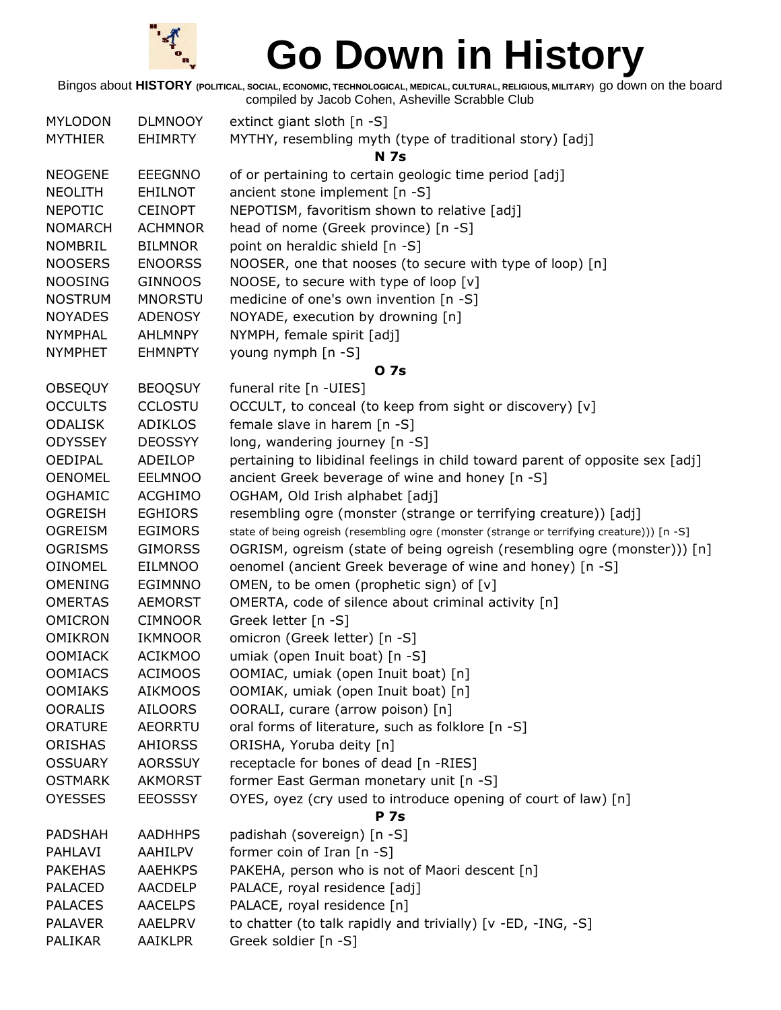

| <b>MYLODON</b>                   | <b>DLMNOOY</b> | extinct giant sloth [n -S]                                                                 |
|----------------------------------|----------------|--------------------------------------------------------------------------------------------|
| <b>MYTHIER</b>                   | <b>EHIMRTY</b> | MYTHY, resembling myth (type of traditional story) [adj]                                   |
|                                  |                | <b>N</b> 7s                                                                                |
| <b>NEOGENE</b>                   | <b>EEEGNNO</b> | of or pertaining to certain geologic time period [adj]                                     |
| <b>NEOLITH</b>                   | <b>EHILNOT</b> | ancient stone implement [n -S]                                                             |
| <b>NEPOTIC</b>                   | <b>CEINOPT</b> | NEPOTISM, favoritism shown to relative [adj]                                               |
| <b>NOMARCH</b>                   | <b>ACHMNOR</b> | head of nome (Greek province) [n -S]                                                       |
| <b>NOMBRIL</b>                   | <b>BILMNOR</b> | point on heraldic shield [n -S]                                                            |
| <b>NOOSERS</b>                   | <b>ENOORSS</b> | NOOSER, one that nooses (to secure with type of loop) [n]                                  |
| <b>NOOSING</b>                   | <b>GINNOOS</b> | NOOSE, to secure with type of loop [v]                                                     |
| <b>NOSTRUM</b>                   | <b>MNORSTU</b> | medicine of one's own invention [n -S]                                                     |
| <b>NOYADES</b>                   | <b>ADENOSY</b> | NOYADE, execution by drowning [n]                                                          |
| <b>NYMPHAL</b>                   | AHLMNPY        | NYMPH, female spirit [adj]                                                                 |
| <b>NYMPHET</b>                   | <b>EHMNPTY</b> | young nymph [n -S]                                                                         |
|                                  |                | <b>07s</b>                                                                                 |
| <b>OBSEQUY</b>                   | <b>BEOQSUY</b> | funeral rite [n -UIES]                                                                     |
| <b>OCCULTS</b>                   | <b>CCLOSTU</b> | OCCULT, to conceal (to keep from sight or discovery) [v]                                   |
| <b>ODALISK</b>                   | <b>ADIKLOS</b> | female slave in harem [n -S]                                                               |
| <b>ODYSSEY</b>                   | <b>DEOSSYY</b> | long, wandering journey [n -S]                                                             |
| OEDIPAL                          | ADEILOP        | pertaining to libidinal feelings in child toward parent of opposite sex [adj]              |
| <b>OENOMEL</b>                   | <b>EELMNOO</b> | ancient Greek beverage of wine and honey [n -S]                                            |
| <b>OGHAMIC</b>                   | <b>ACGHIMO</b> | OGHAM, Old Irish alphabet [adj]                                                            |
| <b>OGREISH</b>                   | <b>EGHIORS</b> | resembling ogre (monster (strange or terrifying creature)) [adj]                           |
| <b>OGREISM</b>                   | <b>EGIMORS</b> | state of being ogreish (resembling ogre (monster (strange or terrifying creature))) [n -S] |
| <b>OGRISMS</b>                   |                | OGRISM, ogreism (state of being ogreish (resembling ogre (monster))) [n]                   |
|                                  | <b>GIMORSS</b> |                                                                                            |
| <b>OINOMEL</b><br><b>OMENING</b> | <b>EILMNOO</b> | oenomel (ancient Greek beverage of wine and honey) [n -S]                                  |
|                                  | <b>EGIMNNO</b> | OMEN, to be omen (prophetic sign) of [v]                                                   |
| <b>OMERTAS</b>                   | <b>AEMORST</b> | OMERTA, code of silence about criminal activity [n]                                        |
| <b>OMICRON</b>                   | <b>CIMNOOR</b> | Greek letter [n -S]                                                                        |
| <b>OMIKRON</b>                   | <b>IKMNOOR</b> | omicron (Greek letter) [n -S]                                                              |
| <b>OOMIACK</b>                   | <b>ACIKMOO</b> | umiak (open Inuit boat) [n -S]                                                             |
| <b>OOMIACS</b>                   | <b>ACIMOOS</b> | OOMIAC, umiak (open Inuit boat) [n]                                                        |
| <b>OOMIAKS</b>                   | <b>AIKMOOS</b> | OOMIAK, umiak (open Inuit boat) [n]                                                        |
| <b>OORALIS</b>                   | <b>AILOORS</b> | OORALI, curare (arrow poison) [n]                                                          |
| <b>ORATURE</b>                   | <b>AEORRTU</b> | oral forms of literature, such as folklore [n -S]                                          |
| <b>ORISHAS</b>                   | <b>AHIORSS</b> | ORISHA, Yoruba deity [n]                                                                   |
| <b>OSSUARY</b>                   | <b>AORSSUY</b> | receptacle for bones of dead [n -RIES]                                                     |
| <b>OSTMARK</b>                   | <b>AKMORST</b> | former East German monetary unit [n -S]                                                    |
| <b>OYESSES</b>                   | <b>EEOSSSY</b> | OYES, oyez (cry used to introduce opening of court of law) [n]                             |
|                                  |                | <b>P</b> 7s                                                                                |
| <b>PADSHAH</b>                   | <b>AADHHPS</b> | padishah (sovereign) [n -S]                                                                |
| PAHLAVI                          | AAHILPV        | former coin of Iran [n -S]                                                                 |
| <b>PAKEHAS</b>                   | <b>AAEHKPS</b> | PAKEHA, person who is not of Maori descent [n]                                             |
| <b>PALACED</b>                   | <b>AACDELP</b> | PALACE, royal residence [adj]                                                              |
| <b>PALACES</b>                   | <b>AACELPS</b> | PALACE, royal residence [n]                                                                |
| <b>PALAVER</b>                   | <b>AAELPRV</b> | to chatter (to talk rapidly and trivially) [v -ED, -ING, -S]                               |
| <b>PALIKAR</b>                   | <b>AAIKLPR</b> | Greek soldier [n -S]                                                                       |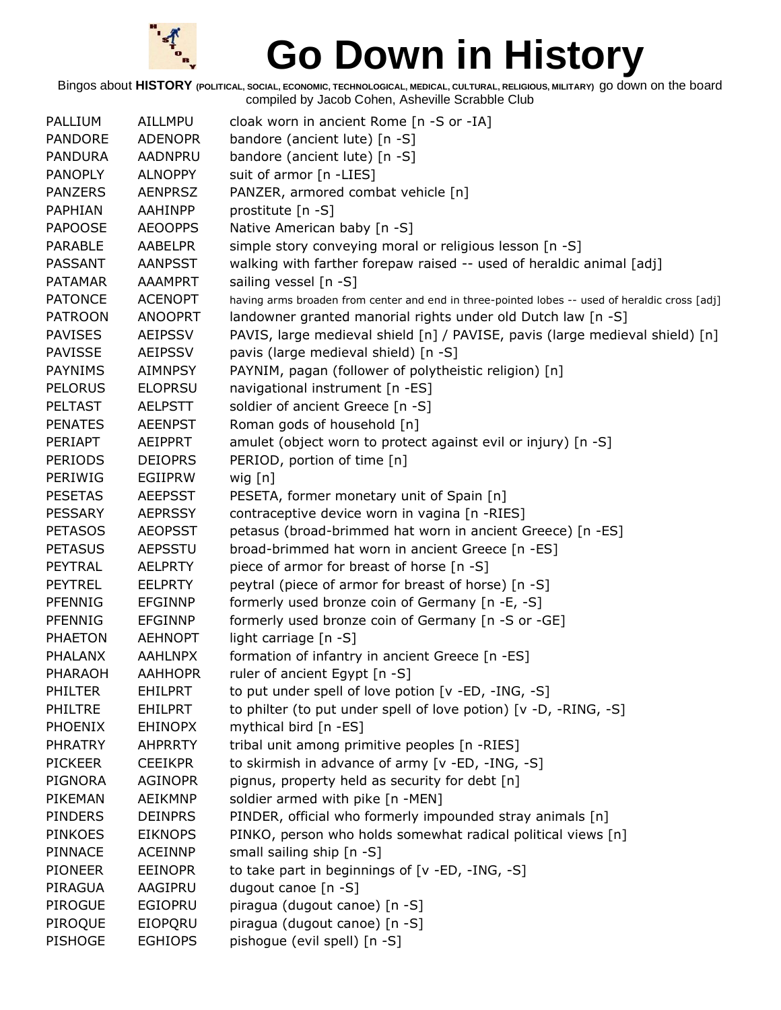

| PALLIUM        | AILLMPU        | cloak worn in ancient Rome [n -S or -IA]                                                       |
|----------------|----------------|------------------------------------------------------------------------------------------------|
| <b>PANDORE</b> | <b>ADENOPR</b> | bandore (ancient lute) [n -S]                                                                  |
| <b>PANDURA</b> | AADNPRU        | bandore (ancient lute) [n -S]                                                                  |
| <b>PANOPLY</b> | <b>ALNOPPY</b> | suit of armor [n -LIES]                                                                        |
| <b>PANZERS</b> | <b>AENPRSZ</b> | PANZER, armored combat vehicle [n]                                                             |
| PAPHIAN        | AAHINPP        | prostitute [n -S]                                                                              |
| <b>PAPOOSE</b> | <b>AEOOPPS</b> | Native American baby [n -S]                                                                    |
| PARABLE        | <b>AABELPR</b> | simple story conveying moral or religious lesson [n -S]                                        |
| <b>PASSANT</b> | <b>AANPSST</b> | walking with farther forepaw raised -- used of heraldic animal [adj]                           |
| <b>PATAMAR</b> | <b>AAAMPRT</b> | sailing vessel [n -S]                                                                          |
| <b>PATONCE</b> | <b>ACENOPT</b> | having arms broaden from center and end in three-pointed lobes -- used of heraldic cross [adj] |
| <b>PATROON</b> | <b>ANOOPRT</b> | landowner granted manorial rights under old Dutch law [n -S]                                   |
| <b>PAVISES</b> | <b>AEIPSSV</b> | PAVIS, large medieval shield [n] / PAVISE, pavis (large medieval shield) [n]                   |
| <b>PAVISSE</b> | <b>AEIPSSV</b> | pavis (large medieval shield) [n -S]                                                           |
| <b>PAYNIMS</b> | <b>AIMNPSY</b> | PAYNIM, pagan (follower of polytheistic religion) [n]                                          |
| <b>PELORUS</b> | <b>ELOPRSU</b> | navigational instrument [n -ES]                                                                |
| <b>PELTAST</b> | <b>AELPSTT</b> | soldier of ancient Greece [n -S]                                                               |
| <b>PENATES</b> | <b>AEENPST</b> | Roman gods of household [n]                                                                    |
| <b>PERIAPT</b> | AEIPPRT        | amulet (object worn to protect against evil or injury) [n -S]                                  |
| <b>PERIODS</b> | <b>DEIOPRS</b> | PERIOD, portion of time [n]                                                                    |
| PERIWIG        | EGIIPRW        | wig $[n]$                                                                                      |
| <b>PESETAS</b> | <b>AEEPSST</b> | PESETA, former monetary unit of Spain [n]                                                      |
| <b>PESSARY</b> | <b>AEPRSSY</b> | contraceptive device worn in vagina [n -RIES]                                                  |
| <b>PETASOS</b> | <b>AEOPSST</b> | petasus (broad-brimmed hat worn in ancient Greece) [n -ES]                                     |
| <b>PETASUS</b> | <b>AEPSSTU</b> | broad-brimmed hat worn in ancient Greece [n -ES]                                               |
| PEYTRAL        | <b>AELPRTY</b> | piece of armor for breast of horse [n -S]                                                      |
| <b>PEYTREL</b> | <b>EELPRTY</b> | peytral (piece of armor for breast of horse) [n -S]                                            |
| <b>PFENNIG</b> | <b>EFGINNP</b> | formerly used bronze coin of Germany [n -E, -S]                                                |
| <b>PFENNIG</b> | <b>EFGINNP</b> | formerly used bronze coin of Germany [n -S or -GE]                                             |
| <b>PHAETON</b> | <b>AEHNOPT</b> | light carriage [n -S]                                                                          |
| <b>PHALANX</b> | <b>AAHLNPX</b> | formation of infantry in ancient Greece [n -ES]                                                |
| PHARAOH        | <b>AAHHOPR</b> | ruler of ancient Egypt [n -S]                                                                  |
| <b>PHILTER</b> | <b>EHILPRT</b> | to put under spell of love potion [v -ED, -ING, -S]                                            |
| PHILTRE        | <b>EHILPRT</b> | to philter (to put under spell of love potion) [v -D, -RING, -S]                               |
| <b>PHOENIX</b> | <b>EHINOPX</b> | mythical bird [n -ES]                                                                          |
| <b>PHRATRY</b> | <b>AHPRRTY</b> | tribal unit among primitive peoples [n -RIES]                                                  |
| <b>PICKEER</b> | <b>CEEIKPR</b> | to skirmish in advance of army [v -ED, -ING, -S]                                               |
| <b>PIGNORA</b> | <b>AGINOPR</b> | pignus, property held as security for debt [n]                                                 |
| PIKEMAN        | <b>AEIKMNP</b> | soldier armed with pike [n -MEN]                                                               |
| <b>PINDERS</b> | <b>DEINPRS</b> | PINDER, official who formerly impounded stray animals [n]                                      |
| <b>PINKOES</b> | <b>EIKNOPS</b> | PINKO, person who holds somewhat radical political views [n]                                   |
| <b>PINNACE</b> | <b>ACEINNP</b> | small sailing ship [n -S]                                                                      |
| <b>PIONEER</b> | <b>EEINOPR</b> | to take part in beginnings of [v -ED, -ING, -S]                                                |
| PIRAGUA        | AAGIPRU        | dugout canoe [n -S]                                                                            |
| PIROGUE        | <b>EGIOPRU</b> | piragua (dugout canoe) [n -S]                                                                  |
| PIROQUE        | <b>EIOPQRU</b> | piragua (dugout canoe) [n -S]                                                                  |
| <b>PISHOGE</b> | <b>EGHIOPS</b> | pishogue (evil spell) [n -S]                                                                   |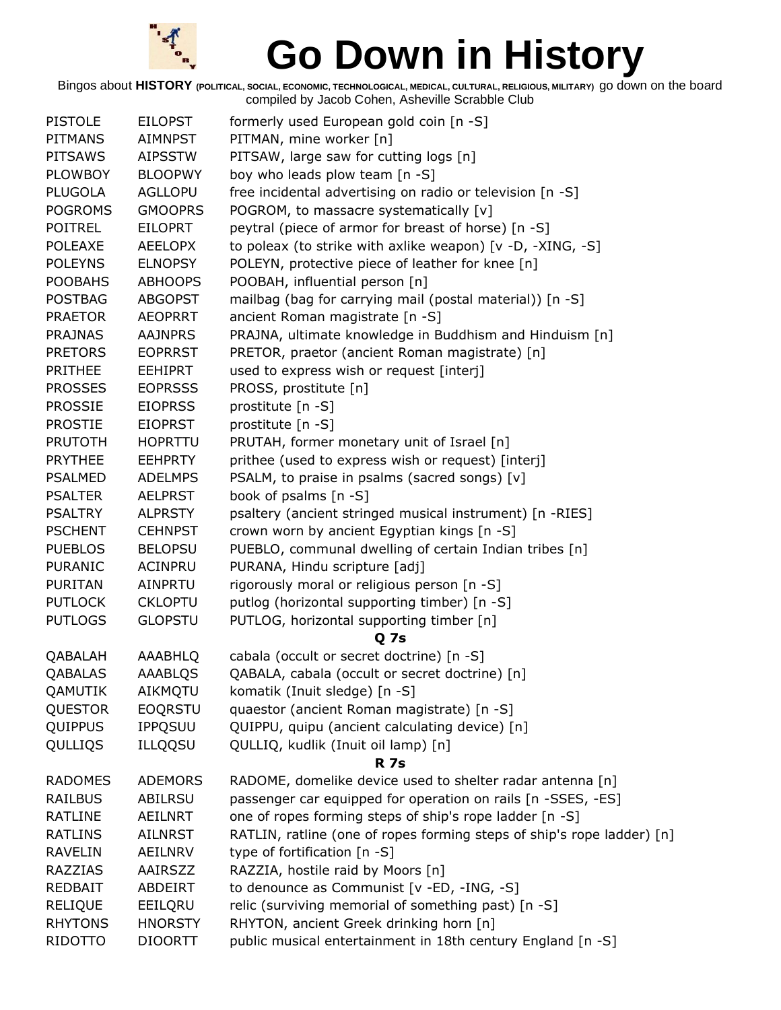

| <b>PISTOLE</b> | <b>EILOPST</b> | formerly used European gold coin [n -S]                                |
|----------------|----------------|------------------------------------------------------------------------|
| <b>PITMANS</b> | AIMNPST        | PITMAN, mine worker [n]                                                |
| <b>PITSAWS</b> | <b>AIPSSTW</b> | PITSAW, large saw for cutting logs [n]                                 |
| <b>PLOWBOY</b> | <b>BLOOPWY</b> | boy who leads plow team [n -S]                                         |
| <b>PLUGOLA</b> | <b>AGLLOPU</b> | free incidental advertising on radio or television [n -S]              |
| <b>POGROMS</b> | <b>GMOOPRS</b> | POGROM, to massacre systematically [v]                                 |
| <b>POITREL</b> | <b>EILOPRT</b> | peytral (piece of armor for breast of horse) [n -S]                    |
| <b>POLEAXE</b> | <b>AEELOPX</b> | to poleax (to strike with axlike weapon) [v -D, -XING, -S]             |
| <b>POLEYNS</b> | <b>ELNOPSY</b> | POLEYN, protective piece of leather for knee [n]                       |
| <b>POOBAHS</b> | <b>ABHOOPS</b> | POOBAH, influential person [n]                                         |
| <b>POSTBAG</b> | <b>ABGOPST</b> | mailbag (bag for carrying mail (postal material)) [n -S]               |
| <b>PRAETOR</b> | <b>AEOPRRT</b> | ancient Roman magistrate [n -S]                                        |
| <b>PRAJNAS</b> | <b>AAJNPRS</b> | PRAJNA, ultimate knowledge in Buddhism and Hinduism [n]                |
| <b>PRETORS</b> | <b>EOPRRST</b> | PRETOR, praetor (ancient Roman magistrate) [n]                         |
| <b>PRITHEE</b> | <b>EEHIPRT</b> | used to express wish or request [interj]                               |
| <b>PROSSES</b> | <b>EOPRSSS</b> | PROSS, prostitute [n]                                                  |
| <b>PROSSIE</b> | <b>EIOPRSS</b> | prostitute [n -S]                                                      |
| <b>PROSTIE</b> | <b>EIOPRST</b> | prostitute [n -S]                                                      |
| <b>PRUTOTH</b> | <b>HOPRTTU</b> | PRUTAH, former monetary unit of Israel [n]                             |
| <b>PRYTHEE</b> | <b>EEHPRTY</b> | prithee (used to express wish or request) [interj]                     |
| <b>PSALMED</b> | <b>ADELMPS</b> | PSALM, to praise in psalms (sacred songs) [v]                          |
| <b>PSALTER</b> | <b>AELPRST</b> | book of psalms [n -S]                                                  |
| <b>PSALTRY</b> | <b>ALPRSTY</b> | psaltery (ancient stringed musical instrument) [n -RIES]               |
| <b>PSCHENT</b> | <b>CEHNPST</b> | crown worn by ancient Egyptian kings [n -S]                            |
| <b>PUEBLOS</b> | <b>BELOPSU</b> | PUEBLO, communal dwelling of certain Indian tribes [n]                 |
| <b>PURANIC</b> | ACINPRU        | PURANA, Hindu scripture [adj]                                          |
| <b>PURITAN</b> | AINPRTU        | rigorously moral or religious person [n -S]                            |
| <b>PUTLOCK</b> | <b>CKLOPTU</b> | putlog (horizontal supporting timber) [n -S]                           |
| <b>PUTLOGS</b> | <b>GLOPSTU</b> | PUTLOG, horizontal supporting timber [n]                               |
|                |                | <b>Q</b> 7s                                                            |
| QABALAH        | AAABHLQ        | cabala (occult or secret doctrine) [n -S]                              |
| QABALAS        | <b>AAABLOS</b> | QABALA, cabala (occult or secret doctrine) [n]                         |
| <b>QAMUTIK</b> | AIKMQTU        | komatik (Inuit sledge) [n -S]                                          |
| QUESTOR        | <b>EOQRSTU</b> | quaestor (ancient Roman magistrate) [n -S]                             |
| QUIPPUS        | <b>IPPQSUU</b> | QUIPPU, quipu (ancient calculating device) [n]                         |
| QULLIQS        | <b>ILLQQSU</b> | QULLIQ, kudlik (Inuit oil lamp) [n]                                    |
|                |                | <b>R</b> 7s                                                            |
| <b>RADOMES</b> | <b>ADEMORS</b> | RADOME, domelike device used to shelter radar antenna [n]              |
| <b>RAILBUS</b> | <b>ABILRSU</b> | passenger car equipped for operation on rails [n -SSES, -ES]           |
| <b>RATLINE</b> | AEILNRT        | one of ropes forming steps of ship's rope ladder [n -S]                |
| <b>RATLINS</b> | <b>AILNRST</b> | RATLIN, ratline (one of ropes forming steps of ship's rope ladder) [n] |
| <b>RAVELIN</b> | <b>AEILNRV</b> | type of fortification [n -S]                                           |
| <b>RAZZIAS</b> | AAIRSZZ        | RAZZIA, hostile raid by Moors [n]                                      |
| <b>REDBAIT</b> | ABDEIRT        | to denounce as Communist [v -ED, -ING, -S]                             |
| <b>RELIQUE</b> | EEILQRU        | relic (surviving memorial of something past) [n -S]                    |
| <b>RHYTONS</b> | <b>HNORSTY</b> | RHYTON, ancient Greek drinking horn [n]                                |
| <b>RIDOTTO</b> | <b>DIOORTT</b> | public musical entertainment in 18th century England [n -S]            |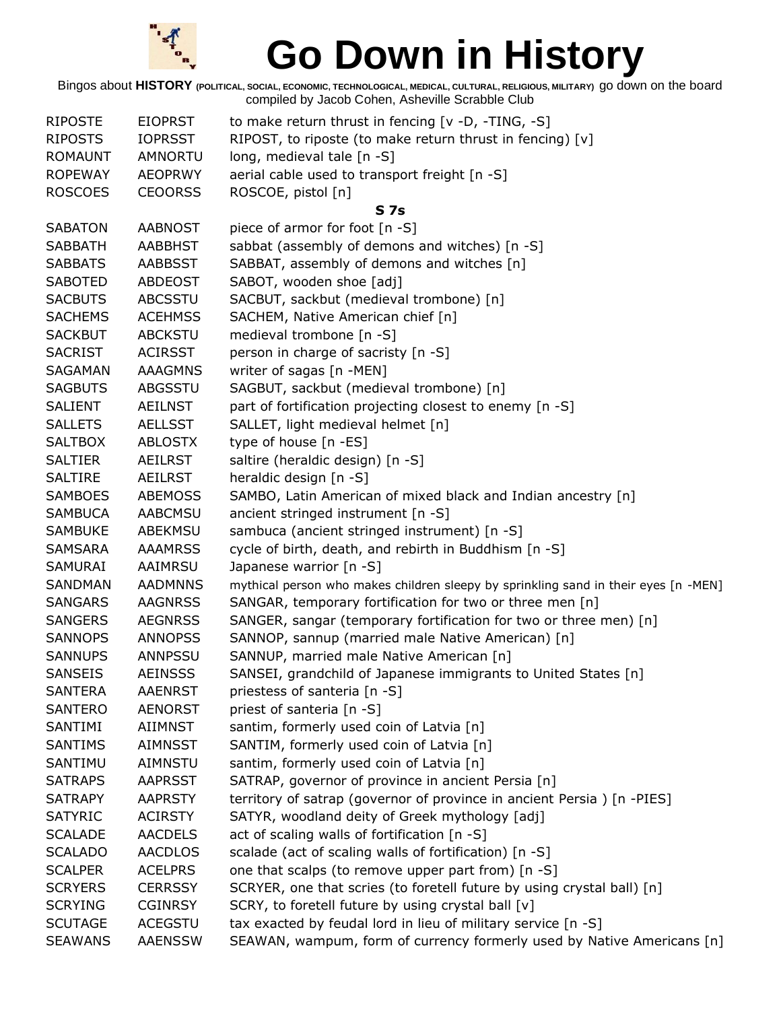

| <b>RIPOSTE</b> | <b>EIOPRST</b> | to make return thrust in fencing [v -D, -TING, -S]                                  |
|----------------|----------------|-------------------------------------------------------------------------------------|
| <b>RIPOSTS</b> | <b>IOPRSST</b> | RIPOST, to riposte (to make return thrust in fencing) [v]                           |
| <b>ROMAUNT</b> | AMNORTU        | long, medieval tale [n -S]                                                          |
| <b>ROPEWAY</b> | <b>AEOPRWY</b> | aerial cable used to transport freight [n -S]                                       |
| <b>ROSCOES</b> | <b>CEOORSS</b> | ROSCOE, pistol [n]                                                                  |
|                |                | <b>S7s</b>                                                                          |
| <b>SABATON</b> | <b>AABNOST</b> | piece of armor for foot [n -S]                                                      |
| <b>SABBATH</b> | <b>AABBHST</b> | sabbat (assembly of demons and witches) [n -S]                                      |
| <b>SABBATS</b> | <b>AABBSST</b> | SABBAT, assembly of demons and witches [n]                                          |
| <b>SABOTED</b> | <b>ABDEOST</b> | SABOT, wooden shoe [adj]                                                            |
| <b>SACBUTS</b> | <b>ABCSSTU</b> | SACBUT, sackbut (medieval trombone) [n]                                             |
| <b>SACHEMS</b> | <b>ACEHMSS</b> | SACHEM, Native American chief [n]                                                   |
| <b>SACKBUT</b> | <b>ABCKSTU</b> | medieval trombone [n -S]                                                            |
| <b>SACRIST</b> | <b>ACIRSST</b> | person in charge of sacristy [n -S]                                                 |
| <b>SAGAMAN</b> | <b>AAAGMNS</b> | writer of sagas [n -MEN]                                                            |
| <b>SAGBUTS</b> | ABGSSTU        | SAGBUT, sackbut (medieval trombone) [n]                                             |
| <b>SALIENT</b> | AEILNST        | part of fortification projecting closest to enemy [n -S]                            |
| <b>SALLETS</b> | <b>AELLSST</b> | SALLET, light medieval helmet [n]                                                   |
| <b>SALTBOX</b> | <b>ABLOSTX</b> | type of house [n -ES]                                                               |
| <b>SALTIER</b> | <b>AEILRST</b> | saltire (heraldic design) [n -S]                                                    |
| <b>SALTIRE</b> | <b>AEILRST</b> | heraldic design [n -S]                                                              |
| <b>SAMBOES</b> | <b>ABEMOSS</b> | SAMBO, Latin American of mixed black and Indian ancestry [n]                        |
| <b>SAMBUCA</b> | <b>AABCMSU</b> | ancient stringed instrument [n -S]                                                  |
| <b>SAMBUKE</b> | ABEKMSU        | sambuca (ancient stringed instrument) [n -S]                                        |
| <b>SAMSARA</b> | <b>AAAMRSS</b> | cycle of birth, death, and rebirth in Buddhism [n -S]                               |
| SAMURAI        | AAIMRSU        | Japanese warrior [n -S]                                                             |
| SANDMAN        | <b>AADMNNS</b> | mythical person who makes children sleepy by sprinkling sand in their eyes [n -MEN] |
| <b>SANGARS</b> | <b>AAGNRSS</b> | SANGAR, temporary fortification for two or three men [n]                            |
| <b>SANGERS</b> | <b>AEGNRSS</b> | SANGER, sangar (temporary fortification for two or three men) [n]                   |
| <b>SANNOPS</b> | <b>ANNOPSS</b> | SANNOP, sannup (married male Native American) [n]                                   |
| <b>SANNUPS</b> | <b>ANNPSSU</b> | SANNUP, married male Native American [n]                                            |
| SANSEIS        | <b>AEINSSS</b> | SANSEI, grandchild of Japanese immigrants to United States [n]                      |
| <b>SANTERA</b> | <b>AAENRST</b> | priestess of santeria [n -S]                                                        |
| <b>SANTERO</b> | <b>AENORST</b> | priest of santeria [n -S]                                                           |
| SANTIMI        | AIIMNST        | santim, formerly used coin of Latvia [n]                                            |
| <b>SANTIMS</b> | <b>AIMNSST</b> | SANTIM, formerly used coin of Latvia [n]                                            |
| SANTIMU        | AIMNSTU        | santim, formerly used coin of Latvia [n]                                            |
| <b>SATRAPS</b> | <b>AAPRSST</b> | SATRAP, governor of province in ancient Persia [n]                                  |
| <b>SATRAPY</b> | <b>AAPRSTY</b> | territory of satrap (governor of province in ancient Persia) [n -PIES]              |
| <b>SATYRIC</b> | <b>ACIRSTY</b> | SATYR, woodland deity of Greek mythology [adj]                                      |
| <b>SCALADE</b> | <b>AACDELS</b> | act of scaling walls of fortification [n -S]                                        |
| <b>SCALADO</b> | <b>AACDLOS</b> | scalade (act of scaling walls of fortification) [n -S]                              |
| <b>SCALPER</b> | <b>ACELPRS</b> | one that scalps (to remove upper part from) [n -S]                                  |
| <b>SCRYERS</b> | <b>CERRSSY</b> | SCRYER, one that scries (to foretell future by using crystal ball) [n]              |
| <b>SCRYING</b> | <b>CGINRSY</b> | SCRY, to foretell future by using crystal ball [v]                                  |
| <b>SCUTAGE</b> | <b>ACEGSTU</b> | tax exacted by feudal lord in lieu of military service [n -S]                       |
| <b>SEAWANS</b> | <b>AAENSSW</b> | SEAWAN, wampum, form of currency formerly used by Native Americans [n]              |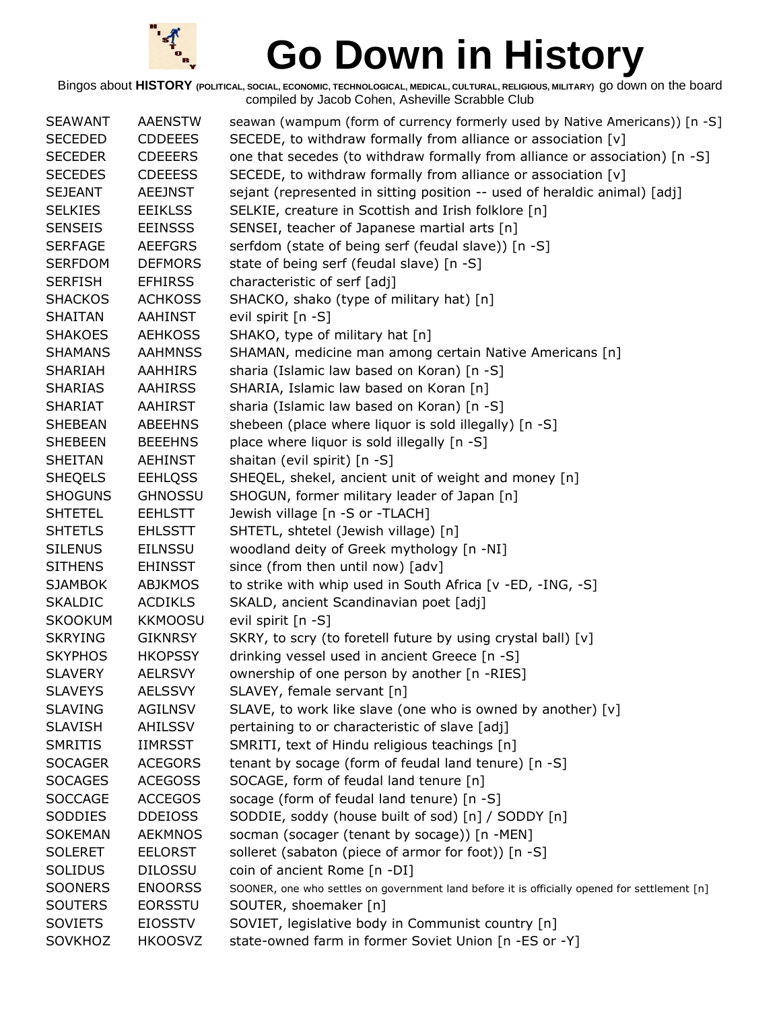

| <b>SEAWANT</b> | <b>AAENSTW</b> | seawan (wampum (form of currency formerly used by Native Americans)) [n -S]                  |
|----------------|----------------|----------------------------------------------------------------------------------------------|
| <b>SECEDED</b> | <b>CDDEEES</b> | SECEDE, to withdraw formally from alliance or association [v]                                |
| <b>SECEDER</b> | <b>CDEEERS</b> | one that secedes (to withdraw formally from alliance or association) [n -S]                  |
| <b>SECEDES</b> | <b>CDEEESS</b> | SECEDE, to withdraw formally from alliance or association [v]                                |
| <b>SEJEANT</b> | <b>AEEJNST</b> | sejant (represented in sitting position -- used of heraldic animal) [adj]                    |
| <b>SELKIES</b> | <b>EEIKLSS</b> | SELKIE, creature in Scottish and Irish folklore [n]                                          |
| <b>SENSEIS</b> | <b>EEINSSS</b> | SENSEI, teacher of Japanese martial arts [n]                                                 |
| <b>SERFAGE</b> | <b>AEEFGRS</b> | serfdom (state of being serf (feudal slave)) [n -S]                                          |
| <b>SERFDOM</b> | <b>DEFMORS</b> | state of being serf (feudal slave) [n -S]                                                    |
| <b>SERFISH</b> | <b>EFHIRSS</b> | characteristic of serf [adj]                                                                 |
| <b>SHACKOS</b> | <b>ACHKOSS</b> | SHACKO, shako (type of military hat) [n]                                                     |
| <b>SHAITAN</b> | <b>AAHINST</b> | evil spirit [n -S]                                                                           |
| <b>SHAKOES</b> | <b>AEHKOSS</b> | SHAKO, type of military hat [n]                                                              |
| <b>SHAMANS</b> | <b>AAHMNSS</b> | SHAMAN, medicine man among certain Native Americans [n]                                      |
| SHARIAH        | <b>AAHHIRS</b> | sharia (Islamic law based on Koran) [n -S]                                                   |
| <b>SHARIAS</b> | <b>AAHIRSS</b> | SHARIA, Islamic law based on Koran [n]                                                       |
| <b>SHARIAT</b> | <b>AAHIRST</b> | sharia (Islamic law based on Koran) [n -S]                                                   |
| <b>SHEBEAN</b> | <b>ABEEHNS</b> | shebeen (place where liquor is sold illegally) [n -S]                                        |
| <b>SHEBEEN</b> | <b>BEEEHNS</b> | place where liquor is sold illegally [n -S]                                                  |
| <b>SHEITAN</b> | <b>AEHINST</b> | shaitan (evil spirit) [n -S]                                                                 |
| <b>SHEQELS</b> | <b>EEHLQSS</b> | SHEQEL, shekel, ancient unit of weight and money [n]                                         |
| <b>SHOGUNS</b> | <b>GHNOSSU</b> | SHOGUN, former military leader of Japan [n]                                                  |
| <b>SHTETEL</b> | <b>EEHLSTT</b> | Jewish village [n -S or -TLACH]                                                              |
| <b>SHTETLS</b> | <b>EHLSSTT</b> | SHTETL, shtetel (Jewish village) [n]                                                         |
| <b>SILENUS</b> | <b>EILNSSU</b> | woodland deity of Greek mythology [n -NI]                                                    |
| <b>SITHENS</b> | <b>EHINSST</b> | since (from then until now) [adv]                                                            |
| <b>SJAMBOK</b> | <b>ABJKMOS</b> | to strike with whip used in South Africa [v -ED, -ING, -S]                                   |
| <b>SKALDIC</b> | <b>ACDIKLS</b> | SKALD, ancient Scandinavian poet [adj]                                                       |
| <b>SKOOKUM</b> | <b>KKMOOSU</b> | evil spirit [n -S]                                                                           |
| <b>SKRYING</b> | <b>GIKNRSY</b> | SKRY, to scry (to foretell future by using crystal ball) [v]                                 |
| <b>SKYPHOS</b> | <b>HKOPSSY</b> | drinking vessel used in ancient Greece [n -S]                                                |
| <b>SLAVERY</b> | <b>AELRSVY</b> | ownership of one person by another [n -RIES]                                                 |
| <b>SLAVEYS</b> | <b>AELSSVY</b> | SLAVEY, female servant [n]                                                                   |
| <b>SLAVING</b> | <b>AGILNSV</b> | SLAVE, to work like slave (one who is owned by another) [v]                                  |
| <b>SLAVISH</b> | AHILSSV        | pertaining to or characteristic of slave [adj]                                               |
| <b>SMRITIS</b> | <b>IIMRSST</b> | SMRITI, text of Hindu religious teachings [n]                                                |
| <b>SOCAGER</b> | <b>ACEGORS</b> | tenant by socage (form of feudal land tenure) [n -S]                                         |
| <b>SOCAGES</b> | <b>ACEGOSS</b> | SOCAGE, form of feudal land tenure [n]                                                       |
| <b>SOCCAGE</b> | <b>ACCEGOS</b> | socage (form of feudal land tenure) [n -S]                                                   |
| <b>SODDIES</b> | <b>DDEIOSS</b> | SODDIE, soddy (house built of sod) [n] / SODDY [n]                                           |
| <b>SOKEMAN</b> | <b>AEKMNOS</b> | socman (socager (tenant by socage)) [n -MEN]                                                 |
| <b>SOLERET</b> | <b>EELORST</b> | solleret (sabaton (piece of armor for foot)) [n -S]                                          |
| <b>SOLIDUS</b> | <b>DILOSSU</b> | coin of ancient Rome [n -DI]                                                                 |
| <b>SOONERS</b> | <b>ENOORSS</b> | SOONER, one who settles on government land before it is officially opened for settlement [n] |
| <b>SOUTERS</b> | <b>EORSSTU</b> | SOUTER, shoemaker [n]                                                                        |
| <b>SOVIETS</b> | <b>EIOSSTV</b> | SOVIET, legislative body in Communist country [n]                                            |
| SOVKHOZ        | <b>HKOOSVZ</b> | state-owned farm in former Soviet Union [n -ES or -Y]                                        |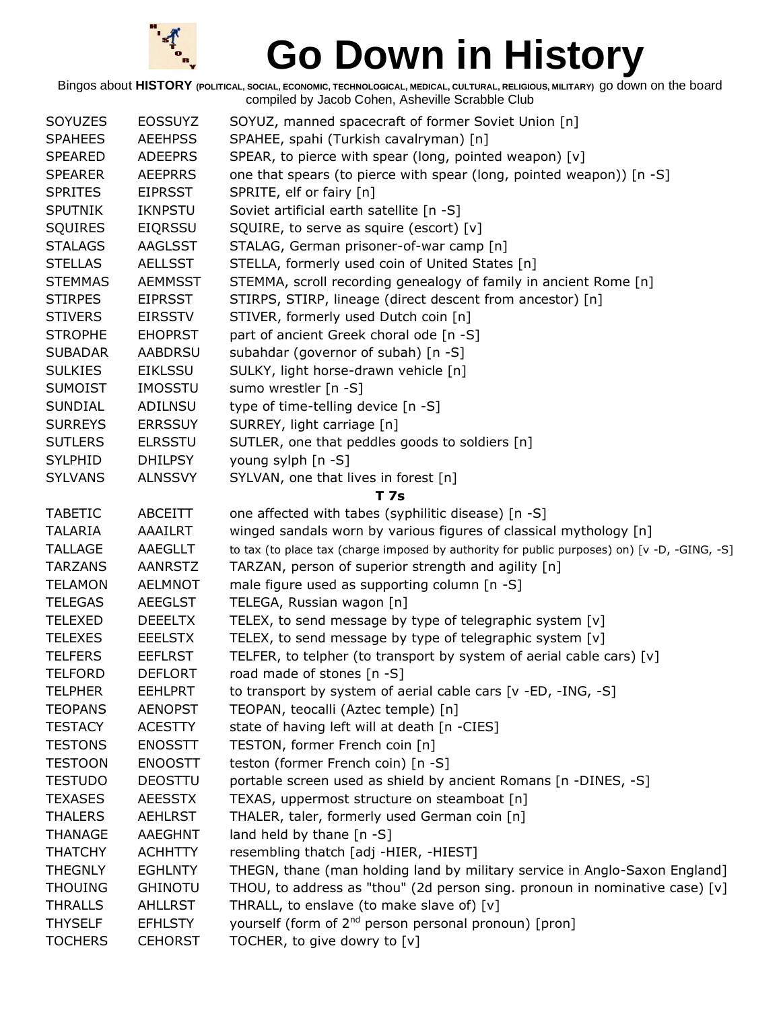

| SOYUZES        | <b>EOSSUYZ</b> | SOYUZ, manned spacecraft of former Soviet Union [n]                                          |
|----------------|----------------|----------------------------------------------------------------------------------------------|
| <b>SPAHEES</b> | <b>AEEHPSS</b> | SPAHEE, spahi (Turkish cavalryman) [n]                                                       |
| <b>SPEARED</b> | <b>ADEEPRS</b> | SPEAR, to pierce with spear (long, pointed weapon) [v]                                       |
| <b>SPEARER</b> | <b>AEEPRRS</b> | one that spears (to pierce with spear (long, pointed weapon)) [n -S]                         |
| <b>SPRITES</b> | <b>EIPRSST</b> | SPRITE, elf or fairy [n]                                                                     |
| <b>SPUTNIK</b> | <b>IKNPSTU</b> | Soviet artificial earth satellite [n -S]                                                     |
| <b>SQUIRES</b> | <b>EIQRSSU</b> | SQUIRE, to serve as squire (escort) [v]                                                      |
| <b>STALAGS</b> | <b>AAGLSST</b> | STALAG, German prisoner-of-war camp [n]                                                      |
| <b>STELLAS</b> | <b>AELLSST</b> | STELLA, formerly used coin of United States [n]                                              |
| <b>STEMMAS</b> | <b>AEMMSST</b> | STEMMA, scroll recording genealogy of family in ancient Rome [n]                             |
| <b>STIRPES</b> | <b>EIPRSST</b> | STIRPS, STIRP, lineage (direct descent from ancestor) [n]                                    |
| <b>STIVERS</b> | <b>EIRSSTV</b> | STIVER, formerly used Dutch coin [n]                                                         |
| <b>STROPHE</b> | <b>EHOPRST</b> | part of ancient Greek choral ode [n -S]                                                      |
| <b>SUBADAR</b> | <b>AABDRSU</b> | subahdar (governor of subah) [n -S]                                                          |
| <b>SULKIES</b> | <b>EIKLSSU</b> | SULKY, light horse-drawn vehicle [n]                                                         |
| <b>SUMOIST</b> | <b>IMOSSTU</b> | sumo wrestler [n -S]                                                                         |
| <b>SUNDIAL</b> | ADILNSU        | type of time-telling device [n -S]                                                           |
| <b>SURREYS</b> | <b>ERRSSUY</b> | SURREY, light carriage [n]                                                                   |
| <b>SUTLERS</b> | <b>ELRSSTU</b> | SUTLER, one that peddles goods to soldiers [n]                                               |
| <b>SYLPHID</b> | <b>DHILPSY</b> | young sylph [n -S]                                                                           |
| <b>SYLVANS</b> | <b>ALNSSVY</b> | SYLVAN, one that lives in forest [n]                                                         |
|                |                | T 7s                                                                                         |
| <b>TABETIC</b> | ABCEITT        | one affected with tabes (syphilitic disease) [n -S]                                          |
| <b>TALARIA</b> | AAAILRT        | winged sandals worn by various figures of classical mythology [n]                            |
| <b>TALLAGE</b> | AAEGLLT        | to tax (to place tax (charge imposed by authority for public purposes) on) [v -D, -GING, -S] |
| <b>TARZANS</b> | AANRSTZ        | TARZAN, person of superior strength and agility [n]                                          |
| <b>TELAMON</b> | <b>AELMNOT</b> | male figure used as supporting column [n -S]                                                 |
| <b>TELEGAS</b> | <b>AEEGLST</b> | TELEGA, Russian wagon [n]                                                                    |
| <b>TELEXED</b> | <b>DEEELTX</b> | TELEX, to send message by type of telegraphic system [v]                                     |
| <b>TELEXES</b> | <b>EEELSTX</b> | TELEX, to send message by type of telegraphic system [v]                                     |
| <b>TELFERS</b> | <b>EEFLRST</b> | TELFER, to telpher (to transport by system of aerial cable cars) [v]                         |
| <b>TELFORD</b> | <b>DEFLORT</b> | road made of stones [n -S]                                                                   |
| <b>TELPHER</b> | <b>EEHLPRT</b> | to transport by system of aerial cable cars [v -ED, -ING, -S]                                |
| <b>TEOPANS</b> | <b>AENOPST</b> | TEOPAN, teocalli (Aztec temple) [n]                                                          |
| <b>TESTACY</b> | <b>ACESTTY</b> | state of having left will at death [n -CIES]                                                 |
| <b>TESTONS</b> | <b>ENOSSTT</b> | TESTON, former French coin [n]                                                               |
| <b>TESTOON</b> | <b>ENOOSTT</b> | teston (former French coin) [n -S]                                                           |
| <b>TESTUDO</b> | <b>DEOSTTU</b> | portable screen used as shield by ancient Romans [n -DINES, -S]                              |
| <b>TEXASES</b> | <b>AEESSTX</b> | TEXAS, uppermost structure on steamboat [n]                                                  |
| <b>THALERS</b> | <b>AEHLRST</b> | THALER, taler, formerly used German coin [n]                                                 |
| <b>THANAGE</b> | AAEGHNT        | land held by thane $[n - S]$                                                                 |
| <b>THATCHY</b> | <b>ACHHTTY</b> | resembling thatch [adj -HIER, -HIEST]                                                        |
| <b>THEGNLY</b> | <b>EGHLNTY</b> | THEGN, thane (man holding land by military service in Anglo-Saxon England]                   |
| <b>THOUING</b> | <b>GHINOTU</b> | THOU, to address as "thou" (2d person sing. pronoun in nominative case) [v]                  |
| <b>THRALLS</b> | AHLLRST        | THRALL, to enslave (to make slave of) [v]                                                    |
| <b>THYSELF</b> | <b>EFHLSTY</b> | yourself (form of 2 <sup>nd</sup> person personal pronoun) [pron]                            |
| <b>TOCHERS</b> | <b>CEHORST</b> | TOCHER, to give dowry to [v]                                                                 |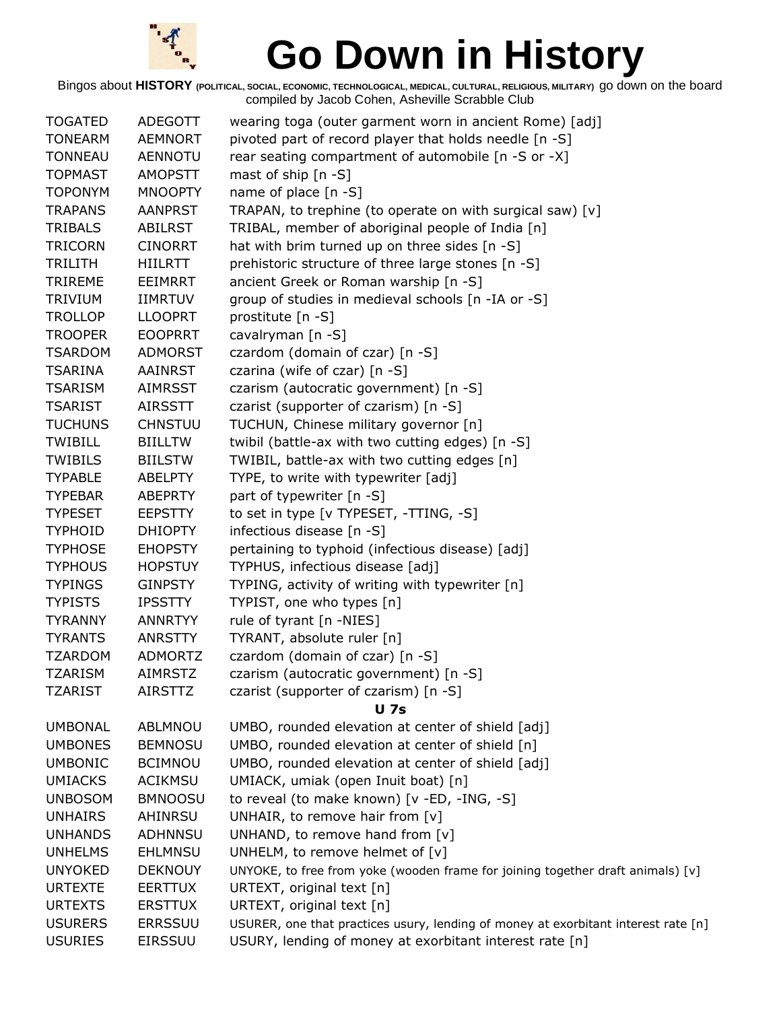

| <b>TOGATED</b> | <b>ADEGOTT</b> | wearing toga (outer garment worn in ancient Rome) [adj]                            |
|----------------|----------------|------------------------------------------------------------------------------------|
| <b>TONEARM</b> | <b>AEMNORT</b> | pivoted part of record player that holds needle [n -S]                             |
| <b>TONNEAU</b> | <b>AENNOTU</b> | rear seating compartment of automobile [n -S or -X]                                |
| <b>TOPMAST</b> | <b>AMOPSTT</b> | mast of ship $[n - S]$                                                             |
| <b>TOPONYM</b> | <b>MNOOPTY</b> | name of place $[n - S]$                                                            |
| <b>TRAPANS</b> | <b>AANPRST</b> | TRAPAN, to trephine (to operate on with surgical saw) [v]                          |
| <b>TRIBALS</b> | <b>ABILRST</b> | TRIBAL, member of aboriginal people of India [n]                                   |
| <b>TRICORN</b> | <b>CINORRT</b> | hat with brim turned up on three sides [n -S]                                      |
| <b>TRILITH</b> | <b>HIILRTT</b> | prehistoric structure of three large stones [n -S]                                 |
| <b>TRIREME</b> | <b>EEIMRRT</b> | ancient Greek or Roman warship [n -S]                                              |
| <b>TRIVIUM</b> | <b>IIMRTUV</b> | group of studies in medieval schools [n -IA or -S]                                 |
| <b>TROLLOP</b> | <b>LLOOPRT</b> | prostitute [n -S]                                                                  |
| <b>TROOPER</b> | <b>EOOPRRT</b> | cavalryman [n -S]                                                                  |
| <b>TSARDOM</b> | <b>ADMORST</b> | czardom (domain of czar) [n -S]                                                    |
| <b>TSARINA</b> | AAINRST        | czarina (wife of czar) [n -S]                                                      |
| <b>TSARISM</b> | <b>AIMRSST</b> | czarism (autocratic government) [n -S]                                             |
| <b>TSARIST</b> | <b>AIRSSTT</b> | czarist (supporter of czarism) [n -S]                                              |
| <b>TUCHUNS</b> | <b>CHNSTUU</b> | TUCHUN, Chinese military governor [n]                                              |
| <b>TWIBILL</b> | <b>BIILLTW</b> | twibil (battle-ax with two cutting edges) [n -S]                                   |
| <b>TWIBILS</b> | <b>BIILSTW</b> | TWIBIL, battle-ax with two cutting edges [n]                                       |
| <b>TYPABLE</b> | <b>ABELPTY</b> | TYPE, to write with typewriter [adj]                                               |
| <b>TYPEBAR</b> | <b>ABEPRTY</b> | part of typewriter [n -S]                                                          |
| <b>TYPESET</b> | <b>EEPSTTY</b> | to set in type [v TYPESET, -TTING, -S]                                             |
| <b>TYPHOID</b> | <b>DHIOPTY</b> | infectious disease [n -S]                                                          |
| <b>TYPHOSE</b> | <b>EHOPSTY</b> | pertaining to typhoid (infectious disease) [adj]                                   |
| <b>TYPHOUS</b> | <b>HOPSTUY</b> | TYPHUS, infectious disease [adj]                                                   |
| <b>TYPINGS</b> | <b>GINPSTY</b> | TYPING, activity of writing with typewriter [n]                                    |
| <b>TYPISTS</b> | <b>IPSSTTY</b> | TYPIST, one who types [n]                                                          |
| <b>TYRANNY</b> | <b>ANNRTYY</b> | rule of tyrant [n -NIES]                                                           |
| <b>TYRANTS</b> | <b>ANRSTTY</b> | TYRANT, absolute ruler [n]                                                         |
| <b>TZARDOM</b> | <b>ADMORTZ</b> | czardom (domain of czar) [n -S]                                                    |
| <b>TZARISM</b> | <b>AIMRSTZ</b> | czarism (autocratic government) [n -S]                                             |
| TZARIST        | AIRSTTZ        | czarist (supporter of czarism) [n -S]                                              |
|                |                | <b>U</b> 7s                                                                        |
| <b>UMBONAL</b> | ABLMNOU        | UMBO, rounded elevation at center of shield [adj]                                  |
| <b>UMBONES</b> | <b>BEMNOSU</b> | UMBO, rounded elevation at center of shield [n]                                    |
| <b>UMBONIC</b> | <b>BCIMNOU</b> | UMBO, rounded elevation at center of shield [adj]                                  |
| <b>UMIACKS</b> | <b>ACIKMSU</b> | UMIACK, umiak (open Inuit boat) [n]                                                |
| <b>UNBOSOM</b> | <b>BMNOOSU</b> | to reveal (to make known) [v -ED, -ING, -S]                                        |
| <b>UNHAIRS</b> | AHINRSU        | UNHAIR, to remove hair from [v]                                                    |
| <b>UNHANDS</b> | <b>ADHNNSU</b> | UNHAND, to remove hand from [v]                                                    |
| <b>UNHELMS</b> | <b>EHLMNSU</b> | UNHELM, to remove helmet of [v]                                                    |
| <b>UNYOKED</b> | <b>DEKNOUY</b> | UNYOKE, to free from yoke (wooden frame for joining together draft animals) [v]    |
| <b>URTEXTE</b> | <b>EERTTUX</b> | URTEXT, original text [n]                                                          |
| <b>URTEXTS</b> | <b>ERSTTUX</b> | URTEXT, original text [n]                                                          |
| <b>USURERS</b> | <b>ERRSSUU</b> | USURER, one that practices usury, lending of money at exorbitant interest rate [n] |
| <b>USURIES</b> | <b>EIRSSUU</b> | USURY, lending of money at exorbitant interest rate [n]                            |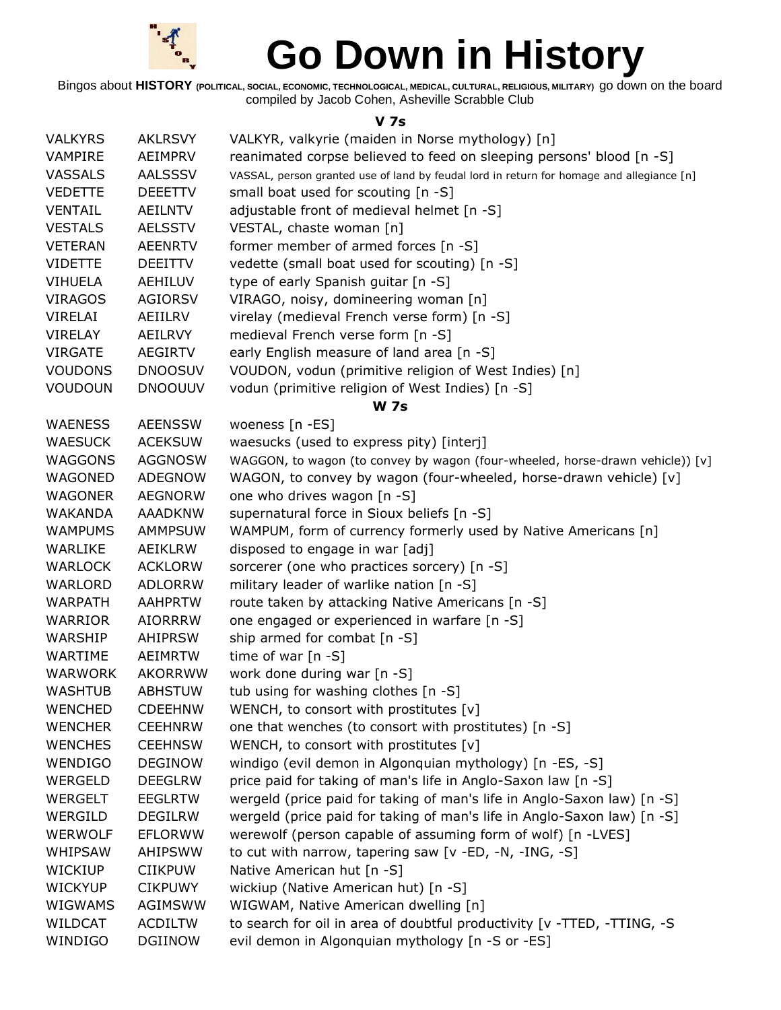

Bingos about **HISTORY (POLITICAL, SOCIAL, ECONOMIC, TECHNOLOGICAL, MEDICAL, CULTURAL, RELIGIOUS, MILITARY)** go down on the board compiled by Jacob Cohen, Asheville Scrabble Club

#### **V 7s**

| <b>VALKYRS</b> | <b>AKLRSVY</b> | VALKYR, valkyrie (maiden in Norse mythology) [n]                                          |
|----------------|----------------|-------------------------------------------------------------------------------------------|
| <b>VAMPIRE</b> | AEIMPRV        | reanimated corpse believed to feed on sleeping persons' blood [n -S]                      |
| <b>VASSALS</b> | <b>AALSSSV</b> | VASSAL, person granted use of land by feudal lord in return for homage and allegiance [n] |
| <b>VEDETTE</b> | <b>DEEETTV</b> | small boat used for scouting [n -S]                                                       |
| <b>VENTAIL</b> | <b>AEILNTV</b> | adjustable front of medieval helmet [n -S]                                                |
| <b>VESTALS</b> | <b>AELSSTV</b> | VESTAL, chaste woman [n]                                                                  |
| <b>VETERAN</b> | <b>AEENRTV</b> | former member of armed forces [n -S]                                                      |
| <b>VIDETTE</b> | <b>DEEITTV</b> | vedette (small boat used for scouting) [n -S]                                             |
| <b>VIHUELA</b> | <b>AEHILUV</b> | type of early Spanish guitar [n -S]                                                       |
| <b>VIRAGOS</b> | <b>AGIORSV</b> | VIRAGO, noisy, domineering woman [n]                                                      |
| <b>VIRELAI</b> | AEIILRV        | virelay (medieval French verse form) [n -S]                                               |
| <b>VIRELAY</b> | AEILRVY        | medieval French verse form [n -S]                                                         |
| <b>VIRGATE</b> | <b>AEGIRTV</b> | early English measure of land area [n -S]                                                 |
| <b>VOUDONS</b> | <b>DNOOSUV</b> | VOUDON, vodun (primitive religion of West Indies) [n]                                     |
| <b>VOUDOUN</b> | <b>DNOOUUV</b> | vodun (primitive religion of West Indies) [n -S]                                          |
|                |                | <b>W 7s</b>                                                                               |
| <b>WAENESS</b> | <b>AEENSSW</b> | woeness [n -ES]                                                                           |
| <b>WAESUCK</b> | <b>ACEKSUW</b> | waesucks (used to express pity) [interj]                                                  |
| <b>WAGGONS</b> | <b>AGGNOSW</b> | WAGGON, to wagon (to convey by wagon (four-wheeled, horse-drawn vehicle)) [v]             |
| WAGONED        | <b>ADEGNOW</b> | WAGON, to convey by wagon (four-wheeled, horse-drawn vehicle) [v]                         |
| <b>WAGONER</b> | <b>AEGNORW</b> | one who drives wagon [n -S]                                                               |
| <b>WAKANDA</b> | <b>AAADKNW</b> | supernatural force in Sioux beliefs [n -S]                                                |
| <b>WAMPUMS</b> | <b>AMMPSUW</b> | WAMPUM, form of currency formerly used by Native Americans [n]                            |
| WARLIKE        | AEIKLRW        | disposed to engage in war [adj]                                                           |
| <b>WARLOCK</b> | <b>ACKLORW</b> | sorcerer (one who practices sorcery) [n -S]                                               |
| WARLORD        | <b>ADLORRW</b> | military leader of warlike nation [n -S]                                                  |
| <b>WARPATH</b> | <b>AAHPRTW</b> | route taken by attacking Native Americans [n -S]                                          |
| <b>WARRIOR</b> | <b>AIORRRW</b> | one engaged or experienced in warfare [n -S]                                              |
| WARSHIP        | <b>AHIPRSW</b> | ship armed for combat [n -S]                                                              |
| WARTIME        | AEIMRTW        | time of war $[n - S]$                                                                     |
| <b>WARWORK</b> | <b>AKORRWW</b> | work done during war [n -S]                                                               |
| <b>WASHTUB</b> | <b>ABHSTUW</b> | tub using for washing clothes [n -S]                                                      |
| <b>WENCHED</b> | <b>CDEEHNW</b> | WENCH, to consort with prostitutes [v]                                                    |
| <b>WENCHER</b> | <b>CEEHNRW</b> | one that wenches (to consort with prostitutes) [n -S]                                     |
| <b>WENCHES</b> | <b>CEEHNSW</b> | WENCH, to consort with prostitutes [v]                                                    |
| WENDIGO        | <b>DEGINOW</b> | windigo (evil demon in Algonquian mythology) [n -ES, -S]                                  |
| <b>WERGELD</b> | <b>DEEGLRW</b> | price paid for taking of man's life in Anglo-Saxon law [n -S]                             |
| <b>WERGELT</b> | <b>EEGLRTW</b> | wergeld (price paid for taking of man's life in Anglo-Saxon law) [n -S]                   |
| WERGILD        | <b>DEGILRW</b> | wergeld (price paid for taking of man's life in Anglo-Saxon law) [n -S]                   |
| <b>WERWOLF</b> | <b>EFLORWW</b> | werewolf (person capable of assuming form of wolf) [n -LVES]                              |
| WHIPSAW        | <b>AHIPSWW</b> | to cut with narrow, tapering saw [v -ED, -N, -ING, -S]                                    |
| <b>WICKIUP</b> | <b>CIIKPUW</b> | Native American hut [n -S]                                                                |
| <b>WICKYUP</b> | <b>CIKPUWY</b> | wickiup (Native American hut) [n -S]                                                      |
| <b>WIGWAMS</b> | AGIMSWW        | WIGWAM, Native American dwelling [n]                                                      |
| WILDCAT        | <b>ACDILTW</b> | to search for oil in area of doubtful productivity [v -TTED, -TTING, -S                   |
| WINDIGO        | <b>DGIINOW</b> | evil demon in Algonquian mythology [n -S or -ES]                                          |